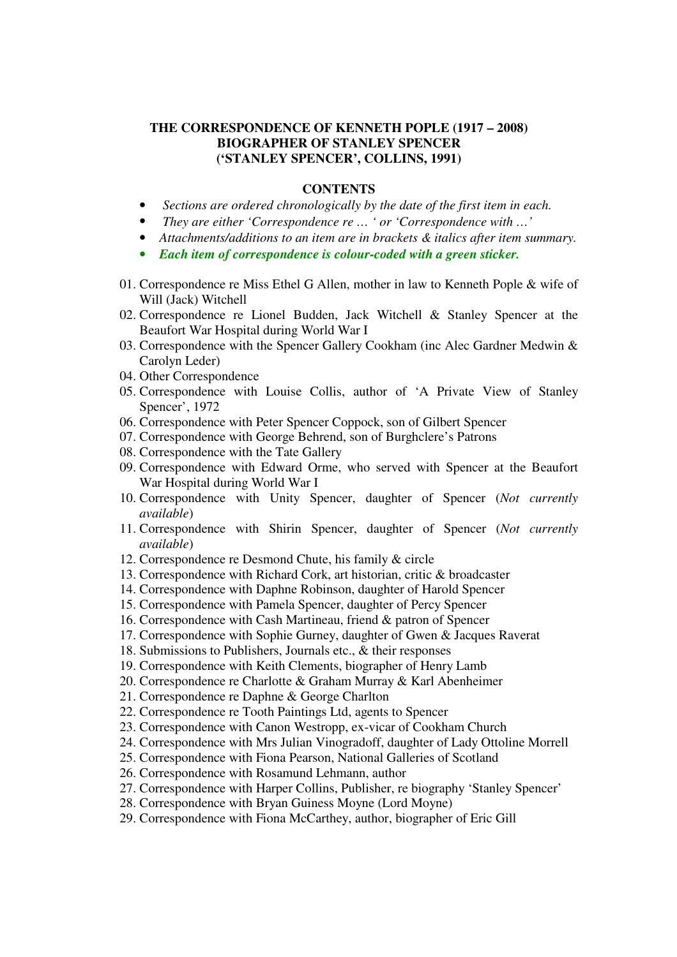#### **THE CORRESPONDENCE OF KENNETH POPLE (1917 – 2008) BIOGRAPHER OF STANLEY SPENCER ('STANLEY SPENCER', COLLINS, 1991)**

#### **CONTENTS**

- *Sections are ordered chronologically by the date of the first item in each.*
- *They are either 'Correspondence re … ' or 'Correspondence with …'*
- *Attachments/additions to an item are in brackets & italics after item summary.*
- *Each item of correspondence is colour-coded with a green sticker.*
- 01. Correspondence re Miss Ethel G Allen, mother in law to Kenneth Pople & wife of Will (Jack) Witchell
- 02. Correspondence re Lionel Budden, Jack Witchell & Stanley Spencer at the Beaufort War Hospital during World War I
- 03. Correspondence with the Spencer Gallery Cookham (inc Alec Gardner Medwin & Carolyn Leder)
- 04. Other Correspondence
- 05. Correspondence with Louise Collis, author of 'A Private View of Stanley Spencer', 1972
- 06. Correspondence with Peter Spencer Coppock, son of Gilbert Spencer
- 07. Correspondence with George Behrend, son of Burghclere's Patrons
- 08. Correspondence with the Tate Gallery
- 09. Correspondence with Edward Orme, who served with Spencer at the Beaufort War Hospital during World War I
- 10. Correspondence with Unity Spencer, daughter of Spencer (*Not currently available*)
- 11. Correspondence with Shirin Spencer, daughter of Spencer (*Not currently available*)
- 12. Correspondence re Desmond Chute, his family & circle
- 13. Correspondence with Richard Cork, art historian, critic & broadcaster
- 14. Correspondence with Daphne Robinson, daughter of Harold Spencer
- 15. Correspondence with Pamela Spencer, daughter of Percy Spencer
- 16. Correspondence with Cash Martineau, friend & patron of Spencer
- 17. Correspondence with Sophie Gurney, daughter of Gwen & Jacques Raverat
- 18. Submissions to Publishers, Journals etc., & their responses
- 19. Correspondence with Keith Clements, biographer of Henry Lamb
- 20. Correspondence re Charlotte & Graham Murray & Karl Abenheimer
- 21. Correspondence re Daphne & George Charlton
- 22. Correspondence re Tooth Paintings Ltd, agents to Spencer
- 23. Correspondence with Canon Westropp, ex-vicar of Cookham Church
- 24. Correspondence with Mrs Julian Vinogradoff, daughter of Lady Ottoline Morrell
- 25. Correspondence with Fiona Pearson, National Galleries of Scotland
- 26. Correspondence with Rosamund Lehmann, author
- 27. Correspondence with Harper Collins, Publisher, re biography 'Stanley Spencer'
- 28. Correspondence with Bryan Guiness Moyne (Lord Moyne)
- 29. Correspondence with Fiona McCarthey, author, biographer of Eric Gill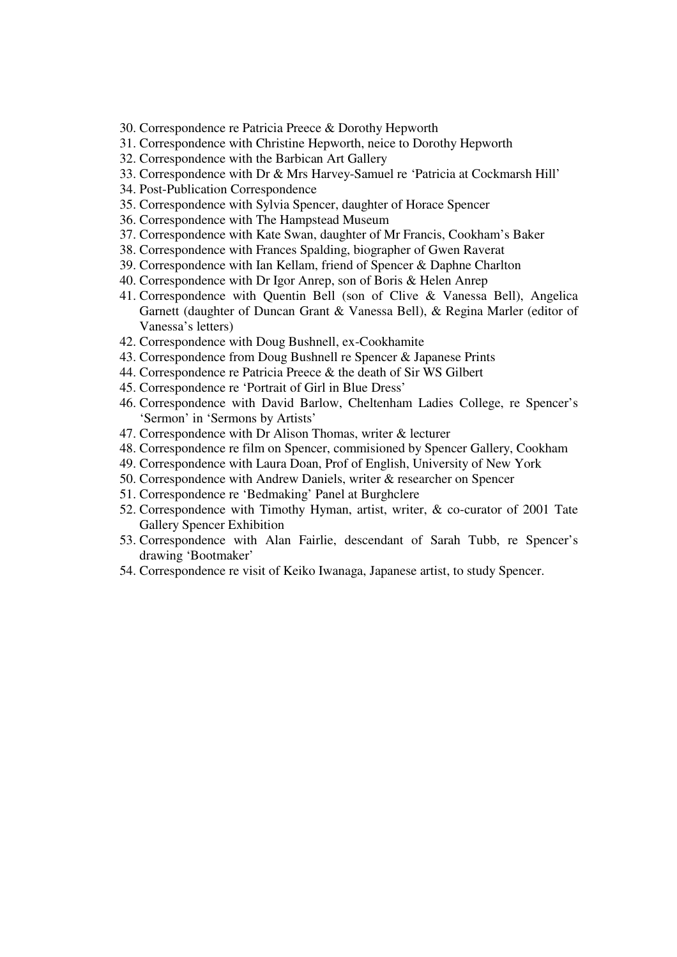- 30. Correspondence re Patricia Preece & Dorothy Hepworth
- 31. Correspondence with Christine Hepworth, neice to Dorothy Hepworth
- 32. Correspondence with the Barbican Art Gallery
- 33. Correspondence with Dr & Mrs Harvey-Samuel re 'Patricia at Cockmarsh Hill'
- 34. Post-Publication Correspondence
- 35. Correspondence with Sylvia Spencer, daughter of Horace Spencer
- 36. Correspondence with The Hampstead Museum
- 37. Correspondence with Kate Swan, daughter of Mr Francis, Cookham's Baker
- 38. Correspondence with Frances Spalding, biographer of Gwen Raverat
- 39. Correspondence with Ian Kellam, friend of Spencer & Daphne Charlton
- 40. Correspondence with Dr Igor Anrep, son of Boris & Helen Anrep
- 41. Correspondence with Quentin Bell (son of Clive & Vanessa Bell), Angelica Garnett (daughter of Duncan Grant & Vanessa Bell), & Regina Marler (editor of Vanessa's letters)
- 42. Correspondence with Doug Bushnell, ex-Cookhamite
- 43. Correspondence from Doug Bushnell re Spencer & Japanese Prints
- 44. Correspondence re Patricia Preece & the death of Sir WS Gilbert
- 45. Correspondence re 'Portrait of Girl in Blue Dress'
- 46. Correspondence with David Barlow, Cheltenham Ladies College, re Spencer's 'Sermon' in 'Sermons by Artists'
- 47. Correspondence with Dr Alison Thomas, writer & lecturer
- 48. Correspondence re film on Spencer, commisioned by Spencer Gallery, Cookham
- 49. Correspondence with Laura Doan, Prof of English, University of New York
- 50. Correspondence with Andrew Daniels, writer & researcher on Spencer
- 51. Correspondence re 'Bedmaking' Panel at Burghclere
- 52. Correspondence with Timothy Hyman, artist, writer, & co-curator of 2001 Tate Gallery Spencer Exhibition
- 53. Correspondence with Alan Fairlie, descendant of Sarah Tubb, re Spencer's drawing 'Bootmaker'
- 54. Correspondence re visit of Keiko Iwanaga, Japanese artist, to study Spencer.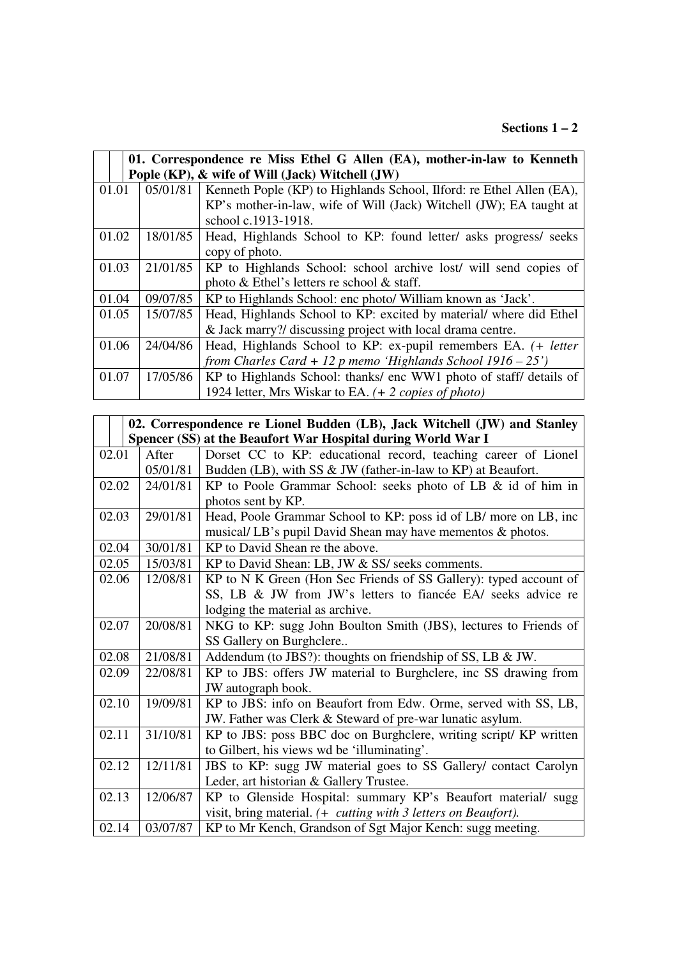#### **Sections 1 – 2**

|       |                                                 | 01. Correspondence re Miss Ethel G Allen (EA), mother-in-law to Kenneth |  |
|-------|-------------------------------------------------|-------------------------------------------------------------------------|--|
|       | Pople (KP), & wife of Will (Jack) Witchell (JW) |                                                                         |  |
| 01.01 | 05/01/81                                        | Kenneth Pople (KP) to Highlands School, Ilford: re Ethel Allen (EA),    |  |
|       |                                                 | KP's mother-in-law, wife of Will (Jack) Witchell (JW); EA taught at     |  |
|       |                                                 | school c.1913-1918.                                                     |  |
| 01.02 | 18/01/85                                        | Head, Highlands School to KP: found letter/ asks progress/ seeks        |  |
|       |                                                 | copy of photo.                                                          |  |
| 01.03 | 21/01/85                                        | KP to Highlands School: school archive lost/ will send copies of        |  |
|       |                                                 | photo & Ethel's letters re school & staff.                              |  |
| 01.04 | 09/07/85                                        | KP to Highlands School: enc photo/ William known as 'Jack'.             |  |
| 01.05 | 15/07/85                                        | Head, Highlands School to KP: excited by material/ where did Ethel      |  |
|       |                                                 | & Jack marry?/ discussing project with local drama centre.              |  |
| 01.06 | 24/04/86                                        | Head, Highlands School to KP: ex-pupil remembers EA. (+ letter          |  |
|       |                                                 | from Charles Card + 12 p memo 'Highlands School $1916 - 25$ ')          |  |
| 01.07 | 17/05/86                                        | KP to Highlands School: thanks/ enc WW1 photo of staff/ details of      |  |
|       |                                                 | 1924 letter, Mrs Wiskar to EA. (+ 2 copies of photo)                    |  |

| 02. Correspondence re Lionel Budden (LB), Jack Witchell (JW) and Stanley |                                                              |                                                                   |  |
|--------------------------------------------------------------------------|--------------------------------------------------------------|-------------------------------------------------------------------|--|
|                                                                          | Spencer (SS) at the Beaufort War Hospital during World War I |                                                                   |  |
| 02.01                                                                    | After                                                        | Dorset CC to KP: educational record, teaching career of Lionel    |  |
|                                                                          | 05/01/81                                                     | Budden (LB), with SS & JW (father-in-law to KP) at Beaufort.      |  |
| 02.02                                                                    | 24/01/81                                                     | KP to Poole Grammar School: seeks photo of LB & id of him in      |  |
|                                                                          |                                                              | photos sent by KP.                                                |  |
| 02.03                                                                    | 29/01/81                                                     | Head, Poole Grammar School to KP: poss id of LB/ more on LB, inc  |  |
|                                                                          |                                                              | musical/LB's pupil David Shean may have mementos & photos.        |  |
| 02.04                                                                    | 30/01/81                                                     | KP to David Shean re the above.                                   |  |
| 02.05                                                                    | 15/03/81                                                     | KP to David Shean: LB, JW & SS/ seeks comments.                   |  |
| 02.06                                                                    | 12/08/81                                                     | KP to N K Green (Hon Sec Friends of SS Gallery): typed account of |  |
|                                                                          |                                                              | SS, LB & JW from JW's letters to fiancée EA/ seeks advice re      |  |
|                                                                          |                                                              | lodging the material as archive.                                  |  |
| 02.07                                                                    | 20/08/81                                                     | NKG to KP: sugg John Boulton Smith (JBS), lectures to Friends of  |  |
|                                                                          |                                                              | SS Gallery on Burghclere                                          |  |
| 02.08                                                                    | 21/08/81                                                     | Addendum (to JBS?): thoughts on friendship of SS, LB & JW.        |  |
| 02.09                                                                    | 22/08/81                                                     | KP to JBS: offers JW material to Burghclere, inc SS drawing from  |  |
|                                                                          |                                                              | JW autograph book.                                                |  |
| 02.10                                                                    | 19/09/81                                                     | KP to JBS: info on Beaufort from Edw. Orme, served with SS, LB,   |  |
|                                                                          |                                                              | JW. Father was Clerk & Steward of pre-war lunatic asylum.         |  |
| 02.11                                                                    | 31/10/81                                                     | KP to JBS: poss BBC doc on Burghclere, writing script/ KP written |  |
|                                                                          |                                                              | to Gilbert, his views wd be 'illuminating'.                       |  |
| 02.12                                                                    | 12/11/81                                                     | JBS to KP: sugg JW material goes to SS Gallery/ contact Carolyn   |  |
|                                                                          |                                                              | Leder, art historian & Gallery Trustee.                           |  |
| 02.13                                                                    | 12/06/87                                                     | KP to Glenside Hospital: summary KP's Beaufort material/ sugg     |  |
|                                                                          |                                                              | visit, bring material. (+ cutting with 3 letters on Beaufort).    |  |
| 02.14                                                                    | 03/07/87                                                     | KP to Mr Kench, Grandson of Sgt Major Kench: sugg meeting.        |  |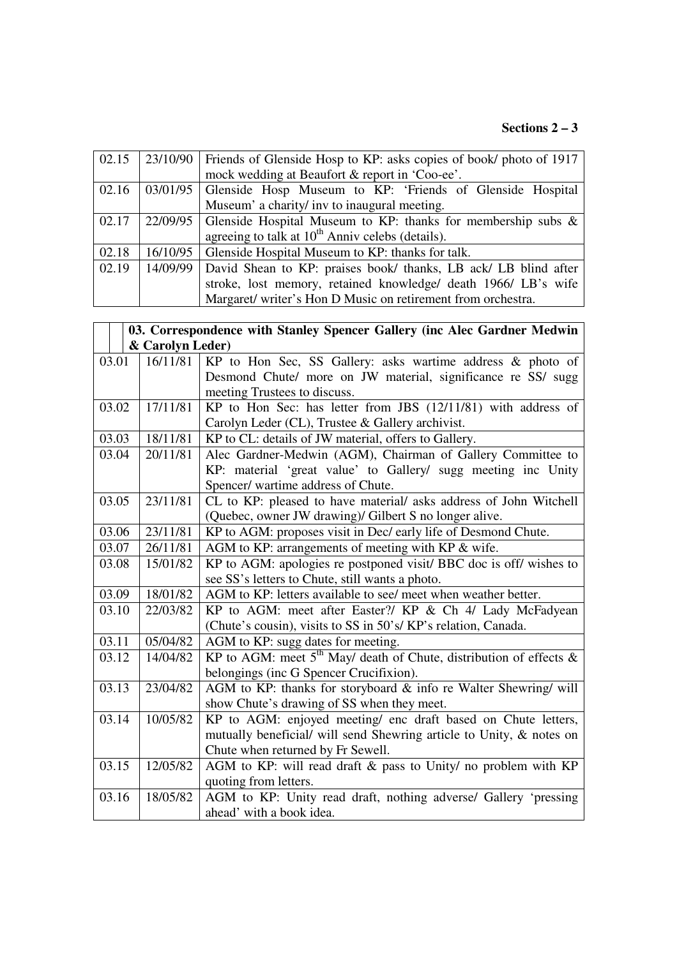# **Sections 2 – 3**

| 02.15 | 23/10/90 | Friends of Glenside Hosp to KP: asks copies of book/ photo of 1917 |
|-------|----------|--------------------------------------------------------------------|
|       |          | mock wedding at Beaufort & report in 'Coo-ee'.                     |
| 02.16 |          | 03/01/95 Glenside Hosp Museum to KP: 'Friends of Glenside Hospital |
|       |          | Museum' a charity/ inv to inaugural meeting.                       |
| 02.17 | 22/09/95 | Glenside Hospital Museum to KP: thanks for membership subs &       |
|       |          | agreeing to talk at $10^{th}$ Anniv celebs (details).              |
| 02.18 | 16/10/95 | Glenside Hospital Museum to KP: thanks for talk.                   |
| 02.19 | 14/09/99 | David Shean to KP: praises book/ thanks, LB ack/ LB blind after    |
|       |          | stroke, lost memory, retained knowledge/ death 1966/ LB's wife     |
|       |          | Margaret/ writer's Hon D Music on retirement from orchestra.       |

|       |                  | 03. Correspondence with Stanley Spencer Gallery (inc Alec Gardner Medwin |  |
|-------|------------------|--------------------------------------------------------------------------|--|
|       | & Carolyn Leder) |                                                                          |  |
| 03.01 | 16/11/81         | KP to Hon Sec, SS Gallery: asks wartime address & photo of               |  |
|       |                  | Desmond Chute/ more on JW material, significance re SS/ sugg             |  |
|       |                  | meeting Trustees to discuss.                                             |  |
| 03.02 | 17/11/81         | KP to Hon Sec: has letter from JBS (12/11/81) with address of            |  |
|       |                  | Carolyn Leder (CL), Trustee & Gallery archivist.                         |  |
| 03.03 | 18/11/81         | KP to CL: details of JW material, offers to Gallery.                     |  |
| 03.04 | 20/11/81         | Alec Gardner-Medwin (AGM), Chairman of Gallery Committee to              |  |
|       |                  | KP: material 'great value' to Gallery/ sugg meeting inc Unity            |  |
|       |                  | Spencer/ wartime address of Chute.                                       |  |
| 03.05 | 23/11/81         | CL to KP: pleased to have material/ asks address of John Witchell        |  |
|       |                  | (Quebec, owner JW drawing)/ Gilbert S no longer alive.                   |  |
| 03.06 | 23/11/81         | KP to AGM: proposes visit in Dec/ early life of Desmond Chute.           |  |
| 03.07 | 26/11/81         | AGM to KP: arrangements of meeting with KP & wife.                       |  |
| 03.08 | 15/01/82         | KP to AGM: apologies re postponed visit/ BBC doc is off/ wishes to       |  |
|       |                  | see SS's letters to Chute, still wants a photo.                          |  |
| 03.09 | 18/01/82         | AGM to KP: letters available to see/ meet when weather better.           |  |
| 03.10 | 22/03/82         | KP to AGM: meet after Easter?/ KP & Ch 4/ Lady McFadyean                 |  |
|       |                  | (Chute's cousin), visits to SS in 50's/ KP's relation, Canada.           |  |
| 03.11 | 05/04/82         | AGM to KP: sugg dates for meeting.                                       |  |
| 03.12 | 14/04/82         | KP to AGM: meet $5th$ May/ death of Chute, distribution of effects &     |  |
|       |                  | belongings (inc G Spencer Crucifixion).                                  |  |
| 03.13 | 23/04/82         | AGM to KP: thanks for storyboard & info re Walter Shewring/ will         |  |
|       |                  | show Chute's drawing of SS when they meet.                               |  |
| 03.14 | 10/05/82         | KP to AGM: enjoyed meeting/ enc draft based on Chute letters,            |  |
|       |                  | mutually beneficial/ will send Shewring article to Unity, & notes on     |  |
|       |                  | Chute when returned by Fr Sewell.                                        |  |
| 03.15 | 12/05/82         | AGM to KP: will read draft & pass to Unity/ no problem with KP           |  |
|       |                  | quoting from letters.                                                    |  |
| 03.16 | 18/05/82         | AGM to KP: Unity read draft, nothing adverse/ Gallery 'pressing          |  |
|       |                  | ahead' with a book idea.                                                 |  |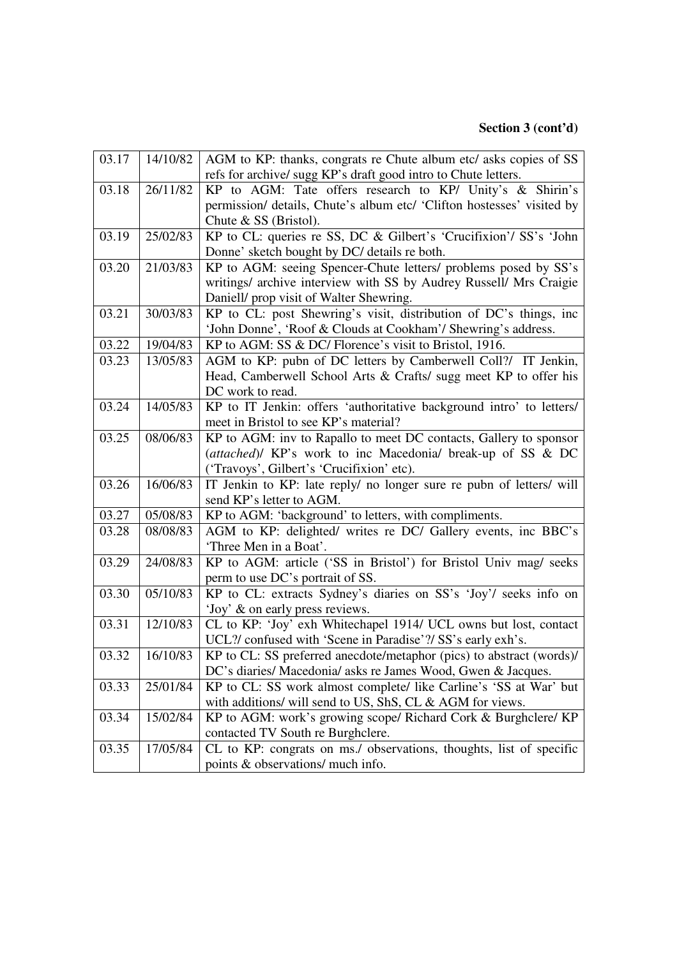| 03.17 | 14/10/82 | AGM to KP: thanks, congrats re Chute album etc/ asks copies of SS      |
|-------|----------|------------------------------------------------------------------------|
|       |          | refs for archive/sugg KP's draft good intro to Chute letters.          |
| 03.18 | 26/11/82 | KP to AGM: Tate offers research to KP/ Unity's & Shirin's              |
|       |          | permission/ details, Chute's album etc/ 'Clifton hostesses' visited by |
|       |          | Chute $&$ SS (Bristol).                                                |
| 03.19 | 25/02/83 | KP to CL: queries re SS, DC & Gilbert's 'Crucifixion'/ SS's 'John      |
|       |          | Donne' sketch bought by DC/ details re both.                           |
| 03.20 | 21/03/83 | KP to AGM: seeing Spencer-Chute letters/ problems posed by SS's        |
|       |          | writings/ archive interview with SS by Audrey Russell/ Mrs Craigie     |
|       |          | Daniell/ prop visit of Walter Shewring.                                |
| 03.21 | 30/03/83 | KP to CL: post Shewring's visit, distribution of DC's things, inc      |
|       |          | 'John Donne', 'Roof & Clouds at Cookham'/ Shewring's address.          |
| 03.22 | 19/04/83 | KP to AGM: SS & DC/ Florence's visit to Bristol, 1916.                 |
| 03.23 | 13/05/83 | AGM to KP: pubn of DC letters by Camberwell Coll?/ IT Jenkin,          |
|       |          | Head, Camberwell School Arts & Crafts/ sugg meet KP to offer his       |
|       |          | DC work to read.                                                       |
| 03.24 | 14/05/83 | KP to IT Jenkin: offers 'authoritative background intro' to letters/   |
|       |          | meet in Bristol to see KP's material?                                  |
| 03.25 | 08/06/83 | KP to AGM: inv to Rapallo to meet DC contacts, Gallery to sponsor      |
|       |          | (attached)/ KP's work to inc Macedonia/ break-up of SS & DC            |
|       |          | ('Travoys', Gilbert's 'Crucifixion' etc).                              |
| 03.26 | 16/06/83 | IT Jenkin to KP: late reply/ no longer sure re pubn of letters/ will   |
|       |          | send KP's letter to AGM.                                               |
| 03.27 | 05/08/83 | KP to AGM: 'background' to letters, with compliments.                  |
| 03.28 | 08/08/83 | AGM to KP: delighted/ writes re DC/ Gallery events, inc BBC's          |
|       |          | 'Three Men in a Boat'.                                                 |
| 03.29 | 24/08/83 | KP to AGM: article ('SS in Bristol') for Bristol Univ mag/ seeks       |
|       |          | perm to use DC's portrait of SS.                                       |
| 03.30 | 05/10/83 | KP to CL: extracts Sydney's diaries on SS's 'Joy'/ seeks info on       |
|       |          | 'Joy' & on early press reviews.                                        |
| 03.31 | 12/10/83 | CL to KP: 'Joy' exh Whitechapel 1914/ UCL owns but lost, contact       |
|       |          | UCL?/ confused with 'Scene in Paradise'?/ SS's early exh's.            |
| 03.32 | 16/10/83 | KP to CL: SS preferred anecdote/metaphor (pics) to abstract (words)/   |
|       |          | DC's diaries/ Macedonia/ asks re James Wood, Gwen & Jacques.           |
| 03.33 | 25/01/84 | KP to CL: SS work almost complete/ like Carline's 'SS at War' but      |
|       |          | with additions/ will send to US, ShS, CL & AGM for views.              |
| 03.34 | 15/02/84 | KP to AGM: work's growing scope/ Richard Cork & Burghclere/ KP         |
|       |          | contacted TV South re Burghclere.                                      |
| 03.35 | 17/05/84 | CL to KP: congrats on ms./ observations, thoughts, list of specific    |
|       |          | points & observations/ much info.                                      |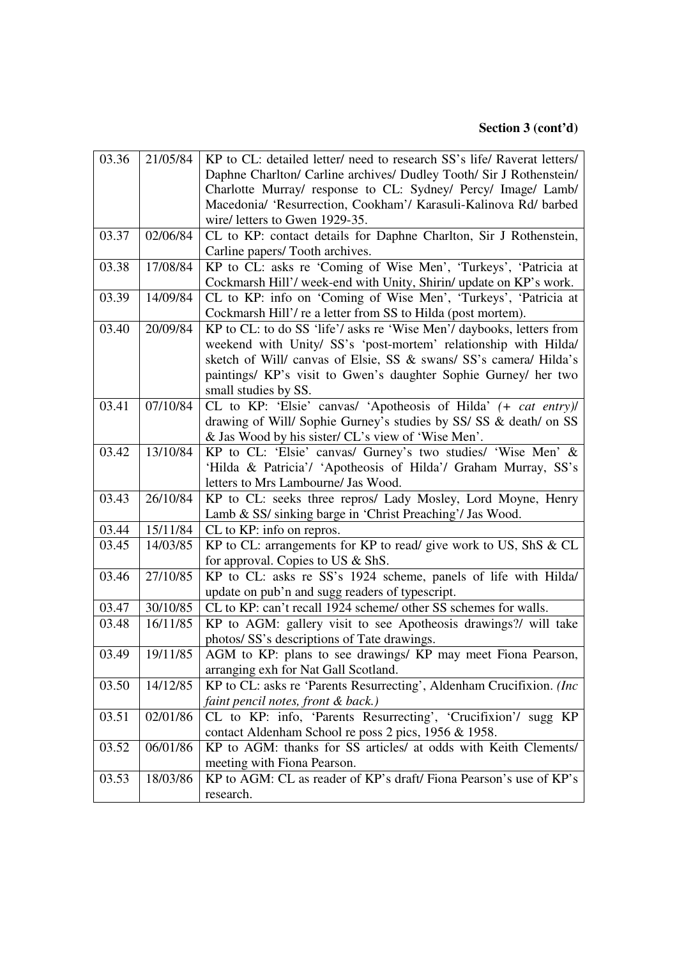| 03.36 | 21/05/84 | KP to CL: detailed letter/ need to research SS's life/ Raverat letters/ |
|-------|----------|-------------------------------------------------------------------------|
|       |          | Daphne Charlton/ Carline archives/ Dudley Tooth/ Sir J Rothenstein/     |
|       |          | Charlotte Murray/ response to CL: Sydney/ Percy/ Image/ Lamb/           |
|       |          | Macedonia/ 'Resurrection, Cookham'/ Karasuli-Kalinova Rd/ barbed        |
|       |          | wire/ letters to Gwen 1929-35.                                          |
| 03.37 | 02/06/84 | CL to KP: contact details for Daphne Charlton, Sir J Rothenstein,       |
|       |          | Carline papers/Tooth archives.                                          |
| 03.38 | 17/08/84 | KP to CL: asks re 'Coming of Wise Men', 'Turkeys', 'Patricia at         |
|       |          | Cockmarsh Hill'/ week-end with Unity, Shirin/ update on KP's work.      |
| 03.39 | 14/09/84 | CL to KP: info on 'Coming of Wise Men', 'Turkeys', 'Patricia at         |
|       |          | Cockmarsh Hill'/ re a letter from SS to Hilda (post mortem).            |
| 03.40 | 20/09/84 | KP to CL: to do SS 'life'/ asks re 'Wise Men'/ daybooks, letters from   |
|       |          | weekend with Unity/ SS's 'post-mortem' relationship with Hilda/         |
|       |          | sketch of Will/ canvas of Elsie, SS & swans/ SS's camera/ Hilda's       |
|       |          | paintings/ KP's visit to Gwen's daughter Sophie Gurney/ her two         |
|       |          | small studies by SS.                                                    |
| 03.41 | 07/10/84 | CL to KP: 'Elsie' canvas/ 'Apotheosis of Hilda' (+ cat entry)/          |
|       |          | drawing of Will/ Sophie Gurney's studies by SS/ SS & death/ on SS       |
|       |          | & Jas Wood by his sister/ CL's view of 'Wise Men'.                      |
| 03.42 | 13/10/84 | KP to CL: 'Elsie' canvas/ Gurney's two studies/ 'Wise Men' &            |
|       |          | 'Hilda & Patricia'/ 'Apotheosis of Hilda'/ Graham Murray, SS's          |
|       |          | letters to Mrs Lambourne/ Jas Wood.                                     |
| 03.43 | 26/10/84 | KP to CL: seeks three repros/ Lady Mosley, Lord Moyne, Henry            |
|       |          | Lamb & SS/ sinking barge in 'Christ Preaching'/ Jas Wood.               |
| 03.44 | 15/11/84 | CL to KP: info on repros.                                               |
| 03.45 | 14/03/85 | KP to CL: arrangements for KP to read/ give work to US, ShS & CL        |
|       |          | for approval. Copies to US & ShS.                                       |
| 03.46 | 27/10/85 | KP to CL: asks re SS's 1924 scheme, panels of life with Hilda/          |
|       |          | update on pub'n and sugg readers of typescript.                         |
| 03.47 | 30/10/85 | CL to KP: can't recall 1924 scheme/ other SS schemes for walls.         |
| 03.48 | 16/11/85 | KP to AGM: gallery visit to see Apotheosis drawings?/ will take         |
|       |          | photos/ SS's descriptions of Tate drawings.                             |
| 03.49 | 19/11/85 | AGM to KP: plans to see drawings/ KP may meet Fiona Pearson,            |
|       |          | arranging exh for Nat Gall Scotland.                                    |
| 03.50 | 14/12/85 | KP to CL: asks re 'Parents Resurrecting', Aldenham Crucifixion. (Inc.   |
|       |          | faint pencil notes, front & back.)                                      |
| 03.51 | 02/01/86 | CL to KP: info, 'Parents Resurrecting', 'Crucifixion'/ sugg KP          |
|       |          | contact Aldenham School re poss 2 pics, 1956 & 1958.                    |
| 03.52 | 06/01/86 | KP to AGM: thanks for SS articles/ at odds with Keith Clements/         |
|       |          | meeting with Fiona Pearson.                                             |
| 03.53 | 18/03/86 | KP to AGM: CL as reader of KP's draft/Fiona Pearson's use of KP's       |
|       |          | research.                                                               |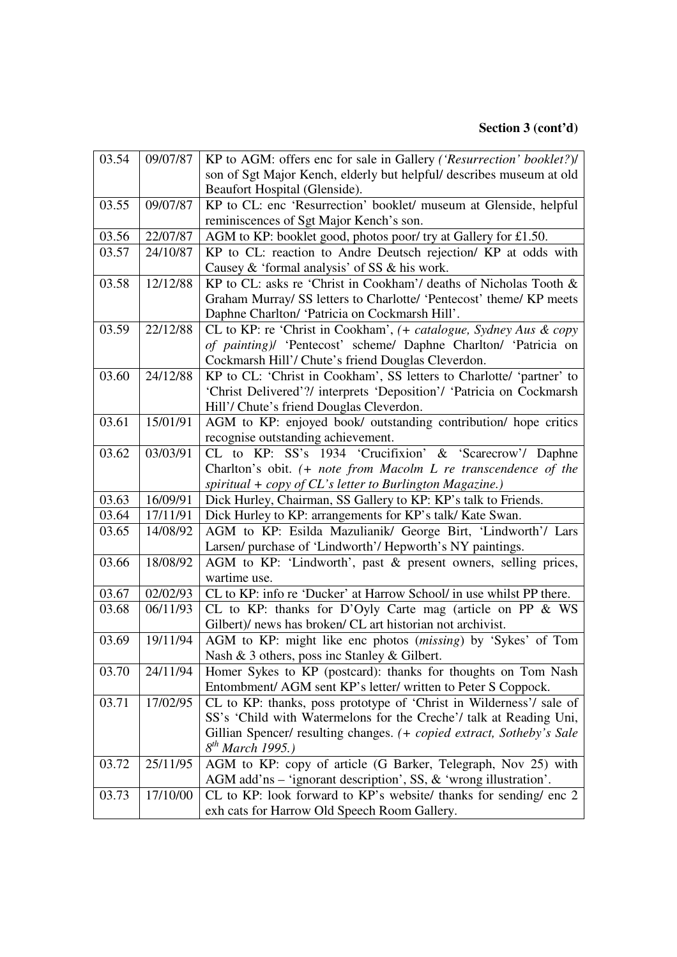| 03.54 | 09/07/87 | KP to AGM: offers enc for sale in Gallery ('Resurrection' booklet?)/  |
|-------|----------|-----------------------------------------------------------------------|
|       |          | son of Sgt Major Kench, elderly but helpful/ describes museum at old  |
|       |          | Beaufort Hospital (Glenside).                                         |
| 03.55 | 09/07/87 | KP to CL: enc 'Resurrection' booklet/ museum at Glenside, helpful     |
|       |          | reminiscences of Sgt Major Kench's son.                               |
| 03.56 | 22/07/87 | AGM to KP: booklet good, photos poor/try at Gallery for £1.50.        |
| 03.57 | 24/10/87 | KP to CL: reaction to Andre Deutsch rejection/ KP at odds with        |
|       |          | Causey & 'formal analysis' of SS & his work.                          |
| 03.58 | 12/12/88 | KP to CL: asks re 'Christ in Cookham'/ deaths of Nicholas Tooth &     |
|       |          | Graham Murray/ SS letters to Charlotte/ 'Pentecost' theme/ KP meets   |
|       |          | Daphne Charlton/ 'Patricia on Cockmarsh Hill'.                        |
| 03.59 | 22/12/88 | CL to KP: re 'Christ in Cookham', (+ catalogue, Sydney Aus & copy     |
|       |          | of painting)/ 'Pentecost' scheme/ Daphne Charlton/ 'Patricia on       |
|       |          | Cockmarsh Hill'/ Chute's friend Douglas Cleverdon.                    |
| 03.60 | 24/12/88 | KP to CL: 'Christ in Cookham', SS letters to Charlotte/ 'partner' to  |
|       |          | 'Christ Delivered'?/ interprets 'Deposition'/ 'Patricia on Cockmarsh' |
|       |          | Hill'/ Chute's friend Douglas Cleverdon.                              |
| 03.61 | 15/01/91 | AGM to KP: enjoyed book/ outstanding contribution/ hope critics       |
|       |          | recognise outstanding achievement.                                    |
| 03.62 | 03/03/91 | CL to KP: SS's 1934 'Crucifixion' & 'Scarecrow'/ Daphne               |
|       |          | Charlton's obit. (+ note from Macolm L re transcendence of the        |
|       |          | spiritual $+$ copy of CL's letter to Burlington Magazine.)            |
| 03.63 | 16/09/91 | Dick Hurley, Chairman, SS Gallery to KP: KP's talk to Friends.        |
| 03.64 | 17/11/91 | Dick Hurley to KP: arrangements for KP's talk/ Kate Swan.             |
| 03.65 | 14/08/92 | AGM to KP: Esilda Mazulianik/ George Birt, 'Lindworth'/ Lars          |
|       |          | Larsen/purchase of 'Lindworth'/ Hepworth's NY paintings.              |
| 03.66 | 18/08/92 | AGM to KP: 'Lindworth', past & present owners, selling prices,        |
|       |          | wartime use.                                                          |
| 03.67 | 02/02/93 | CL to KP: info re 'Ducker' at Harrow School/ in use whilst PP there.  |
| 03.68 | 06/11/93 | CL to KP: thanks for D'Oyly Carte mag (article on PP & WS             |
|       |          | Gilbert)/ news has broken/ CL art historian not archivist.            |
| 03.69 | 19/11/94 | AGM to KP: might like enc photos (missing) by 'Sykes' of Tom          |
|       |          | Nash & 3 others, poss inc Stanley & Gilbert.                          |
| 03.70 | 24/11/94 | Homer Sykes to KP (postcard): thanks for thoughts on Tom Nash         |
|       |          | Entombment/ AGM sent KP's letter/ written to Peter S Coppock.         |
| 03.71 | 17/02/95 | CL to KP: thanks, poss prototype of 'Christ in Wilderness'/ sale of   |
|       |          | SS's 'Child with Watermelons for the Creche'/ talk at Reading Uni,    |
|       |          | Gillian Spencer/ resulting changes. (+ copied extract, Sotheby's Sale |
|       |          | $8^{th}$ March 1995.)                                                 |
| 03.72 | 25/11/95 | AGM to KP: copy of article (G Barker, Telegraph, Nov 25) with         |
|       |          | AGM add'ns - 'ignorant description', SS, & 'wrong illustration'.      |
| 03.73 | 17/10/00 | CL to KP: look forward to KP's website/ thanks for sending/ enc 2     |
|       |          | exh cats for Harrow Old Speech Room Gallery.                          |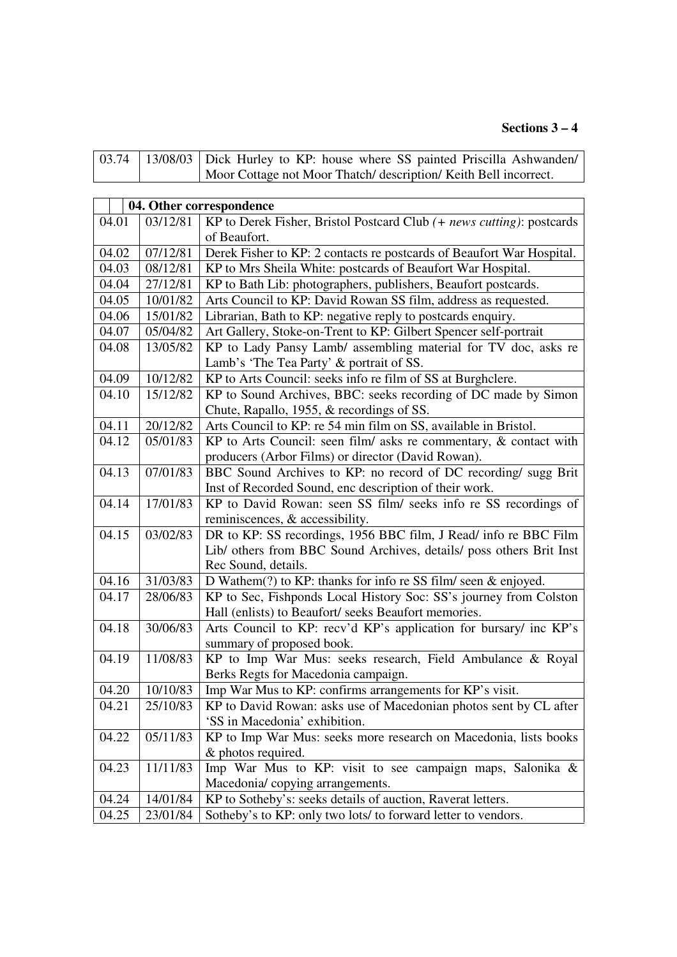#### **Sections 3 – 4**

|  | 03.74   13/08/03   Dick Hurley to KP: house where SS painted Priscilla Ashwanden/ |
|--|-----------------------------------------------------------------------------------|
|  | Moor Cottage not Moor Thatch/ description/ Keith Bell incorrect.                  |
|  |                                                                                   |

| 04. Other correspondence |          |                                                                       |
|--------------------------|----------|-----------------------------------------------------------------------|
| 04.01                    | 03/12/81 | KP to Derek Fisher, Bristol Postcard Club (+ news cutting): postcards |
|                          |          | of Beaufort.                                                          |
| 04.02                    | 07/12/81 | Derek Fisher to KP: 2 contacts re postcards of Beaufort War Hospital. |
| 04.03                    | 08/12/81 | KP to Mrs Sheila White: postcards of Beaufort War Hospital.           |
| 04.04                    | 27/12/81 | KP to Bath Lib: photographers, publishers, Beaufort postcards.        |
| 04.05                    | 10/01/82 | Arts Council to KP: David Rowan SS film, address as requested.        |
| 04.06                    | 15/01/82 | Librarian, Bath to KP: negative reply to postcards enquiry.           |
| 04.07                    | 05/04/82 | Art Gallery, Stoke-on-Trent to KP: Gilbert Spencer self-portrait      |
| 04.08                    | 13/05/82 | KP to Lady Pansy Lamb/ assembling material for TV doc, asks re        |
|                          |          | Lamb's 'The Tea Party' & portrait of SS.                              |
| 04.09                    | 10/12/82 | KP to Arts Council: seeks info re film of SS at Burghclere.           |
| 04.10                    | 15/12/82 | KP to Sound Archives, BBC: seeks recording of DC made by Simon        |
|                          |          | Chute, Rapallo, 1955, & recordings of SS.                             |
| 04.11                    | 20/12/82 | Arts Council to KP: re 54 min film on SS, available in Bristol.       |
| 04.12                    | 05/01/83 | KP to Arts Council: seen film/ asks re commentary, $\&$ contact with  |
|                          |          | producers (Arbor Films) or director (David Rowan).                    |
| 04.13                    | 07/01/83 | BBC Sound Archives to KP: no record of DC recording/ sugg Brit        |
|                          |          | Inst of Recorded Sound, enc description of their work.                |
| 04.14                    | 17/01/83 | KP to David Rowan: seen SS film/ seeks info re SS recordings of       |
|                          |          | reminiscences, & accessibility.                                       |
| 04.15                    | 03/02/83 | DR to KP: SS recordings, 1956 BBC film, J Read/ info re BBC Film      |
|                          |          | Lib/ others from BBC Sound Archives, details/ poss others Brit Inst   |
|                          |          | Rec Sound, details.                                                   |
| 04.16                    | 31/03/83 | D Wathem $(?)$ to KP: thanks for info re SS film/ seen & enjoyed.     |
| 04.17                    | 28/06/83 | KP to Sec, Fishponds Local History Soc: SS's journey from Colston     |
|                          |          | Hall (enlists) to Beaufort/ seeks Beaufort memories.                  |
| 04.18                    | 30/06/83 | Arts Council to KP: recv'd KP's application for bursary/ inc KP's     |
|                          |          | summary of proposed book.                                             |
| 04.19                    | 11/08/83 | KP to Imp War Mus: seeks research, Field Ambulance & Royal            |
|                          |          | Berks Regts for Macedonia campaign.                                   |
| 04.20                    | 10/10/83 | Imp War Mus to KP: confirms arrangements for KP's visit.              |
| 04.21                    | 25/10/83 | KP to David Rowan: asks use of Macedonian photos sent by CL after     |
|                          |          | 'SS in Macedonia' exhibition.                                         |
| 04.22                    | 05/11/83 | KP to Imp War Mus: seeks more research on Macedonia, lists books      |
|                          |          | & photos required.                                                    |
| 04.23                    | 11/11/83 | Imp War Mus to KP: visit to see campaign maps, Salonika &             |
|                          |          | Macedonia/copying arrangements.                                       |
| 04.24                    | 14/01/84 | KP to Sotheby's: seeks details of auction, Raverat letters.           |
| 04.25                    | 23/01/84 | Sotheby's to KP: only two lots/ to forward letter to vendors.         |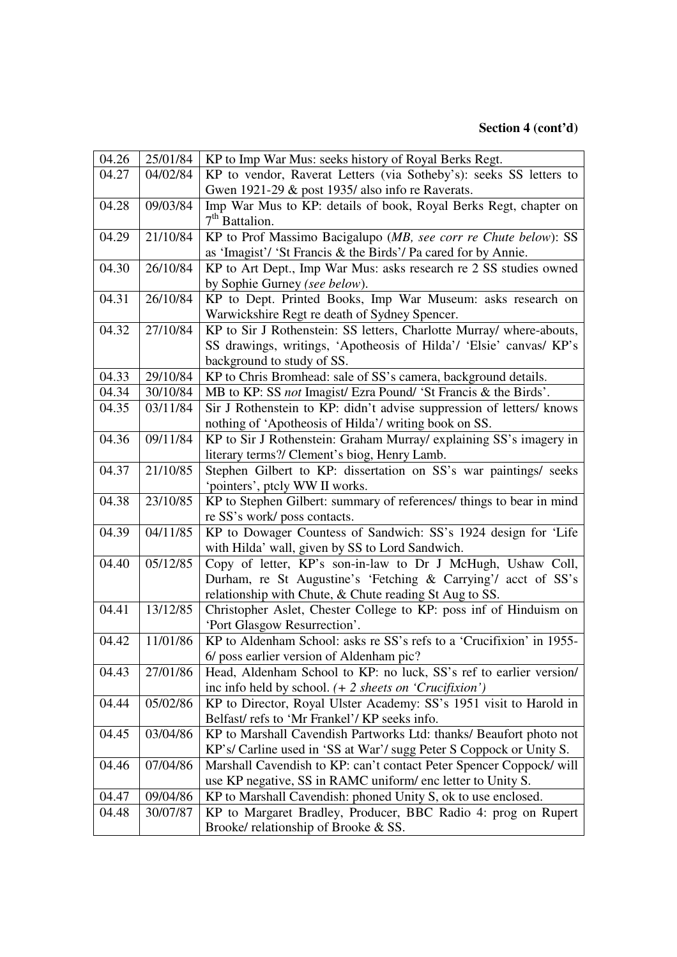| 04.26 | 25/01/84 | KP to Imp War Mus: seeks history of Royal Berks Regt.                                                 |
|-------|----------|-------------------------------------------------------------------------------------------------------|
| 04.27 | 04/02/84 | KP to vendor, Raverat Letters (via Sotheby's): seeks SS letters to                                    |
|       |          | Gwen 1921-29 & post 1935/ also info re Raverats.                                                      |
| 04.28 | 09/03/84 | Imp War Mus to KP: details of book, Royal Berks Regt, chapter on                                      |
|       |          | $7th$ Battalion.                                                                                      |
| 04.29 | 21/10/84 | KP to Prof Massimo Bacigalupo (MB, see corr re Chute below): SS                                       |
|       |          | as 'Imagist'/ 'St Francis & the Birds'/ Pa cared for by Annie.                                        |
| 04.30 | 26/10/84 | KP to Art Dept., Imp War Mus: asks research re 2 SS studies owned                                     |
|       |          | by Sophie Gurney (see below).                                                                         |
| 04.31 | 26/10/84 | KP to Dept. Printed Books, Imp War Museum: asks research on                                           |
|       |          | Warwickshire Regt re death of Sydney Spencer.                                                         |
| 04.32 | 27/10/84 | KP to Sir J Rothenstein: SS letters, Charlotte Murray/ where-abouts,                                  |
|       |          | SS drawings, writings, 'Apotheosis of Hilda'/ 'Elsie' canvas/ KP's                                    |
|       |          | background to study of SS.                                                                            |
| 04.33 | 29/10/84 | KP to Chris Bromhead: sale of SS's camera, background details.                                        |
| 04.34 | 30/10/84 | MB to KP: SS not Imagist/ Ezra Pound/ 'St Francis & the Birds'.                                       |
| 04.35 | 03/11/84 | Sir J Rothenstein to KP: didn't advise suppression of letters/ knows                                  |
|       |          | nothing of 'Apotheosis of Hilda'/ writing book on SS.                                                 |
| 04.36 | 09/11/84 | KP to Sir J Rothenstein: Graham Murray/ explaining SS's imagery in                                    |
|       |          | literary terms?/ Clement's biog, Henry Lamb.                                                          |
| 04.37 | 21/10/85 | Stephen Gilbert to KP: dissertation on SS's war paintings/ seeks                                      |
|       |          | 'pointers', ptcly WW II works.                                                                        |
|       |          |                                                                                                       |
| 04.38 | 23/10/85 | KP to Stephen Gilbert: summary of references/ things to bear in mind                                  |
|       |          | re SS's work/ poss contacts.                                                                          |
| 04.39 | 04/11/85 | KP to Dowager Countess of Sandwich: SS's 1924 design for 'Life                                        |
|       |          | with Hilda' wall, given by SS to Lord Sandwich.                                                       |
| 04.40 | 05/12/85 | Copy of letter, KP's son-in-law to Dr J McHugh, Ushaw Coll,                                           |
|       |          | Durham, re St Augustine's 'Fetching & Carrying'/ acct of SS's                                         |
|       |          | relationship with Chute, & Chute reading St Aug to SS.                                                |
| 04.41 | 13/12/85 | Christopher Aslet, Chester College to KP: poss inf of Hinduism on                                     |
|       |          | 'Port Glasgow Resurrection'.                                                                          |
| 04.42 | 11/01/86 | KP to Aldenham School: asks re SS's refs to a 'Crucifixion' in 1955-                                  |
|       |          | 6/ poss earlier version of Aldenham pic?                                                              |
| 04.43 | 27/01/86 | Head, Aldenham School to KP: no luck, SS's ref to earlier version/                                    |
|       |          | inc info held by school. $(+ 2$ sheets on 'Crucifixion')                                              |
| 04.44 | 05/02/86 | KP to Director, Royal Ulster Academy: SS's 1951 visit to Harold in                                    |
|       |          | Belfast/refs to 'Mr Frankel'/ KP seeks info.                                                          |
| 04.45 | 03/04/86 | KP to Marshall Cavendish Partworks Ltd: thanks/ Beaufort photo not                                    |
|       |          | KP's/ Carline used in 'SS at War'/ sugg Peter S Coppock or Unity S.                                   |
| 04.46 | 07/04/86 | Marshall Cavendish to KP: can't contact Peter Spencer Coppock/ will                                   |
|       |          | use KP negative, SS in RAMC uniform/ enc letter to Unity S.                                           |
| 04.47 | 09/04/86 | KP to Marshall Cavendish: phoned Unity S, ok to use enclosed.                                         |
| 04.48 | 30/07/87 | KP to Margaret Bradley, Producer, BBC Radio 4: prog on Rupert<br>Brooke/ relationship of Brooke & SS. |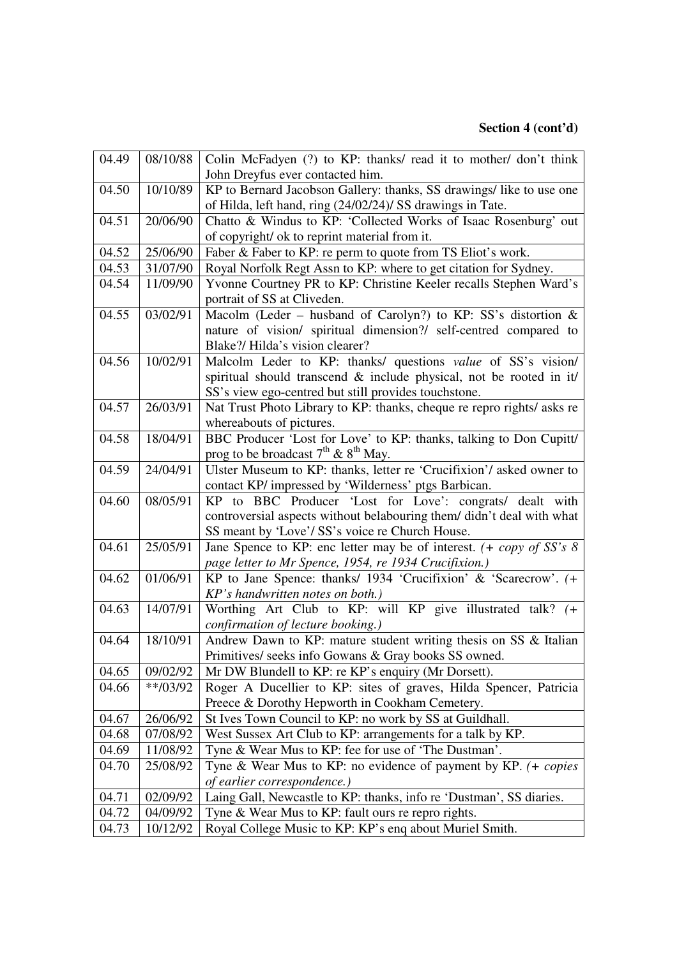| 04.49 | 08/10/88   | Colin McFadyen (?) to KP: thanks/ read it to mother/ don't think       |
|-------|------------|------------------------------------------------------------------------|
|       |            | John Dreyfus ever contacted him.                                       |
| 04.50 | 10/10/89   | KP to Bernard Jacobson Gallery: thanks, SS drawings/ like to use one   |
|       |            | of Hilda, left hand, ring (24/02/24)/ SS drawings in Tate.             |
| 04.51 | 20/06/90   | Chatto & Windus to KP: 'Collected Works of Isaac Rosenburg' out        |
|       |            | of copyright/ ok to reprint material from it.                          |
| 04.52 | 25/06/90   | Faber & Faber to KP: re perm to quote from TS Eliot's work.            |
| 04.53 | 31/07/90   | Royal Norfolk Regt Assn to KP: where to get citation for Sydney.       |
| 04.54 | 11/09/90   | Yvonne Courtney PR to KP: Christine Keeler recalls Stephen Ward's      |
|       |            | portrait of SS at Cliveden.                                            |
| 04.55 | 03/02/91   | Macolm (Leder - husband of Carolyn?) to KP: SS's distortion &          |
|       |            | nature of vision/ spiritual dimension?/ self-centred compared to       |
|       |            | Blake?/ Hilda's vision clearer?                                        |
| 04.56 | 10/02/91   | Malcolm Leder to KP: thanks/ questions value of SS's vision/           |
|       |            | spiritual should transcend & include physical, not be rooted in it/    |
|       |            | SS's view ego-centred but still provides touchstone.                   |
| 04.57 | 26/03/91   | Nat Trust Photo Library to KP: thanks, cheque re repro rights/ asks re |
|       |            | whereabouts of pictures.                                               |
| 04.58 | 18/04/91   | BBC Producer 'Lost for Love' to KP: thanks, talking to Don Cupitt/     |
|       |            | prog to be broadcast $7th$ & $8th$ May.                                |
| 04.59 | 24/04/91   | Ulster Museum to KP: thanks, letter re 'Crucifixion'/ asked owner to   |
|       |            | contact KP/ impressed by 'Wilderness' ptgs Barbican.                   |
| 04.60 | 08/05/91   | KP to BBC Producer 'Lost for Love': congrats/ dealt with               |
|       |            | controversial aspects without belabouring them/ didn't deal with what  |
|       |            | SS meant by 'Love'/ SS's voice re Church House.                        |
| 04.61 | 25/05/91   | Jane Spence to KP: enc letter may be of interest. $(+ copy of SS's 8)$ |
|       |            | page letter to Mr Spence, 1954, re 1934 Crucifixion.)                  |
| 04.62 | 01/06/91   | KP to Jane Spence: thanks/ 1934 'Crucifixion' & 'Scarecrow'. (+        |
|       |            | KP's handwritten notes on both.)                                       |
| 04.63 | 14/07/91   | Worthing Art Club to KP: will KP give illustrated talk? (+             |
|       |            | confirmation of lecture booking.)                                      |
| 04.64 | 18/10/91   | Andrew Dawn to KP: mature student writing thesis on SS & Italian       |
|       |            | Primitives/ seeks info Gowans & Gray books SS owned.                   |
| 04.65 | 09/02/92   | Mr DW Blundell to KP: re KP's enquiry (Mr Dorsett).                    |
| 04.66 | $**/03/92$ | Roger A Ducellier to KP: sites of graves, Hilda Spencer, Patricia      |
|       |            | Preece & Dorothy Hepworth in Cookham Cemetery.                         |
| 04.67 | 26/06/92   | St Ives Town Council to KP: no work by SS at Guildhall.                |
| 04.68 | 07/08/92   | West Sussex Art Club to KP: arrangements for a talk by KP.             |
| 04.69 | 11/08/92   | Tyne & Wear Mus to KP: fee for use of 'The Dustman'.                   |
| 04.70 | 25/08/92   | Tyne & Wear Mus to KP: no evidence of payment by KP. $( + copies)$     |
|       |            | of earlier correspondence.)                                            |
| 04.71 | 02/09/92   | Laing Gall, Newcastle to KP: thanks, info re 'Dustman', SS diaries.    |
| 04.72 | 04/09/92   | Tyne & Wear Mus to KP: fault ours re repro rights.                     |
| 04.73 | 10/12/92   | Royal College Music to KP: KP's enq about Muriel Smith.                |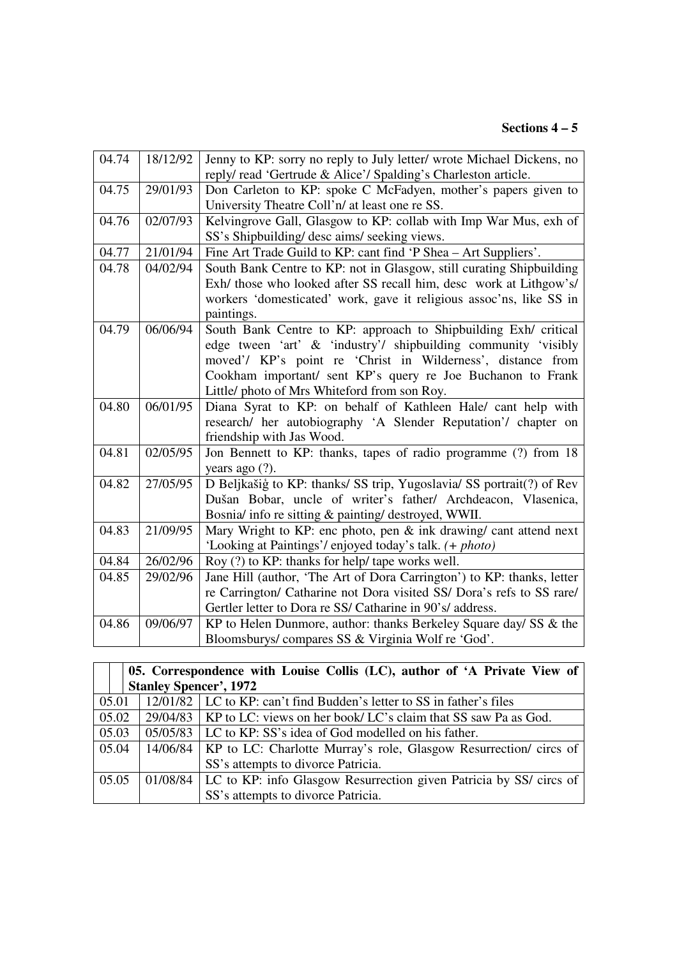| 04.74 | 18/12/92 | Jenny to KP: sorry no reply to July letter/ wrote Michael Dickens, no  |
|-------|----------|------------------------------------------------------------------------|
|       |          | reply/read 'Gertrude & Alice'/ Spalding's Charleston article.          |
| 04.75 | 29/01/93 | Don Carleton to KP: spoke C McFadyen, mother's papers given to         |
|       |          | University Theatre Coll'n/ at least one re SS.                         |
| 04.76 | 02/07/93 | Kelvingrove Gall, Glasgow to KP: collab with Imp War Mus, exh of       |
|       |          | SS's Shipbuilding/ desc aims/ seeking views.                           |
| 04.77 | 21/01/94 | Fine Art Trade Guild to KP: cant find 'P Shea - Art Suppliers'.        |
| 04.78 | 04/02/94 | South Bank Centre to KP: not in Glasgow, still curating Shipbuilding   |
|       |          | Exh/ those who looked after SS recall him, desc work at Lithgow's/     |
|       |          | workers 'domesticated' work, gave it religious assoc'ns, like SS in    |
|       |          | paintings.                                                             |
| 04.79 | 06/06/94 | South Bank Centre to KP: approach to Shipbuilding Exh/ critical        |
|       |          | edge tween 'art' & 'industry'/ shipbuilding community 'visibly         |
|       |          | moved'/ KP's point re 'Christ in Wilderness', distance from            |
|       |          | Cookham important/ sent KP's query re Joe Buchanon to Frank            |
|       |          | Little/ photo of Mrs Whiteford from son Roy.                           |
| 04.80 | 06/01/95 | Diana Syrat to KP: on behalf of Kathleen Hale/ cant help with          |
|       |          | research/ her autobiography 'A Slender Reputation'/ chapter on         |
|       |          | friendship with Jas Wood.                                              |
| 04.81 | 02/05/95 | Jon Bennett to KP: thanks, tapes of radio programme (?) from 18        |
|       |          | years ago $(?)$ .                                                      |
| 04.82 | 27/05/95 | D Beljkašig to KP: thanks/ SS trip, Yugoslavia/ SS portrait(?) of Rev  |
|       |          | Dušan Bobar, uncle of writer's father/ Archdeacon, Vlasenica,          |
|       |          | Bosnia/ info re sitting & painting/ destroyed, WWII.                   |
| 04.83 | 21/09/95 | Mary Wright to KP: enc photo, pen & ink drawing/ cant attend next      |
|       |          | 'Looking at Paintings'/enjoyed today's talk. (+ photo)                 |
| 04.84 | 26/02/96 | Roy (?) to KP: thanks for help/ tape works well.                       |
| 04.85 | 29/02/96 | Jane Hill (author, 'The Art of Dora Carrington') to KP: thanks, letter |
|       |          | re Carrington/ Catharine not Dora visited SS/ Dora's refs to SS rare/  |
|       |          | Gertler letter to Dora re SS/ Catharine in 90's/ address.              |
| 04.86 | 09/06/97 | KP to Helen Dunmore, author: thanks Berkeley Square day/ SS & the      |
|       |          | Bloomsburys/compares SS & Virginia Wolf re 'God'.                      |

|       | 05. Correspondence with Louise Collis (LC), author of 'A Private View of |                                                                               |  |
|-------|--------------------------------------------------------------------------|-------------------------------------------------------------------------------|--|
|       | <b>Stanley Spencer', 1972</b>                                            |                                                                               |  |
| 05.01 |                                                                          | 12/01/82   LC to KP: can't find Budden's letter to SS in father's files       |  |
| 05.02 |                                                                          | $29/04/83$   KP to LC: views on her book/ LC's claim that SS saw Pa as God.   |  |
| 05.03 |                                                                          | 05/05/83 LC to KP: SS's idea of God modelled on his father.                   |  |
| 05.04 |                                                                          | 14/06/84   KP to LC: Charlotte Murray's role, Glasgow Resurrection/ circs of  |  |
|       |                                                                          | SS's attempts to divorce Patricia.                                            |  |
| 05.05 |                                                                          | 01/08/84   LC to KP: info Glasgow Resurrection given Patricia by SS/ circs of |  |
|       |                                                                          | SS's attempts to divorce Patricia.                                            |  |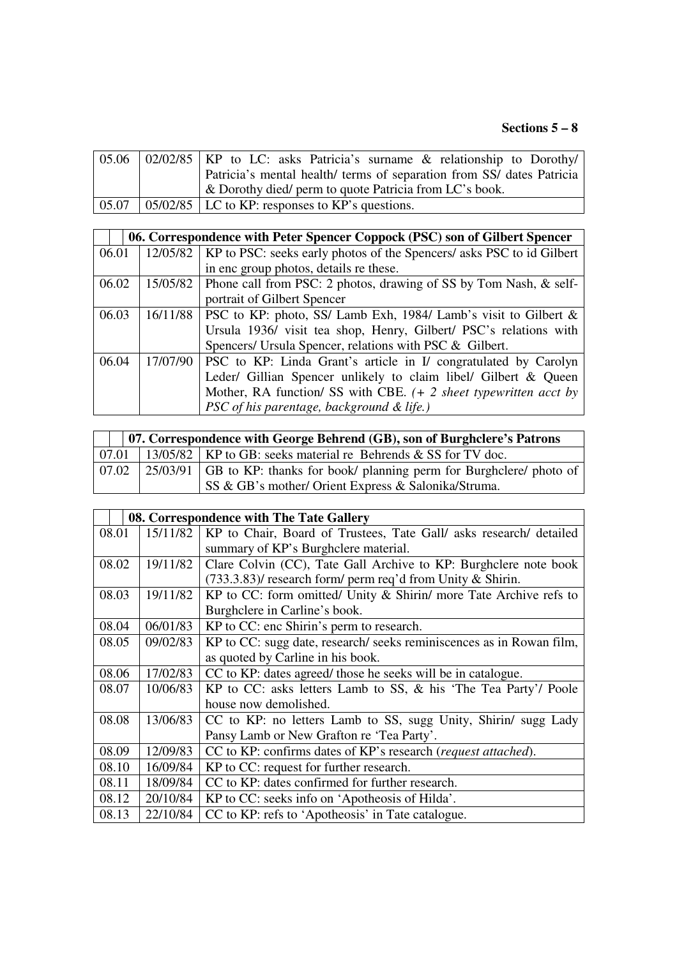|  | $\vert 05.06 \vert 02/02/85 \vert$ KP to LC: asks Patricia's surname & relationship to Dorothy |
|--|------------------------------------------------------------------------------------------------|
|  | Patricia's mental health/ terms of separation from SS/ dates Patricia                          |
|  | & Dorothy died/ perm to quote Patricia from LC's book.                                         |
|  | $\vert 05.07 \vert 05/02/85 \vert$ LC to KP: responses to KP's questions.                      |

|       | 06. Correspondence with Peter Spencer Coppock (PSC) son of Gilbert Spencer |                                                                                  |  |  |
|-------|----------------------------------------------------------------------------|----------------------------------------------------------------------------------|--|--|
| 06.01 |                                                                            | 12/05/82   KP to PSC: seeks early photos of the Spencers/ asks PSC to id Gilbert |  |  |
|       |                                                                            | in enc group photos, details re these.                                           |  |  |
| 06.02 | 15/05/82                                                                   | Phone call from PSC: 2 photos, drawing of SS by Tom Nash, & self-                |  |  |
|       |                                                                            | portrait of Gilbert Spencer                                                      |  |  |
| 06.03 | 16/11/88                                                                   | PSC to KP: photo, SS/ Lamb Exh, 1984/ Lamb's visit to Gilbert &                  |  |  |
|       |                                                                            | Ursula 1936/ visit tea shop, Henry, Gilbert/ PSC's relations with                |  |  |
|       |                                                                            | Spencers/ Ursula Spencer, relations with PSC & Gilbert.                          |  |  |
| 06.04 | 17/07/90                                                                   | PSC to KP: Linda Grant's article in I/ congratulated by Carolyn                  |  |  |
|       |                                                                            | Leder/ Gillian Spencer unlikely to claim libel/ Gilbert & Queen                  |  |  |
|       |                                                                            | Mother, RA function/ SS with CBE. $(+ 2$ sheet typewritten acct by               |  |  |
|       |                                                                            | PSC of his parentage, background & life.)                                        |  |  |

|       | 07. Correspondence with George Behrend (GB), son of Burghclere's Patrons |                                                                              |  |  |
|-------|--------------------------------------------------------------------------|------------------------------------------------------------------------------|--|--|
| 07.01 |                                                                          | 13/05/82   KP to GB: seeks material re Behrends & SS for TV doc.             |  |  |
| 07.02 |                                                                          | [25/03/91] GB to KP: thanks for book/ planning perm for Burghclere/ photo of |  |  |
|       |                                                                          | SS & GB's mother/ Orient Express & Salonika/Struma.                          |  |  |

|       | 08. Correspondence with The Tate Gallery |                                                                        |  |
|-------|------------------------------------------|------------------------------------------------------------------------|--|
| 08.01 | 15/11/82                                 | KP to Chair, Board of Trustees, Tate Gall/ asks research/ detailed     |  |
|       |                                          | summary of KP's Burghclere material.                                   |  |
| 08.02 | 19/11/82                                 | Clare Colvin (CC), Tate Gall Archive to KP: Burghclere note book       |  |
|       |                                          | $(733.3.83)$ / research form/ perm req'd from Unity & Shirin.          |  |
| 08.03 | 19/11/82                                 | KP to CC: form omitted/ Unity $\&$ Shirin/ more Tate Archive refs to   |  |
|       |                                          | Burghclere in Carline's book.                                          |  |
| 08.04 | 06/01/83                                 | KP to CC: enc Shirin's perm to research.                               |  |
| 08.05 | 09/02/83                                 | KP to CC: sugg date, research/ seeks reminiscences as in Rowan film,   |  |
|       |                                          | as quoted by Carline in his book.                                      |  |
| 08.06 | 17/02/83                                 | CC to KP: dates agreed/ those he seeks will be in catalogue.           |  |
| 08.07 | 10/06/83                                 | KP to CC: asks letters Lamb to SS, & his 'The Tea Party'/ Poole        |  |
|       |                                          | house now demolished.                                                  |  |
| 08.08 | 13/06/83                                 | CC to KP: no letters Lamb to SS, sugg Unity, Shirin/ sugg Lady         |  |
|       |                                          | Pansy Lamb or New Grafton re 'Tea Party'.                              |  |
| 08.09 | 12/09/83                                 | CC to KP: confirms dates of KP's research ( <i>request attached</i> ). |  |
| 08.10 | 16/09/84                                 | KP to CC: request for further research.                                |  |
| 08.11 | 18/09/84                                 | CC to KP: dates confirmed for further research.                        |  |
| 08.12 | 20/10/84                                 | KP to CC: seeks info on 'Apotheosis of Hilda'.                         |  |
| 08.13 | 22/10/84                                 | CC to KP: refs to 'Apotheosis' in Tate catalogue.                      |  |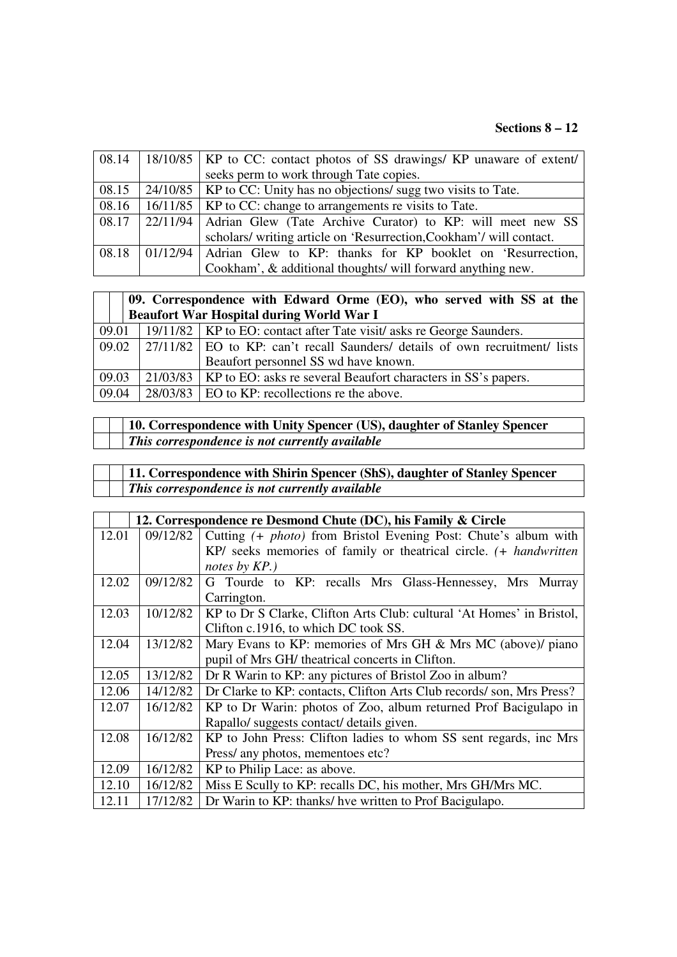# **Sections 8 – 12**

| 08.14 | 18/10/85   KP to CC: contact photos of SS drawings/ KP unaware of extent/         |
|-------|-----------------------------------------------------------------------------------|
|       | seeks perm to work through Tate copies.                                           |
| 08.15 | 24/10/85   KP to CC: Unity has no objections/ sugg two visits to Tate.            |
| 08.16 | 16/11/85   KP to CC: change to arrangements re visits to Tate.                    |
| 08.17 | 22/11/94 Adrian Glew (Tate Archive Curator) to KP: will meet new SS               |
|       | scholars/ writing article on 'Resurrection, Cookham'/ will contact.               |
| 08.18 | $\vert 01/12/94 \vert$ Adrian Glew to KP: thanks for KP booklet on 'Resurrection, |
|       | Cookham', & additional thoughts/ will forward anything new.                       |

|       | 09. Correspondence with Edward Orme $(EO)$ , who served with SS at the |                                                                                              |  |
|-------|------------------------------------------------------------------------|----------------------------------------------------------------------------------------------|--|
|       | <b>Beaufort War Hospital during World War I</b>                        |                                                                                              |  |
| 09.01 |                                                                        | 19/11/82   KP to EO: contact after Tate visit/ asks re George Saunders.                      |  |
| 09.02 |                                                                        | $\left  27/11/82 \right $ EO to KP: can't recall Saunders/ details of own recruitment/ lists |  |
|       |                                                                        | Beaufort personnel SS wd have known.                                                         |  |
| 09.03 |                                                                        | 21/03/83   KP to EO: asks re several Beaufort characters in SS's papers.                     |  |
| 09.04 |                                                                        | $28/03/83$   EO to KP: recollections re the above.                                           |  |

|  | 10. Correspondence with Unity Spencer (US), daughter of Stanley Spencer |
|--|-------------------------------------------------------------------------|
|  | $\mid$ This correspondence is not currently available                   |

| 11. Correspondence with Shirin Spencer (ShS), daughter of Stanley Spencer |
|---------------------------------------------------------------------------|
| This correspondence is not currently available                            |

|       |          | 12. Correspondence re Desmond Chute (DC), his Family & Circle           |
|-------|----------|-------------------------------------------------------------------------|
| 12.01 | 09/12/82 | Cutting (+ <i>photo</i> ) from Bristol Evening Post: Chute's album with |
|       |          | KP/ seeks memories of family or theatrical circle. (+ handwritten       |
|       |          | notes by KP.)                                                           |
| 12.02 | 09/12/82 | G Tourde to KP: recalls Mrs Glass-Hennessey, Mrs Murray                 |
|       |          | Carrington.                                                             |
| 12.03 | 10/12/82 | KP to Dr S Clarke, Clifton Arts Club: cultural 'At Homes' in Bristol,   |
|       |          | Clifton c.1916, to which DC took SS.                                    |
| 12.04 | 13/12/82 | Mary Evans to KP: memories of Mrs GH $&$ Mrs MC (above)/ piano          |
|       |          | pupil of Mrs GH/ theatrical concerts in Clifton.                        |
| 12.05 | 13/12/82 | Dr R Warin to KP: any pictures of Bristol Zoo in album?                 |
| 12.06 | 14/12/82 | Dr Clarke to KP: contacts, Clifton Arts Club records/son, Mrs Press?    |
| 12.07 | 16/12/82 | KP to Dr Warin: photos of Zoo, album returned Prof Bacigulapo in        |
|       |          | Rapallo/ suggests contact/ details given.                               |
| 12.08 | 16/12/82 | KP to John Press: Clifton ladies to whom SS sent regards, inc Mrs       |
|       |          | Press/ any photos, mementoes etc?                                       |
| 12.09 | 16/12/82 | KP to Philip Lace: as above.                                            |
| 12.10 | 16/12/82 | Miss E Scully to KP: recalls DC, his mother, Mrs GH/Mrs MC.             |
| 12.11 | 17/12/82 | Dr Warin to KP: thanks/ hve written to Prof Bacigulapo.                 |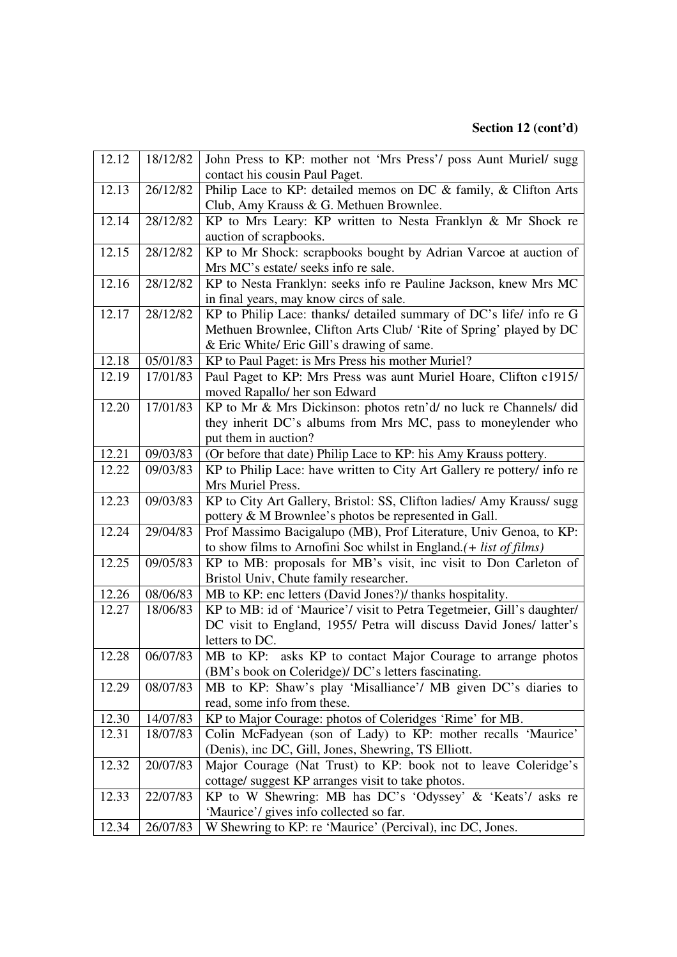# **Section 12 (cont'd)**

| 12.12 | 18/12/82 | John Press to KP: mother not 'Mrs Press'/ poss Aunt Muriel/ sugg        |
|-------|----------|-------------------------------------------------------------------------|
|       |          | contact his cousin Paul Paget.                                          |
| 12.13 | 26/12/82 | Philip Lace to KP: detailed memos on DC & family, & Clifton Arts        |
|       |          | Club, Amy Krauss & G. Methuen Brownlee.                                 |
| 12.14 | 28/12/82 | KP to Mrs Leary: KP written to Nesta Franklyn & Mr Shock re             |
|       |          | auction of scrapbooks.                                                  |
| 12.15 | 28/12/82 | KP to Mr Shock: scrapbooks bought by Adrian Varcoe at auction of        |
|       |          | Mrs MC's estate/ seeks info re sale.                                    |
| 12.16 | 28/12/82 | KP to Nesta Franklyn: seeks info re Pauline Jackson, knew Mrs MC        |
|       |          | in final years, may know circs of sale.                                 |
| 12.17 | 28/12/82 | KP to Philip Lace: thanks/ detailed summary of DC's life/ info re G     |
|       |          | Methuen Brownlee, Clifton Arts Club/ 'Rite of Spring' played by DC      |
|       |          | & Eric White/ Eric Gill's drawing of same.                              |
| 12.18 | 05/01/83 | KP to Paul Paget: is Mrs Press his mother Muriel?                       |
| 12.19 | 17/01/83 | Paul Paget to KP: Mrs Press was aunt Muriel Hoare, Clifton c1915/       |
|       |          | moved Rapallo/ her son Edward                                           |
| 12.20 | 17/01/83 | KP to Mr & Mrs Dickinson: photos retn'd/ no luck re Channels/ did       |
|       |          | they inherit DC's albums from Mrs MC, pass to moneylender who           |
|       |          | put them in auction?                                                    |
| 12.21 | 09/03/83 | (Or before that date) Philip Lace to KP: his Amy Krauss pottery.        |
| 12.22 | 09/03/83 | KP to Philip Lace: have written to City Art Gallery re pottery/ info re |
|       |          | Mrs Muriel Press.                                                       |
| 12.23 | 09/03/83 | KP to City Art Gallery, Bristol: SS, Clifton ladies/ Amy Krauss/ sugg   |
|       |          | pottery & M Brownlee's photos be represented in Gall.                   |
| 12.24 | 29/04/83 | Prof Massimo Bacigalupo (MB), Prof Literature, Univ Genoa, to KP:       |
|       |          | to show films to Arnofini Soc whilst in England. $(+$ list of films)    |
| 12.25 | 09/05/83 | KP to MB: proposals for MB's visit, inc visit to Don Carleton of        |
|       |          | Bristol Univ, Chute family researcher.                                  |
| 12.26 | 08/06/83 | MB to KP: enc letters (David Jones?)/ thanks hospitality.               |
| 12.27 | 18/06/83 | KP to MB: id of 'Maurice'/ visit to Petra Tegetmeier, Gill's daughter/  |
|       |          | DC visit to England, 1955/ Petra will discuss David Jones/ latter's     |
|       |          | letters to DC.                                                          |
| 12.28 | 06/07/83 | MB to KP: asks KP to contact Major Courage to arrange photos            |
|       |          | (BM's book on Coleridge)/ DC's letters fascinating.                     |
| 12.29 | 08/07/83 | MB to KP: Shaw's play 'Misalliance'/ MB given DC's diaries to           |
|       |          | read, some info from these.                                             |
| 12.30 | 14/07/83 | KP to Major Courage: photos of Coleridges 'Rime' for MB.                |
| 12.31 | 18/07/83 | Colin McFadyean (son of Lady) to KP: mother recalls 'Maurice'           |
|       |          | (Denis), inc DC, Gill, Jones, Shewring, TS Elliott.                     |
| 12.32 | 20/07/83 | Major Courage (Nat Trust) to KP: book not to leave Coleridge's          |
|       |          | cottage/ suggest KP arranges visit to take photos.                      |
| 12.33 | 22/07/83 | KP to W Shewring: MB has DC's 'Odyssey' & 'Keats'/ asks re              |
|       |          | 'Maurice'/ gives info collected so far.                                 |
| 12.34 | 26/07/83 | W Shewring to KP: re 'Maurice' (Percival), inc DC, Jones.               |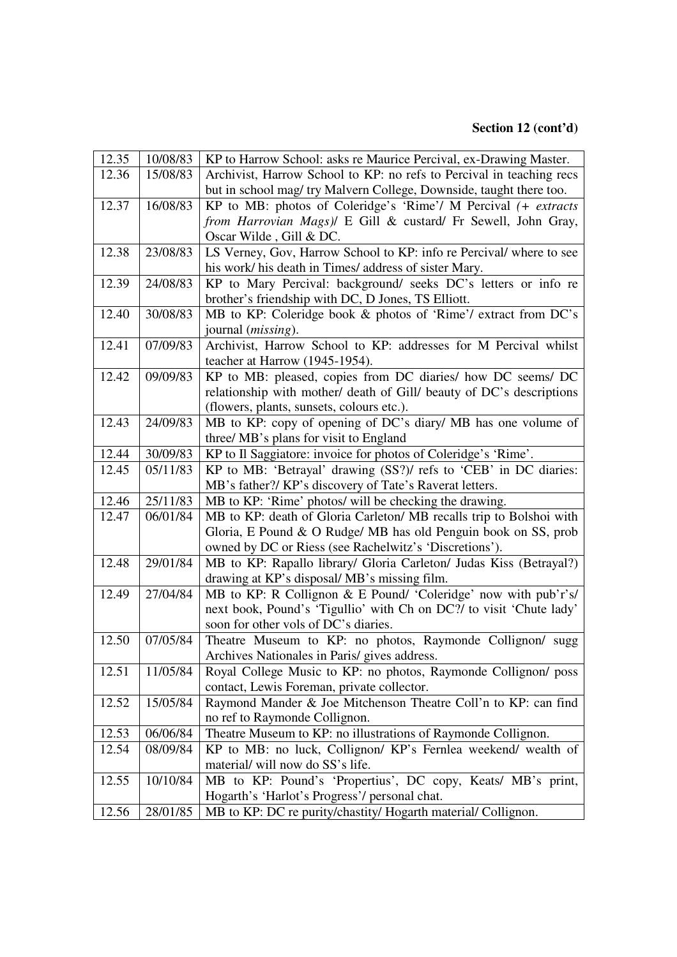# **Section 12 (cont'd)**

| 12.35 | 10/08/83 | KP to Harrow School: asks re Maurice Percival, ex-Drawing Master.    |
|-------|----------|----------------------------------------------------------------------|
| 12.36 | 15/08/83 | Archivist, Harrow School to KP: no refs to Percival in teaching recs |
|       |          | but in school mag/ try Malvern College, Downside, taught there too.  |
| 12.37 | 16/08/83 | KP to MB: photos of Coleridge's 'Rime'/ M Percival (+ extracts       |
|       |          | from Harrovian Mags)/ E Gill & custard/ Fr Sewell, John Gray,        |
|       |          | Oscar Wilde, Gill & DC.                                              |
| 12.38 | 23/08/83 | LS Verney, Gov, Harrow School to KP: info re Percival/ where to see  |
|       |          | his work/ his death in Times/ address of sister Mary.                |
| 12.39 | 24/08/83 | KP to Mary Percival: background/ seeks DC's letters or info re       |
|       |          | brother's friendship with DC, D Jones, TS Elliott.                   |
| 12.40 | 30/08/83 | MB to KP: Coleridge book & photos of 'Rime'/ extract from DC's       |
|       |          | journal ( <i>missing</i> ).                                          |
| 12.41 | 07/09/83 | Archivist, Harrow School to KP: addresses for M Percival whilst      |
|       |          | teacher at Harrow (1945-1954).                                       |
| 12.42 | 09/09/83 | KP to MB: pleased, copies from DC diaries/ how DC seems/ DC          |
|       |          | relationship with mother/ death of Gill/ beauty of DC's descriptions |
|       |          | (flowers, plants, sunsets, colours etc.).                            |
| 12.43 | 24/09/83 | MB to KP: copy of opening of DC's diary/ MB has one volume of        |
|       |          | three/ MB's plans for visit to England                               |
| 12.44 | 30/09/83 | KP to Il Saggiatore: invoice for photos of Coleridge's 'Rime'.       |
| 12.45 | 05/11/83 | KP to MB: 'Betrayal' drawing (SS?)/ refs to 'CEB' in DC diaries:     |
|       |          | MB's father?/ KP's discovery of Tate's Raverat letters.              |
| 12.46 | 25/11/83 | MB to KP: 'Rime' photos/ will be checking the drawing.               |
| 12.47 | 06/01/84 | MB to KP: death of Gloria Carleton/ MB recalls trip to Bolshoi with  |
|       |          | Gloria, E Pound & O Rudge/ MB has old Penguin book on SS, prob       |
|       |          | owned by DC or Riess (see Rachelwitz's 'Discretions').               |
| 12.48 | 29/01/84 | MB to KP: Rapallo library/ Gloria Carleton/ Judas Kiss (Betrayal?)   |
|       |          | drawing at KP's disposal/MB's missing film.                          |
| 12.49 | 27/04/84 | MB to KP: R Collignon & E Pound/ 'Coleridge' now with pub'r's/       |
|       |          | next book, Pound's 'Tigullio' with Ch on DC?/ to visit 'Chute lady'  |
|       |          | soon for other vols of DC's diaries.                                 |
| 12.50 | 07/05/84 | Theatre Museum to KP: no photos, Raymonde Collignon/ sugg            |
|       |          | Archives Nationales in Paris/ gives address.                         |
| 12.51 | 11/05/84 | Royal College Music to KP: no photos, Raymonde Collignon/ poss       |
|       |          | contact, Lewis Foreman, private collector.                           |
| 12.52 | 15/05/84 | Raymond Mander & Joe Mitchenson Theatre Coll'n to KP: can find       |
|       |          | no ref to Raymonde Collignon.                                        |
| 12.53 | 06/06/84 | Theatre Museum to KP: no illustrations of Raymonde Collignon.        |
| 12.54 | 08/09/84 | KP to MB: no luck, Collignon/KP's Fernlea weekend/wealth of          |
|       |          | material/ will now do SS's life.                                     |
| 12.55 | 10/10/84 | MB to KP: Pound's 'Propertius', DC copy, Keats/ MB's print,          |
|       |          | Hogarth's 'Harlot's Progress'/ personal chat.                        |
| 12.56 | 28/01/85 | MB to KP: DC re purity/chastity/ Hogarth material/ Collignon.        |
|       |          |                                                                      |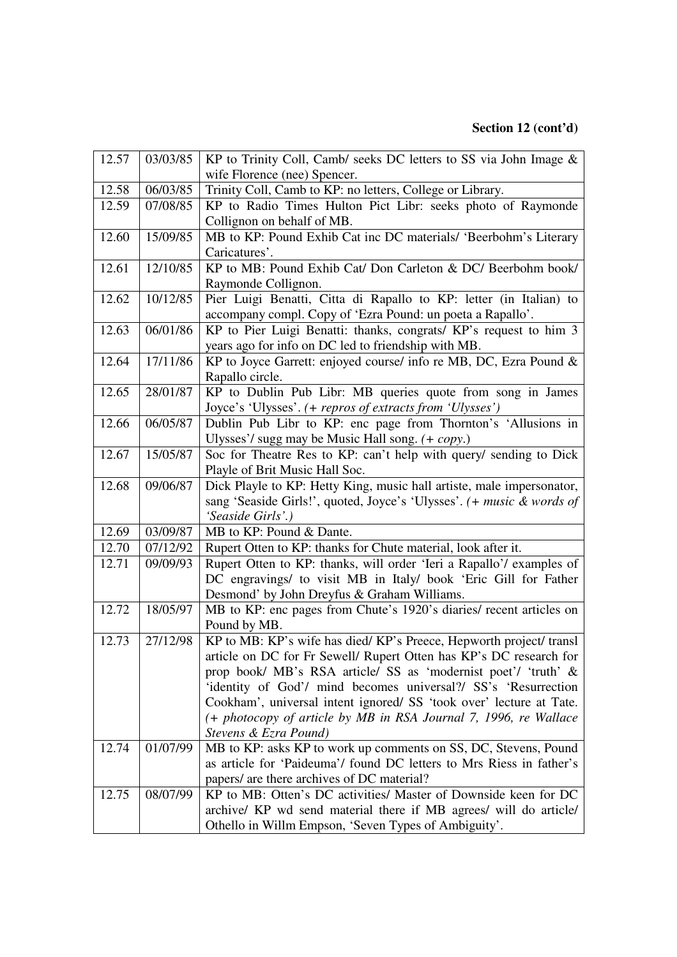| 12.57 | 03/03/85 | KP to Trinity Coll, Camb/ seeks DC letters to SS via John Image &                                                         |
|-------|----------|---------------------------------------------------------------------------------------------------------------------------|
|       |          | wife Florence (nee) Spencer.                                                                                              |
| 12.58 | 06/03/85 | Trinity Coll, Camb to KP: no letters, College or Library.                                                                 |
| 12.59 | 07/08/85 | KP to Radio Times Hulton Pict Libr: seeks photo of Raymonde                                                               |
|       |          | Collignon on behalf of MB.                                                                                                |
| 12.60 | 15/09/85 | MB to KP: Pound Exhib Cat inc DC materials/ 'Beerbohm's Literary                                                          |
|       |          | Caricatures'.                                                                                                             |
| 12.61 | 12/10/85 | KP to MB: Pound Exhib Cat/ Don Carleton & DC/ Beerbohm book/                                                              |
|       |          | Raymonde Collignon.                                                                                                       |
| 12.62 | 10/12/85 | Pier Luigi Benatti, Citta di Rapallo to KP: letter (in Italian) to                                                        |
|       |          | accompany compl. Copy of 'Ezra Pound: un poeta a Rapallo'.                                                                |
| 12.63 | 06/01/86 | KP to Pier Luigi Benatti: thanks, congrats/ KP's request to him 3                                                         |
|       |          | years ago for info on DC led to friendship with MB.                                                                       |
| 12.64 | 17/11/86 | KP to Joyce Garrett: enjoyed course/ info re MB, DC, Ezra Pound &                                                         |
|       |          | Rapallo circle.                                                                                                           |
| 12.65 | 28/01/87 | KP to Dublin Pub Libr: MB queries quote from song in James                                                                |
|       |          | Joyce's 'Ulysses'. (+ repros of extracts from 'Ulysses')                                                                  |
| 12.66 | 06/05/87 | Dublin Pub Libr to KP: enc page from Thornton's 'Allusions in                                                             |
|       |          | Ulysses'/ sugg may be Music Hall song. (+ copy.)                                                                          |
| 12.67 | 15/05/87 | Soc for Theatre Res to KP: can't help with query/ sending to Dick                                                         |
|       |          | Playle of Brit Music Hall Soc.                                                                                            |
| 12.68 | 09/06/87 | Dick Playle to KP: Hetty King, music hall artiste, male impersonator,                                                     |
|       |          | sang 'Seaside Girls!', quoted, Joyce's 'Ulysses'. (+ music & words of                                                     |
|       |          | 'Seaside Girls'.)                                                                                                         |
| 12.69 | 03/09/87 | MB to KP: Pound & Dante.                                                                                                  |
| 12.70 | 07/12/92 | Rupert Otten to KP: thanks for Chute material, look after it.                                                             |
| 12.71 | 09/09/93 | Rupert Otten to KP: thanks, will order 'Ieri a Rapallo'/ examples of                                                      |
|       |          | DC engravings/ to visit MB in Italy/ book 'Eric Gill for Father                                                           |
|       |          | Desmond' by John Dreyfus & Graham Williams.                                                                               |
| 12.72 | 18/05/97 | MB to KP: enc pages from Chute's 1920's diaries/ recent articles on                                                       |
|       |          | Pound by MB.                                                                                                              |
| 12.73 | 27/12/98 | KP to MB: KP's wife has died/KP's Preece, Hepworth project/transl                                                         |
|       |          | article on DC for Fr Sewell/ Rupert Otten has KP's DC research for                                                        |
|       |          | prop book/ MB's RSA article/ SS as 'modernist poet'/ 'truth' &                                                            |
|       |          | 'identity of God'/ mind becomes universal?/ SS's 'Resurrection                                                            |
|       |          | Cookham', universal intent ignored/ SS 'took over' lecture at Tate.                                                       |
|       |          | (+ photocopy of article by MB in RSA Journal 7, 1996, re Wallace                                                          |
|       |          | Stevens & Ezra Pound)                                                                                                     |
| 12.74 | 01/07/99 | MB to KP: asks KP to work up comments on SS, DC, Stevens, Pound                                                           |
|       |          | as article for 'Paideuma'/ found DC letters to Mrs Riess in father's                                                      |
|       |          | papers/ are there archives of DC material?                                                                                |
| 12.75 | 08/07/99 | KP to MB: Otten's DC activities/ Master of Downside keen for DC                                                           |
|       |          |                                                                                                                           |
|       |          | archive/ KP wd send material there if MB agrees/ will do article/<br>Othello in Willm Empson, 'Seven Types of Ambiguity'. |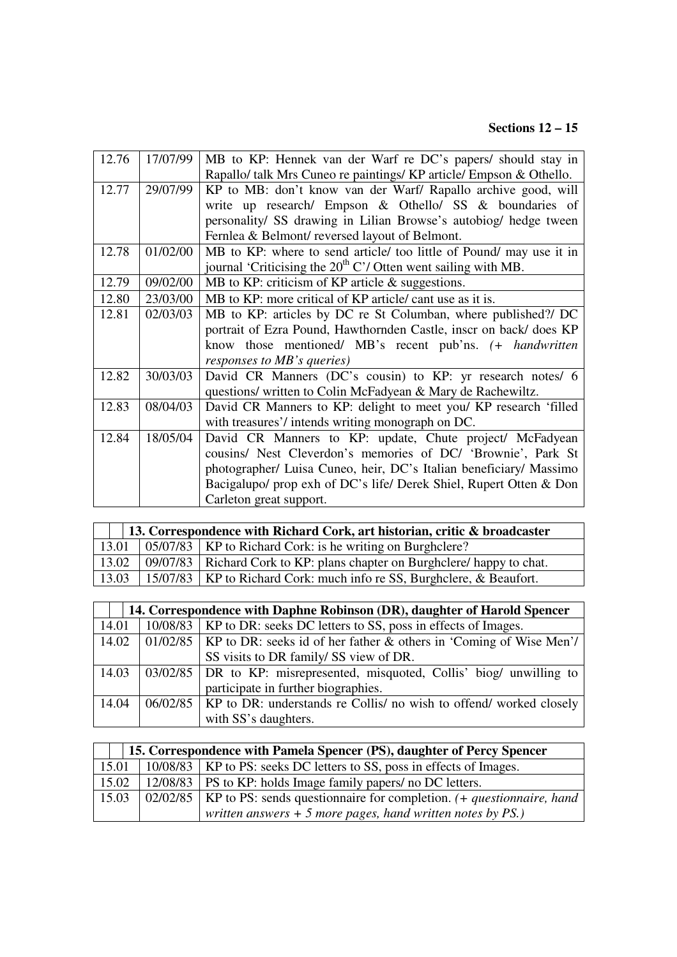#### **Sections 12 – 15**

| 12.76 | 17/07/99 | MB to KP: Hennek van der Warf re DC's papers/ should stay in        |
|-------|----------|---------------------------------------------------------------------|
|       |          | Rapallo/ talk Mrs Cuneo re paintings/ KP article/ Empson & Othello. |
| 12.77 | 29/07/99 | KP to MB: don't know van der Warf/ Rapallo archive good, will       |
|       |          | write up research/ Empson & Othello/ SS & boundaries of             |
|       |          | personality/ SS drawing in Lilian Browse's autobiog/ hedge tween    |
|       |          | Fernlea & Belmont/reversed layout of Belmont.                       |
| 12.78 | 01/02/00 | MB to KP: where to send article/ too little of Pound/ may use it in |
|       |          | journal 'Criticising the $20^{th}$ C'/ Otten went sailing with MB.  |
| 12.79 | 09/02/00 | MB to KP: criticism of KP article $\&$ suggestions.                 |
| 12.80 | 23/03/00 | MB to KP: more critical of KP article/ cant use as it is.           |
| 12.81 | 02/03/03 | MB to KP: articles by DC re St Columban, where published?/ DC       |
|       |          | portrait of Ezra Pound, Hawthornden Castle, inscr on back/does KP   |
|       |          | know those mentioned/ MB's recent pub'ns. (+ handwritten            |
|       |          | responses to MB's queries)                                          |
| 12.82 | 30/03/03 | David CR Manners (DC's cousin) to KP: yr research notes/ 6          |
|       |          | questions/ written to Colin McFadyean & Mary de Rachewiltz.         |
| 12.83 | 08/04/03 | David CR Manners to KP: delight to meet you/ KP research 'filled    |
|       |          | with treasures'/intends writing monograph on DC.                    |
| 12.84 | 18/05/04 | David CR Manners to KP: update, Chute project/ McFadyean            |
|       |          | cousins/ Nest Cleverdon's memories of DC/ 'Brownie', Park St        |
|       |          | photographer/ Luisa Cuneo, heir, DC's Italian beneficiary/ Massimo  |
|       |          | Bacigalupo/ prop exh of DC's life/ Derek Shiel, Rupert Otten & Don  |
|       |          | Carleton great support.                                             |

| 13. Correspondence with Richard Cork, art historian, critic & broadcaster |  |                                                                            |  |
|---------------------------------------------------------------------------|--|----------------------------------------------------------------------------|--|
| 13.01                                                                     |  | 05/07/83   KP to Richard Cork: is he writing on Burghclere?                |  |
| 13.02                                                                     |  | 09/07/83   Richard Cork to KP: plans chapter on Burghclere/ happy to chat. |  |
| 13.03                                                                     |  | 15/07/83   KP to Richard Cork: much info re SS, Burghclere, & Beaufort.    |  |

|       | 14. Correspondence with Daphne Robinson (DR), daughter of Harold Spencer |                                                                                       |  |
|-------|--------------------------------------------------------------------------|---------------------------------------------------------------------------------------|--|
| 14.01 |                                                                          | 10/08/83   KP to DR: seeks DC letters to SS, poss in effects of Images.               |  |
| 14.02 |                                                                          | $\vert$ 01/02/85   KP to DR: seeks id of her father & others in 'Coming of Wise Men'/ |  |
|       |                                                                          | SS visits to DR family/ SS view of DR.                                                |  |
| 14.03 |                                                                          | 03/02/85   DR to KP: misrepresented, misquoted, Collis' biog/ unwilling to            |  |
|       |                                                                          | participate in further biographies.                                                   |  |
| 14.04 |                                                                          | $06/02/85$   KP to DR: understands re Collis/ no wish to offend/ worked closely       |  |
|       |                                                                          | with SS's daughters.                                                                  |  |

| 15. Correspondence with Pamela Spencer (PS), daughter of Percy Spencer |  |                                                                                         |
|------------------------------------------------------------------------|--|-----------------------------------------------------------------------------------------|
| 15.01                                                                  |  | 10/08/83   KP to PS: seeks DC letters to SS, poss in effects of Images.                 |
| 15.02                                                                  |  | $12/08/83$   PS to KP: holds Image family papers/ no DC letters.                        |
| 15.03                                                                  |  | 02/02/85   KP to PS: sends questionnaire for completion. (+ <i>questionnaire</i> , hand |
|                                                                        |  | written answers $+$ 5 more pages, hand written notes by PS.)                            |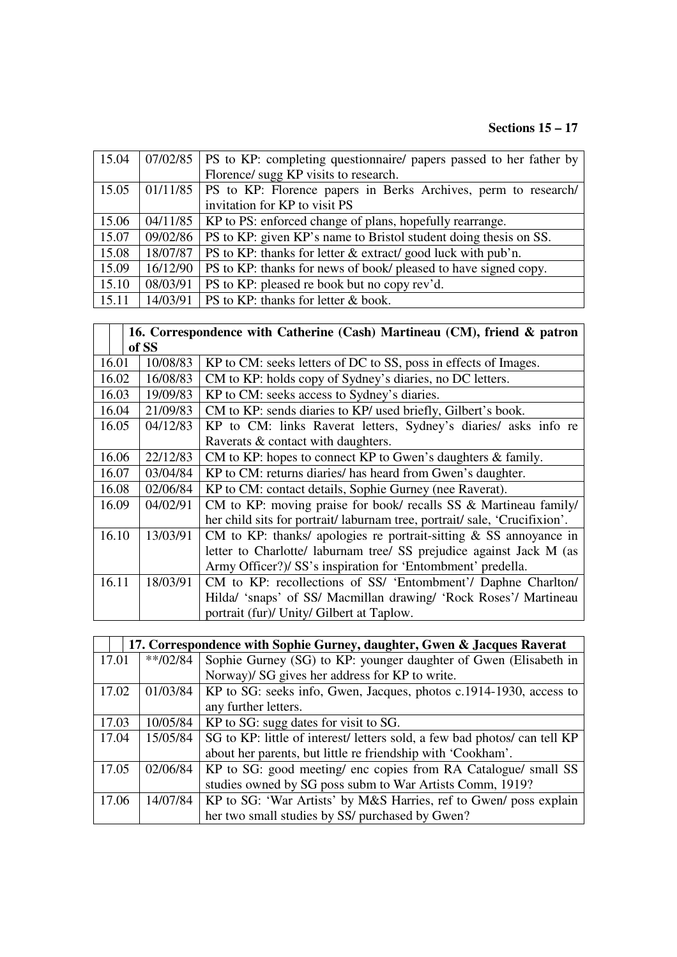# **Sections 15 – 17**

| 15.04 |          | $07/02/85$   PS to KP: completing questionnaire/ papers passed to her father by |
|-------|----------|---------------------------------------------------------------------------------|
|       |          | Florence/ sugg KP visits to research.                                           |
| 15.05 |          | 01/11/85   PS to KP: Florence papers in Berks Archives, perm to research        |
|       |          | invitation for KP to visit PS                                                   |
| 15.06 |          | 04/11/85   KP to PS: enforced change of plans, hopefully rearrange.             |
| 15.07 | 09/02/86 | PS to KP: given KP's name to Bristol student doing thesis on SS.                |
| 15.08 | 18/07/87 | PS to KP: thanks for letter & extract/ good luck with pub'n.                    |
| 15.09 | 16/12/90 | PS to KP: thanks for news of book/ pleased to have signed copy.                 |
| 15.10 | 08/03/91 | PS to KP: pleased re book but no copy rev'd.                                    |
| 15.11 | 14/03/91 | PS to KP: thanks for letter & book.                                             |

|       |          | 16. Correspondence with Catherine (Cash) Martineau (CM), friend & patron |  |
|-------|----------|--------------------------------------------------------------------------|--|
|       | of SS    |                                                                          |  |
| 16.01 | 10/08/83 | KP to CM: seeks letters of DC to SS, poss in effects of Images.          |  |
| 16.02 | 16/08/83 | CM to KP: holds copy of Sydney's diaries, no DC letters.                 |  |
| 16.03 | 19/09/83 | KP to CM: seeks access to Sydney's diaries.                              |  |
| 16.04 | 21/09/83 | CM to KP: sends diaries to KP/ used briefly, Gilbert's book.             |  |
| 16.05 | 04/12/83 | KP to CM: links Raverat letters, Sydney's diaries/ asks info re          |  |
|       |          | Raverats & contact with daughters.                                       |  |
| 16.06 | 22/12/83 | CM to KP: hopes to connect KP to Gwen's daughters $\&$ family.           |  |
| 16.07 | 03/04/84 | KP to CM: returns diaries/ has heard from Gwen's daughter.               |  |
| 16.08 | 02/06/84 | KP to CM: contact details, Sophie Gurney (nee Raverat).                  |  |
| 16.09 | 04/02/91 | CM to KP: moving praise for book/ recalls SS & Martineau family/         |  |
|       |          | her child sits for portrait/laburnam tree, portrait/sale, 'Crucifixion'. |  |
| 16.10 | 13/03/91 | CM to KP: thanks/ apologies re portrait-sitting $&$ SS annoyance in      |  |
|       |          | letter to Charlotte/ laburnam tree/ SS prejudice against Jack M (as      |  |
|       |          | Army Officer?)/ SS's inspiration for 'Entombment' predella.              |  |
| 16.11 | 18/03/91 | CM to KP: recollections of SS/ 'Entombment'/ Daphne Charlton/            |  |
|       |          | Hilda/ 'snaps' of SS/ Macmillan drawing/ 'Rock Roses'/ Martineau         |  |
|       |          | portrait (fur)/ Unity/ Gilbert at Taplow.                                |  |

|       | 17. Correspondence with Sophie Gurney, daughter, Gwen & Jacques Raverat |                                                                           |  |
|-------|-------------------------------------------------------------------------|---------------------------------------------------------------------------|--|
| 17.01 | $**/02/84$                                                              | Sophie Gurney (SG) to KP: younger daughter of Gwen (Elisabeth in          |  |
|       |                                                                         | Norway)/ SG gives her address for KP to write.                            |  |
| 17.02 | 01/03/84                                                                | KP to SG: seeks info, Gwen, Jacques, photos c.1914-1930, access to        |  |
|       |                                                                         | any further letters.                                                      |  |
| 17.03 | 10/05/84                                                                | KP to SG: sugg dates for visit to SG.                                     |  |
| 17.04 | 15/05/84                                                                | SG to KP: little of interest/ letters sold, a few bad photos/ can tell KP |  |
|       |                                                                         | about her parents, but little re friendship with 'Cookham'.               |  |
| 17.05 | 02/06/84                                                                | KP to SG: good meeting/ enc copies from RA Catalogue/ small SS            |  |
|       |                                                                         | studies owned by SG poss subm to War Artists Comm, 1919?                  |  |
| 17.06 | 14/07/84                                                                | KP to SG: 'War Artists' by M&S Harries, ref to Gwen/ poss explain         |  |
|       |                                                                         | her two small studies by SS/ purchased by Gwen?                           |  |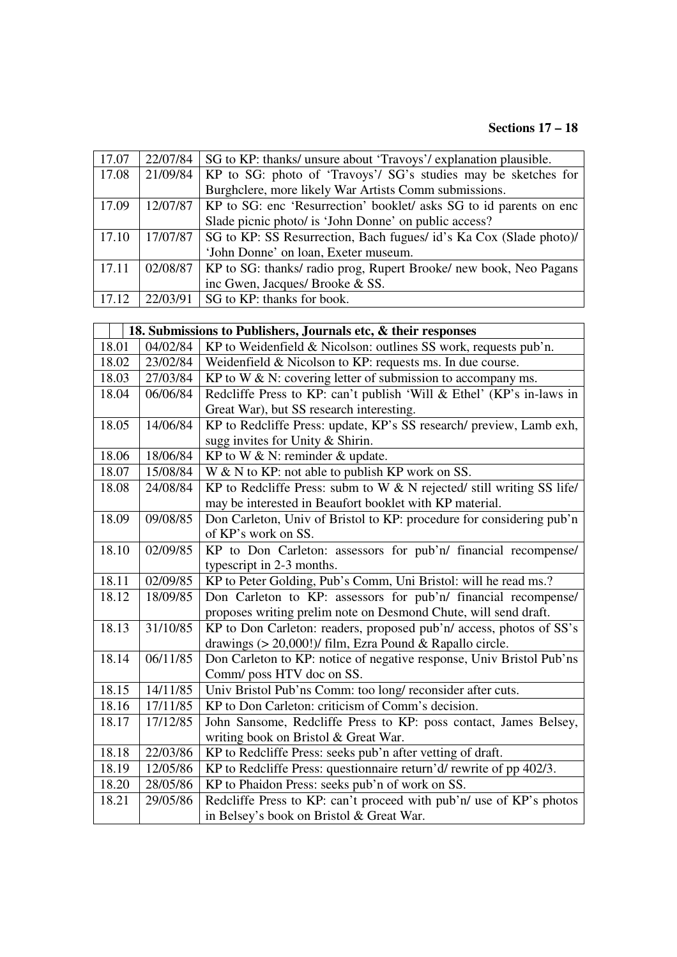# **Sections 17 – 18**

| 17.07 | 22/07/84 | SG to KP: thanks/ unsure about 'Travoys'/ explanation plausible.   |
|-------|----------|--------------------------------------------------------------------|
| 17.08 | 21/09/84 | KP to SG: photo of 'Travoys'/ SG's studies may be sketches for     |
|       |          | Burghclere, more likely War Artists Comm submissions.              |
| 17.09 | 12/07/87 | KP to SG: enc 'Resurrection' booklet/ asks SG to id parents on enc |
|       |          | Slade picnic photo/ is 'John Donne' on public access?              |
| 17.10 | 17/07/87 | SG to KP: SS Resurrection, Bach fugues/ id's Ka Cox (Slade photo)/ |
|       |          | 'John Donne' on loan, Exeter museum.                               |
| 17.11 | 02/08/87 | KP to SG: thanks/ radio prog, Rupert Brooke/ new book, Neo Pagans  |
|       |          | inc Gwen, Jacques/ Brooke & SS.                                    |
| 17.12 | 22/03/91 | SG to KP: thanks for book.                                         |

|       | 18. Submissions to Publishers, Journals etc, & their responses |                                                                       |  |
|-------|----------------------------------------------------------------|-----------------------------------------------------------------------|--|
| 18.01 | 04/02/84                                                       | KP to Weidenfield & Nicolson: outlines SS work, requests pub'n.       |  |
| 18.02 | 23/02/84                                                       | Weidenfield & Nicolson to KP: requests ms. In due course.             |  |
| 18.03 | 27/03/84                                                       | KP to W $\&$ N: covering letter of submission to accompany ms.        |  |
| 18.04 | 06/06/84                                                       | Redcliffe Press to KP: can't publish 'Will & Ethel' (KP's in-laws in  |  |
|       |                                                                | Great War), but SS research interesting.                              |  |
| 18.05 | 14/06/84                                                       | KP to Redcliffe Press: update, KP's SS research/ preview, Lamb exh,   |  |
|       |                                                                | sugg invites for Unity & Shirin.                                      |  |
| 18.06 | 18/06/84                                                       | KP to W $\&$ N: reminder $\&$ update.                                 |  |
| 18.07 | 15/08/84                                                       | W & N to KP: not able to publish KP work on SS.                       |  |
| 18.08 | 24/08/84                                                       | KP to Redcliffe Press: subm to W & N rejected/ still writing SS life/ |  |
|       |                                                                | may be interested in Beaufort booklet with KP material.               |  |
| 18.09 | 09/08/85                                                       | Don Carleton, Univ of Bristol to KP: procedure for considering pub'n  |  |
|       |                                                                | of KP's work on SS.                                                   |  |
| 18.10 | 02/09/85                                                       | KP to Don Carleton: assessors for pub'n/ financial recompense/        |  |
|       |                                                                | typescript in 2-3 months.                                             |  |
| 18.11 | 02/09/85                                                       | KP to Peter Golding, Pub's Comm, Uni Bristol: will he read ms.?       |  |
| 18.12 | 18/09/85                                                       | Don Carleton to KP: assessors for pub'n/ financial recompense/        |  |
|       |                                                                | proposes writing prelim note on Desmond Chute, will send draft.       |  |
| 18.13 | 31/10/85                                                       | KP to Don Carleton: readers, proposed pub'n/ access, photos of SS's   |  |
|       |                                                                | drawings (> 20,000!)/ film, Ezra Pound & Rapallo circle.              |  |
| 18.14 | 06/11/85                                                       | Don Carleton to KP: notice of negative response, Univ Bristol Pub'ns  |  |
|       |                                                                | Comm/ poss HTV doc on SS.                                             |  |
| 18.15 | 14/11/85                                                       | Univ Bristol Pub'ns Comm: too long/ reconsider after cuts.            |  |
| 18.16 | 17/11/85                                                       | KP to Don Carleton: criticism of Comm's decision.                     |  |
| 18.17 | 17/12/85                                                       | John Sansome, Redcliffe Press to KP: poss contact, James Belsey,      |  |
|       |                                                                | writing book on Bristol & Great War.                                  |  |
| 18.18 | 22/03/86                                                       | KP to Redcliffe Press: seeks pub'n after vetting of draft.            |  |
| 18.19 | 12/05/86                                                       | KP to Redcliffe Press: questionnaire return'd/ rewrite of pp 402/3.   |  |
| 18.20 | 28/05/86                                                       | KP to Phaidon Press: seeks pub'n of work on SS.                       |  |
| 18.21 | 29/05/86                                                       | Redcliffe Press to KP: can't proceed with pub'n/ use of KP's photos   |  |
|       |                                                                | in Belsey's book on Bristol & Great War.                              |  |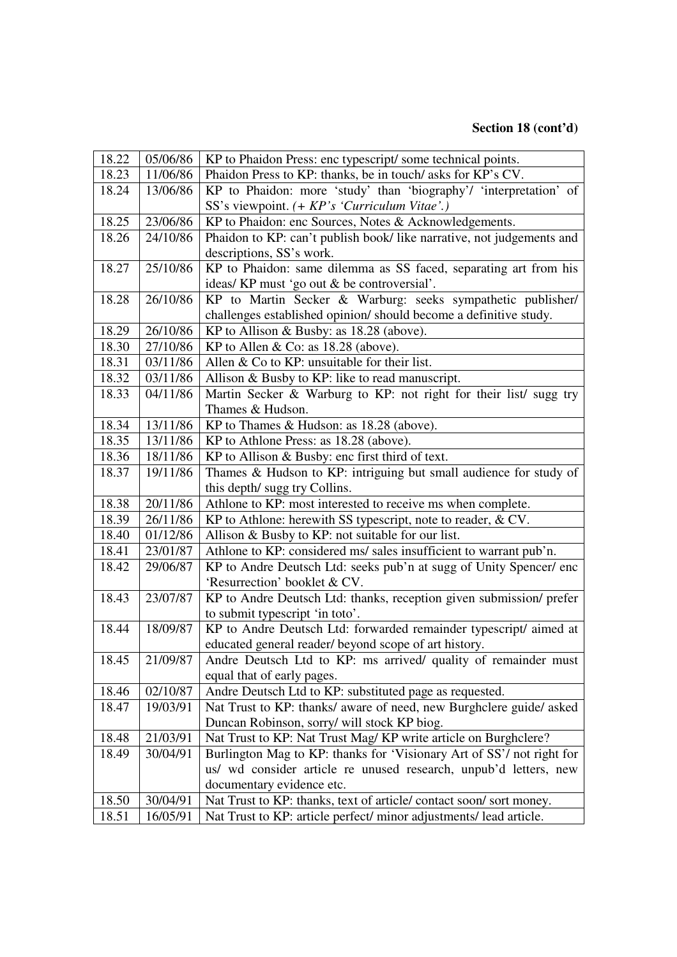# **Section 18 (cont'd)**

| 18.22 | 05/06/86 | KP to Phaidon Press: enc typescript/some technical points.            |
|-------|----------|-----------------------------------------------------------------------|
| 18.23 | 11/06/86 | Phaidon Press to KP: thanks, be in touch/asks for KP's CV.            |
| 18.24 | 13/06/86 | KP to Phaidon: more 'study' than 'biography'/ 'interpretation' of     |
|       |          | SS's viewpoint. (+ KP's 'Curriculum Vitae'.)                          |
| 18.25 | 23/06/86 | KP to Phaidon: enc Sources, Notes & Acknowledgements.                 |
| 18.26 | 24/10/86 | Phaidon to KP: can't publish book/ like narrative, not judgements and |
|       |          | descriptions, SS's work.                                              |
| 18.27 | 25/10/86 | KP to Phaidon: same dilemma as SS faced, separating art from his      |
|       |          | ideas/ KP must 'go out & be controversial'.                           |
| 18.28 | 26/10/86 | KP to Martin Secker & Warburg: seeks sympathetic publisher/           |
|       |          | challenges established opinion/ should become a definitive study.     |
| 18.29 | 26/10/86 | KP to Allison & Busby: as 18.28 (above).                              |
| 18.30 | 27/10/86 | KP to Allen & Co: as 18.28 (above).                                   |
| 18.31 | 03/11/86 | Allen $& Co$ to KP: unsuitable for their list.                        |
| 18.32 | 03/11/86 | Allison & Busby to KP: like to read manuscript.                       |
| 18.33 | 04/11/86 | Martin Secker & Warburg to KP: not right for their list/ sugg try     |
|       |          | Thames & Hudson.                                                      |
| 18.34 | 13/11/86 | KP to Thames & Hudson: as 18.28 (above).                              |
| 18.35 | 13/11/86 | KP to Athlone Press: as 18.28 (above).                                |
| 18.36 | 18/11/86 | KP to Allison & Busby: enc first third of text.                       |
| 18.37 | 19/11/86 | Thames & Hudson to KP: intriguing but small audience for study of     |
|       |          | this depth/ sugg try Collins.                                         |
| 18.38 | 20/11/86 | Athlone to KP: most interested to receive ms when complete.           |
| 18.39 | 26/11/86 | KP to Athlone: herewith SS typescript, note to reader, & CV.          |
| 18.40 | 01/12/86 | Allison & Busby to KP: not suitable for our list.                     |
| 18.41 | 23/01/87 | Athlone to KP: considered ms/ sales insufficient to warrant pub'n.    |
| 18.42 | 29/06/87 | KP to Andre Deutsch Ltd: seeks pub'n at sugg of Unity Spencer/ enc    |
|       |          | 'Resurrection' booklet & CV.                                          |
| 18.43 | 23/07/87 | KP to Andre Deutsch Ltd: thanks, reception given submission/ prefer   |
|       |          | to submit typescript 'in toto'.                                       |
| 18.44 | 18/09/87 | KP to Andre Deutsch Ltd: forwarded remainder typescript/aimed at      |
|       |          | educated general reader/beyond scope of art history.                  |
| 18.45 | 21/09/87 | Andre Deutsch Ltd to KP: ms arrived/ quality of remainder must        |
|       |          | equal that of early pages.                                            |
| 18.46 | 02/10/87 | Andre Deutsch Ltd to KP: substituted page as requested.               |
| 18.47 | 19/03/91 | Nat Trust to KP: thanks/ aware of need, new Burghclere guide/ asked   |
|       |          | Duncan Robinson, sorry/ will stock KP biog.                           |
| 18.48 | 21/03/91 | Nat Trust to KP: Nat Trust Mag/KP write article on Burghclere?        |
| 18.49 | 30/04/91 | Burlington Mag to KP: thanks for 'Visionary Art of SS'/ not right for |
|       |          | us/ wd consider article re unused research, unpub'd letters, new      |
|       |          | documentary evidence etc.                                             |
| 18.50 | 30/04/91 | Nat Trust to KP: thanks, text of article/contact soon/sort money.     |
| 18.51 | 16/05/91 | Nat Trust to KP: article perfect/minor adjustments/ lead article.     |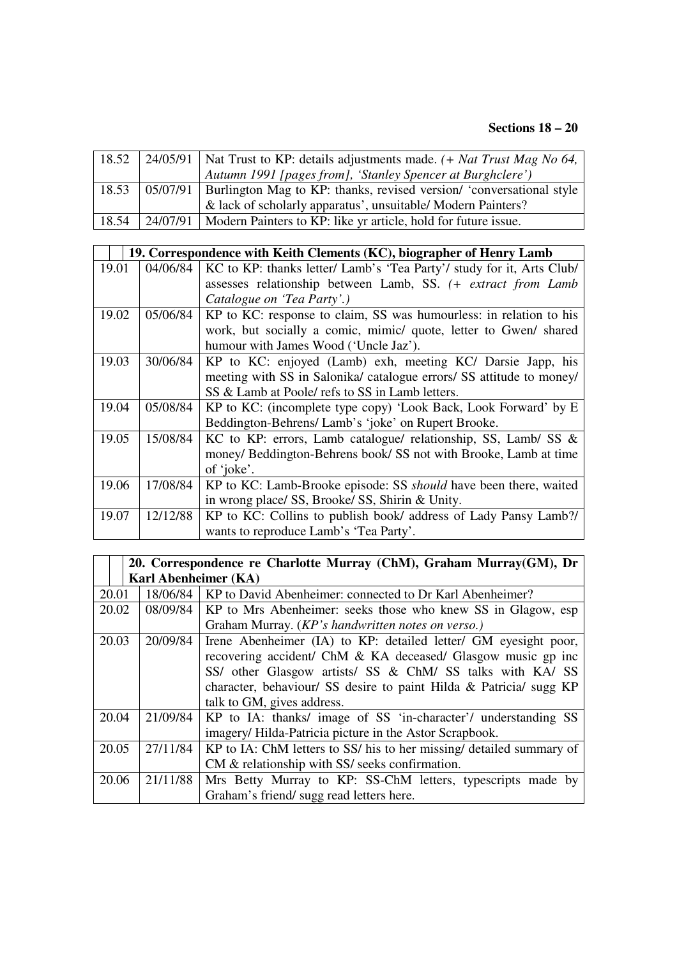#### **Sections 18 – 20**

| 18.52 | 24/05/91   Nat Trust to KP: details adjustments made. $(+$ Nat Trust Mag No 64,         |
|-------|-----------------------------------------------------------------------------------------|
|       | Autumn 1991 [pages from], 'Stanley Spencer at Burghclere')                              |
|       | 18.53   05/07/91   Burlington Mag to KP: thanks, revised version/ 'conversational style |
|       | & lack of scholarly apparatus', unsuitable/ Modern Painters?                            |
| 18.54 | 24/07/91   Modern Painters to KP: like yr article, hold for future issue.               |

|       |          | 19. Correspondence with Keith Clements (KC), biographer of Henry Lamb   |
|-------|----------|-------------------------------------------------------------------------|
| 19.01 | 04/06/84 | KC to KP: thanks letter/ Lamb's 'Tea Party'/ study for it, Arts Club/   |
|       |          | assesses relationship between Lamb, SS. (+ extract from Lamb            |
|       |          | Catalogue on 'Tea Party'.)                                              |
| 19.02 | 05/06/84 | KP to KC: response to claim, SS was humourless: in relation to his      |
|       |          | work, but socially a comic, mimic/ quote, letter to Gwen/ shared        |
|       |          | humour with James Wood ('Uncle Jaz').                                   |
| 19.03 | 30/06/84 | KP to KC: enjoyed (Lamb) exh, meeting KC/ Darsie Japp, his              |
|       |          | meeting with SS in Salonika/ catalogue errors/ SS attitude to money/    |
|       |          | SS & Lamb at Poole/ refs to SS in Lamb letters.                         |
| 19.04 | 05/08/84 | KP to KC: (incomplete type copy) 'Look Back, Look Forward' by E         |
|       |          | Beddington-Behrens/Lamb's 'joke' on Rupert Brooke.                      |
| 19.05 | 15/08/84 | KC to KP: errors, Lamb catalogue/ relationship, SS, Lamb/ SS &          |
|       |          | money/ Beddington-Behrens book/ SS not with Brooke, Lamb at time        |
|       |          | of 'joke'.                                                              |
| 19.06 | 17/08/84 | KP to KC: Lamb-Brooke episode: SS <i>should</i> have been there, waited |
|       |          | in wrong place/ SS, Brooke/ SS, Shirin & Unity.                         |
| 19.07 | 12/12/88 | KP to KC: Collins to publish book/ address of Lady Pansy Lamb?/         |
|       |          | wants to reproduce Lamb's 'Tea Party'.                                  |

|       | 20. Correspondence re Charlotte Murray (ChM), Graham Murray(GM), Dr |                                                                      |  |
|-------|---------------------------------------------------------------------|----------------------------------------------------------------------|--|
|       | <b>Karl Abenheimer (KA)</b>                                         |                                                                      |  |
| 20.01 | 18/06/84                                                            | KP to David Abenheimer: connected to Dr Karl Abenheimer?             |  |
| 20.02 | 08/09/84                                                            | KP to Mrs Abenheimer: seeks those who knew SS in Glagow, esp         |  |
|       |                                                                     | Graham Murray. (KP's handwritten notes on verso.)                    |  |
| 20.03 | 20/09/84                                                            | Irene Abenheimer (IA) to KP: detailed letter/ GM eyesight poor,      |  |
|       |                                                                     | recovering accident/ ChM & KA deceased/ Glasgow music gp inc         |  |
|       |                                                                     | SS/ other Glasgow artists/ SS & ChM/ SS talks with KA/ SS            |  |
|       |                                                                     | character, behaviour/ SS desire to paint Hilda & Patricia/ sugg KP   |  |
|       |                                                                     | talk to GM, gives address.                                           |  |
| 20.04 | 21/09/84                                                            | KP to IA: thanks/ image of SS 'in-character'/ understanding SS       |  |
|       |                                                                     | imagery/Hilda-Patricia picture in the Astor Scrapbook.               |  |
| 20.05 | 27/11/84                                                            | KP to IA: ChM letters to SS/ his to her missing/ detailed summary of |  |
|       |                                                                     | CM & relationship with SS/ seeks confirmation.                       |  |
| 20.06 | 21/11/88                                                            | Mrs Betty Murray to KP: SS-ChM letters, typescripts made by          |  |
|       |                                                                     | Graham's friend/sugg read letters here.                              |  |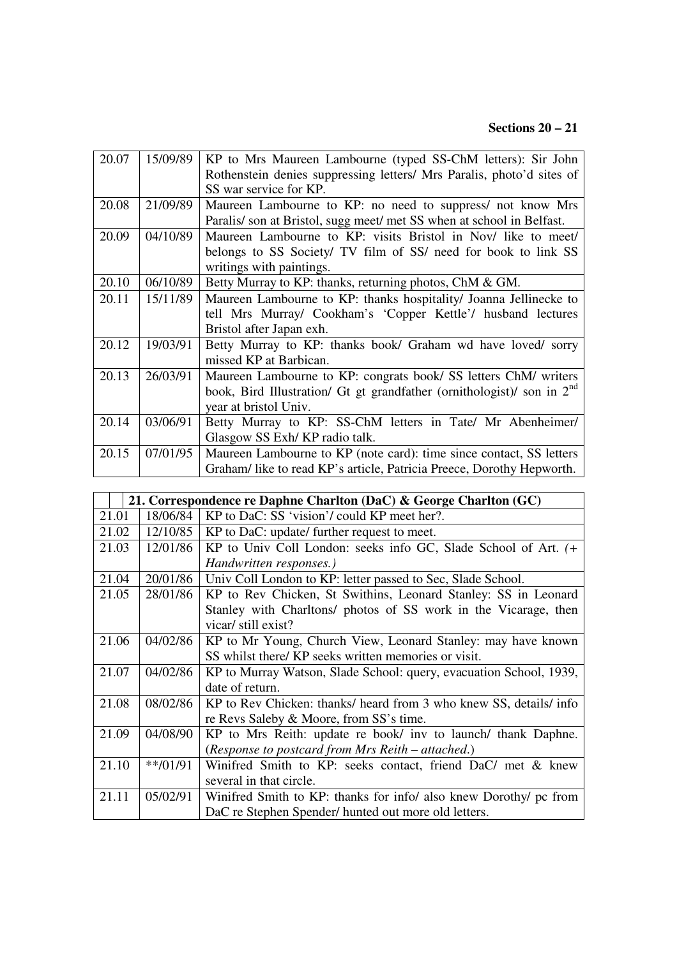# **Sections 20 – 21**

| 20.07 | 15/09/89 | KP to Mrs Maureen Lambourne (typed SS-ChM letters): Sir John                       |
|-------|----------|------------------------------------------------------------------------------------|
|       |          | Rothenstein denies suppressing letters/ Mrs Paralis, photo'd sites of              |
|       |          | SS war service for KP.                                                             |
| 20.08 | 21/09/89 | Maureen Lambourne to KP: no need to suppress/ not know Mrs                         |
|       |          | Paralis/son at Bristol, sugg meet/met SS when at school in Belfast.                |
| 20.09 | 04/10/89 | Maureen Lambourne to KP: visits Bristol in Nov/ like to meet/                      |
|       |          | belongs to SS Society/ TV film of SS/ need for book to link SS                     |
|       |          | writings with paintings.                                                           |
| 20.10 | 06/10/89 | Betty Murray to KP: thanks, returning photos, ChM & GM.                            |
| 20.11 | 15/11/89 | Maureen Lambourne to KP: thanks hospitality/ Joanna Jellinecke to                  |
|       |          | tell Mrs Murray/ Cookham's 'Copper Kettle'/ husband lectures                       |
|       |          | Bristol after Japan exh.                                                           |
| 20.12 | 19/03/91 | Betty Murray to KP: thanks book/ Graham wd have loved/ sorry                       |
|       |          | missed KP at Barbican.                                                             |
| 20.13 | 26/03/91 | Maureen Lambourne to KP: congrats book/ SS letters ChM/ writers                    |
|       |          | book, Bird Illustration/ Gt gt grandfather (ornithologist)/ son in 2 <sup>nd</sup> |
|       |          | year at bristol Univ.                                                              |
| 20.14 | 03/06/91 | Betty Murray to KP: SS-ChM letters in Tate/ Mr Abenheimer/                         |
|       |          | Glasgow SS Exh/KP radio talk.                                                      |
| 20.15 | 07/01/95 | Maureen Lambourne to KP (note card): time since contact, SS letters                |
|       |          | Graham/like to read KP's article, Patricia Preece, Dorothy Hepworth.               |

|       | 21. Correspondence re Daphne Charlton (DaC) & George Charlton (GC) |                                                                    |  |
|-------|--------------------------------------------------------------------|--------------------------------------------------------------------|--|
| 21.01 | 18/06/84                                                           | KP to DaC: SS 'vision'/ could KP meet her?.                        |  |
| 21.02 | 12/10/85                                                           | KP to DaC: update/ further request to meet.                        |  |
| 21.03 | 12/01/86                                                           | KP to Univ Coll London: seeks info GC, Slade School of Art. (+     |  |
|       |                                                                    | Handwritten responses.)                                            |  |
| 21.04 | 20/01/86                                                           | Univ Coll London to KP: letter passed to Sec, Slade School.        |  |
| 21.05 | 28/01/86                                                           | KP to Rev Chicken, St Swithins, Leonard Stanley: SS in Leonard     |  |
|       |                                                                    | Stanley with Charltons/ photos of SS work in the Vicarage, then    |  |
|       |                                                                    | vicar/ still exist?                                                |  |
| 21.06 | 04/02/86                                                           | KP to Mr Young, Church View, Leonard Stanley: may have known       |  |
|       |                                                                    | SS whilst there/ KP seeks written memories or visit.               |  |
| 21.07 | 04/02/86                                                           | KP to Murray Watson, Slade School: query, evacuation School, 1939, |  |
|       |                                                                    | date of return.                                                    |  |
| 21.08 | 08/02/86                                                           | KP to Rev Chicken: thanks/ heard from 3 who knew SS, details/ info |  |
|       |                                                                    | re Revs Saleby & Moore, from SS's time.                            |  |
| 21.09 | 04/08/90                                                           | KP to Mrs Reith: update re book/ inv to launch/ thank Daphne.      |  |
|       |                                                                    | (Response to postcard from Mrs Reith – attached.)                  |  |
| 21.10 | $**/01/91$                                                         | Winifred Smith to KP: seeks contact, friend DaC/ met & knew        |  |
|       |                                                                    | several in that circle.                                            |  |
| 21.11 | 05/02/91                                                           | Winifred Smith to KP: thanks for info/ also knew Dorothy/ pc from  |  |
|       |                                                                    | DaC re Stephen Spender/hunted out more old letters.                |  |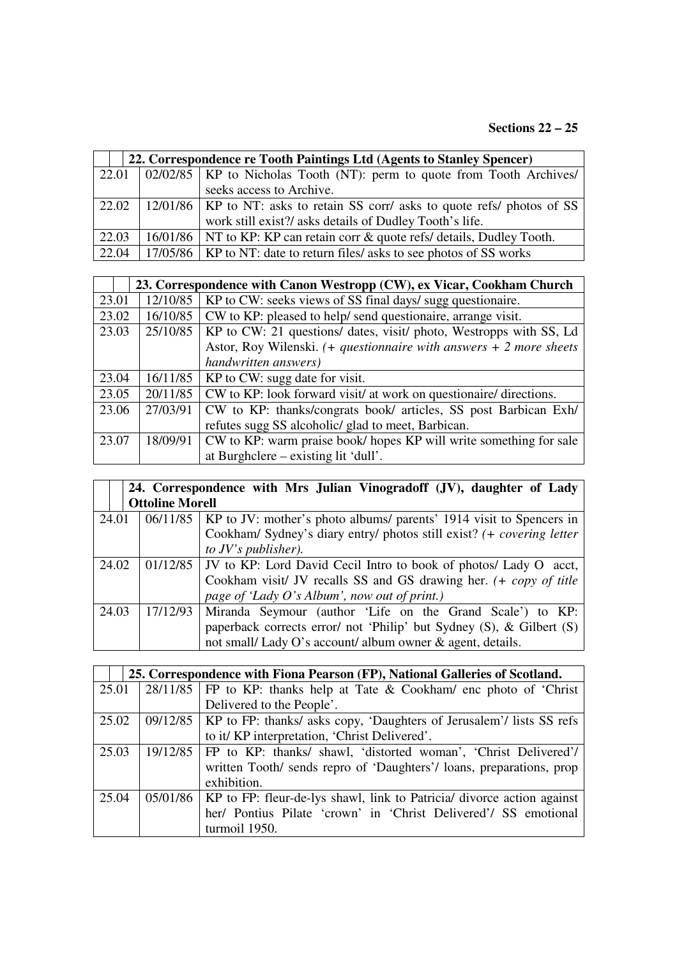|       | 22. Correspondence re Tooth Paintings Ltd (Agents to Stanley Spencer) |                                                                                                      |  |
|-------|-----------------------------------------------------------------------|------------------------------------------------------------------------------------------------------|--|
|       |                                                                       | $\vert$ 22.01 $\vert$ 02/02/85 $\vert$ KP to Nicholas Tooth (NT): perm to quote from Tooth Archives/ |  |
|       |                                                                       | seeks access to Archive.                                                                             |  |
| 22.02 |                                                                       | 12/01/86   KP to NT: asks to retain SS corr/ asks to quote refs/ photos of SS                        |  |
|       |                                                                       | work still exist?/ asks details of Dudley Tooth's life.                                              |  |
| 22.03 |                                                                       | 16/01/86   NT to KP: KP can retain corr & quote refs/ details, Dudley Tooth.                         |  |
| 22.04 |                                                                       | 17/05/86   KP to NT: date to return files/ asks to see photos of SS works                            |  |

|       |          | 23. Correspondence with Canon Westropp (CW), ex Vicar, Cookham Church   |
|-------|----------|-------------------------------------------------------------------------|
| 23.01 | 12/10/85 | KP to CW: seeks views of SS final days/ sugg questionaire.              |
| 23.02 | 16/10/85 | CW to KP: pleased to help/ send questionaire, arrange visit.            |
| 23.03 | 25/10/85 | KP to CW: 21 questions/ dates, visit/ photo, Westropps with SS, Ld      |
|       |          | Astor, Roy Wilenski. $(+)$ questionnaire with answers $+$ 2 more sheets |
|       |          | handwritten answers)                                                    |
| 23.04 | 16/11/85 | KP to CW: sugg date for visit.                                          |
| 23.05 | 20/11/85 | CW to KP: look forward visit/ at work on questionaire/ directions.      |
| 23.06 | 27/03/91 | CW to KP: thanks/congrats book/ articles, SS post Barbican Exh/         |
|       |          | refutes sugg SS alcoholic/ glad to meet, Barbican.                      |
| 23.07 | 18/09/91 | CW to KP: warm praise book/ hopes KP will write something for sale      |
|       |          | at Burghclere – existing lit 'dull'.                                    |

|       | 24. Correspondence with Mrs Julian Vinogradoff (JV), daughter of Lady |                                                                                |  |
|-------|-----------------------------------------------------------------------|--------------------------------------------------------------------------------|--|
|       | <b>Ottoline Morell</b>                                                |                                                                                |  |
| 24.01 |                                                                       | 06/11/85   KP to JV: mother's photo albums/ parents' 1914 visit to Spencers in |  |
|       |                                                                       | Cookham/ Sydney's diary entry/ photos still exist? (+ covering letter          |  |
|       |                                                                       | to $JV$ 's publisher).                                                         |  |
| 24.02 |                                                                       | 01/12/85   JV to KP: Lord David Cecil Intro to book of photos/ Lady O acct,    |  |
|       |                                                                       | Cookham visit/ JV recalls SS and GS drawing her. (+ copy of title              |  |
|       |                                                                       | page of 'Lady O's Album', now out of print.)                                   |  |
| 24.03 | 17/12/93                                                              | Miranda Seymour (author 'Life on the Grand Scale') to KP:                      |  |
|       |                                                                       | paperback corrects error/ not 'Philip' but Sydney $(S)$ , & Gilbert $(S)$      |  |
|       |                                                                       | not small/Lady O's account/ album owner & agent, details.                      |  |

|       | 25. Correspondence with Fiona Pearson (FP), National Galleries of Scotland. |                                                                                     |  |
|-------|-----------------------------------------------------------------------------|-------------------------------------------------------------------------------------|--|
| 25.01 |                                                                             | $28/11/85$ FP to KP: thanks help at Tate & Cookham/ enc photo of 'Christ'           |  |
|       |                                                                             | Delivered to the People'.                                                           |  |
| 25.02 |                                                                             | $09/12/85$   KP to FP: thanks/ asks copy, 'Daughters of Jerusalem'/ lists SS refs   |  |
|       |                                                                             | to it/ KP interpretation, 'Christ Delivered'.                                       |  |
| 25.03 |                                                                             | 19/12/85   FP to KP: thanks/ shawl, 'distorted woman', 'Christ Delivered'/          |  |
|       |                                                                             | written Tooth/ sends repro of 'Daughters'/ loans, preparations, prop                |  |
|       |                                                                             | exhibition.                                                                         |  |
| 25.04 |                                                                             | $05/01/86$   KP to FP: fleur-de-lys shawl, link to Patricia/ divorce action against |  |
|       |                                                                             | her/ Pontius Pilate 'crown' in 'Christ Delivered'/ SS emotional                     |  |
|       |                                                                             | turmoil 1950.                                                                       |  |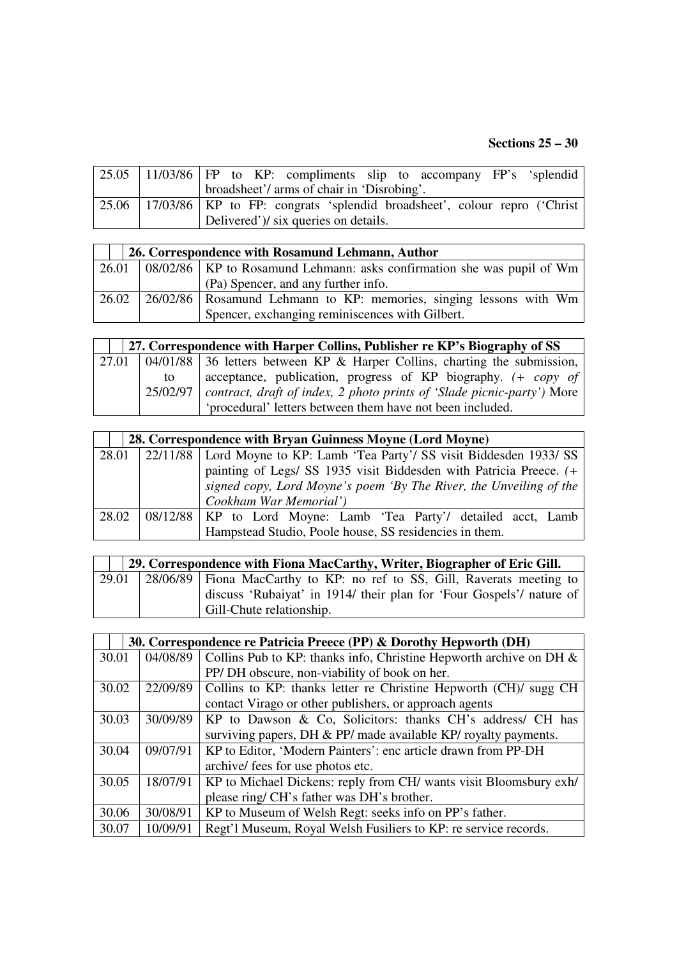#### **Sections 25 – 30**

|  | 25.05   11/03/86   FP to KP: compliments slip to accompany FP's 'splendid          |
|--|------------------------------------------------------------------------------------|
|  | broadsheet'/ arms of chair in 'Disrobing'.                                         |
|  | 25.06   17/03/86   KP to FP: congrats 'splendid broadsheet', colour repro ('Christ |
|  | Delivered')/ six queries on details.                                               |

| 26. Correspondence with Rosamund Lehmann, Author |  |                                                                                                               |
|--------------------------------------------------|--|---------------------------------------------------------------------------------------------------------------|
|                                                  |  | $\left  \frac{26.01}{26.01} \right $ 08/02/86   KP to Rosamund Lehmann: asks confirmation she was pupil of Wm |
|                                                  |  | (Pa) Spencer, and any further info.                                                                           |
| 26.02                                            |  | [26/02/86] Rosamund Lehmann to KP: memories, singing lessons with Wm                                          |
|                                                  |  | Spencer, exchanging reminiscences with Gilbert.                                                               |

| 27. Correspondence with Harper Collins, Publisher re KP's Biography of SS |                                                                                       |  |
|---------------------------------------------------------------------------|---------------------------------------------------------------------------------------|--|
|                                                                           | 27.01   $04/01/88$   36 letters between KP & Harper Collins, charting the submission, |  |
| to.                                                                       | acceptance, publication, progress of KP biography. (+ copy of                         |  |
| 25/02/97                                                                  | contract, draft of index, 2 photo prints of 'Slade picnic-party') More                |  |
|                                                                           | 'procedural' letters between them have not been included.                             |  |

|       | 28. Correspondence with Bryan Guinness Moyne (Lord Moyne) |                                                                                |  |
|-------|-----------------------------------------------------------|--------------------------------------------------------------------------------|--|
|       |                                                           | 28.01 22/11/88 Lord Moyne to KP: Lamb 'Tea Party'/ SS visit Biddesden 1933/ SS |  |
|       |                                                           | painting of Legs/ SS 1935 visit Biddesden with Patricia Preece. (+             |  |
|       |                                                           | signed copy, Lord Moyne's poem 'By The River, the Unveiling of the             |  |
|       |                                                           | Cookham War Memorial')                                                         |  |
| 28.02 |                                                           | 08/12/88   KP to Lord Moyne: Lamb 'Tea Party'/ detailed acct, Lamb             |  |
|       |                                                           | Hampstead Studio, Poole house, SS residencies in them.                         |  |

|       | 29. Correspondence with Fiona MacCarthy, Writer, Biographer of Eric Gill. |
|-------|---------------------------------------------------------------------------|
| 29.01 | 28/06/89   Fiona MacCarthy to KP: no ref to SS, Gill, Raverats meeting to |
|       | discuss 'Rubaiyat' in 1914/ their plan for 'Four Gospels'/ nature of      |
|       | Gill-Chute relationship.                                                  |

|       | 30. Correspondence re Patricia Preece (PP) & Dorothy Hepworth (DH) |                                                                       |  |
|-------|--------------------------------------------------------------------|-----------------------------------------------------------------------|--|
| 30.01 | 04/08/89                                                           | Collins Pub to KP: thanks info, Christine Hepworth archive on DH $\&$ |  |
|       |                                                                    | PP/DH obscure, non-viability of book on her.                          |  |
| 30.02 | 22/09/89                                                           | Collins to KP: thanks letter re Christine Hepworth (CH)/ sugg CH      |  |
|       |                                                                    | contact Virago or other publishers, or approach agents                |  |
| 30.03 | 30/09/89                                                           | KP to Dawson & Co, Solicitors: thanks CH's address/ CH has            |  |
|       |                                                                    | surviving papers, DH & PP/ made available KP/ royalty payments.       |  |
| 30.04 | 09/07/91                                                           | KP to Editor, 'Modern Painters': enc article drawn from PP-DH         |  |
|       |                                                                    | archive/ fees for use photos etc.                                     |  |
| 30.05 | 18/07/91                                                           | KP to Michael Dickens: reply from CH/ wants visit Bloomsbury exh/     |  |
|       |                                                                    | please ring/ CH's father was DH's brother.                            |  |
| 30.06 | 30/08/91                                                           | KP to Museum of Welsh Regt: seeks info on PP's father.                |  |
| 30.07 | 10/09/91                                                           | Regt'l Museum, Royal Welsh Fusiliers to KP: re service records.       |  |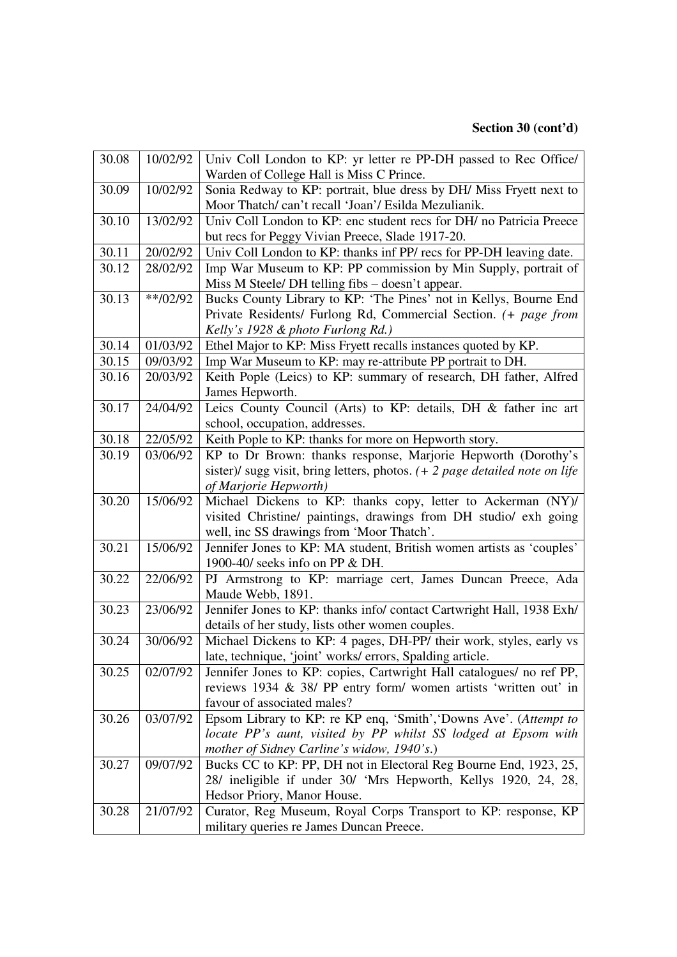| 30.08 | 10/02/92   | Univ Coll London to KP: yr letter re PP-DH passed to Rec Office/              |
|-------|------------|-------------------------------------------------------------------------------|
|       |            | Warden of College Hall is Miss C Prince.                                      |
| 30.09 | 10/02/92   | Sonia Redway to KP: portrait, blue dress by DH/ Miss Fryett next to           |
|       |            | Moor Thatch/can't recall 'Joan'/ Esilda Mezulianik.                           |
| 30.10 | 13/02/92   | Univ Coll London to KP: enc student recs for DH/ no Patricia Preece           |
|       |            | but recs for Peggy Vivian Preece, Slade 1917-20.                              |
| 30.11 | 20/02/92   | Univ Coll London to KP: thanks inf PP/ recs for PP-DH leaving date.           |
| 30.12 | 28/02/92   | Imp War Museum to KP: PP commission by Min Supply, portrait of                |
|       |            | Miss M Steele/ DH telling fibs - doesn't appear.                              |
| 30.13 | $**/02/92$ | Bucks County Library to KP: 'The Pines' not in Kellys, Bourne End             |
|       |            | Private Residents/ Furlong Rd, Commercial Section. (+ page from               |
|       |            | Kelly's 1928 & photo Furlong Rd.)                                             |
| 30.14 | 01/03/92   | Ethel Major to KP: Miss Fryett recalls instances quoted by KP.                |
| 30.15 | 09/03/92   | Imp War Museum to KP: may re-attribute PP portrait to DH.                     |
| 30.16 | 20/03/92   | Keith Pople (Leics) to KP: summary of research, DH father, Alfred             |
|       |            | James Hepworth.                                                               |
| 30.17 | 24/04/92   | Leics County Council (Arts) to KP: details, DH & father inc art               |
|       |            | school, occupation, addresses.                                                |
| 30.18 | 22/05/92   | Keith Pople to KP: thanks for more on Hepworth story.                         |
| 30.19 | 03/06/92   | KP to Dr Brown: thanks response, Marjorie Hepworth (Dorothy's                 |
|       |            | sister)/ sugg visit, bring letters, photos. $(+ 2$ page detailed note on life |
|       |            | of Marjorie Hepworth)                                                         |
|       |            |                                                                               |
| 30.20 | 15/06/92   | Michael Dickens to KP: thanks copy, letter to Ackerman (NY)/                  |
|       |            | visited Christine/ paintings, drawings from DH studio/ exh going              |
|       |            | well, inc SS drawings from 'Moor Thatch'.                                     |
| 30.21 | 15/06/92   | Jennifer Jones to KP: MA student, British women artists as 'couples'          |
|       |            | 1900-40/ seeks info on PP & DH.                                               |
| 30.22 | 22/06/92   | PJ Armstrong to KP: marriage cert, James Duncan Preece, Ada                   |
|       |            | Maude Webb, 1891.                                                             |
| 30.23 | 23/06/92   | Jennifer Jones to KP: thanks info/ contact Cartwright Hall, 1938 Exh/         |
|       |            | details of her study, lists other women couples.                              |
| 30.24 | 30/06/92   | Michael Dickens to KP: 4 pages, DH-PP/ their work, styles, early vs           |
|       |            | late, technique, 'joint' works/ errors, Spalding article.                     |
| 30.25 | 02/07/92   | Jennifer Jones to KP: copies, Cartwright Hall catalogues/ no ref PP,          |
|       |            | reviews 1934 & 38/ PP entry form/ women artists 'written out' in              |
|       |            | favour of associated males?                                                   |
| 30.26 | 03/07/92   | Epsom Library to KP: re KP enq, 'Smith', 'Downs Ave'. (Attempt to             |
|       |            | locate PP's aunt, visited by PP whilst SS lodged at Epsom with                |
|       |            | mother of Sidney Carline's widow, 1940's.)                                    |
| 30.27 | 09/07/92   | Bucks CC to KP: PP, DH not in Electoral Reg Bourne End, 1923, 25,             |
|       |            | 28/ ineligible if under 30/ 'Mrs Hepworth, Kellys 1920, 24, 28,               |
|       |            | Hedsor Priory, Manor House.                                                   |
| 30.28 | 21/07/92   | Curator, Reg Museum, Royal Corps Transport to KP: response, KP                |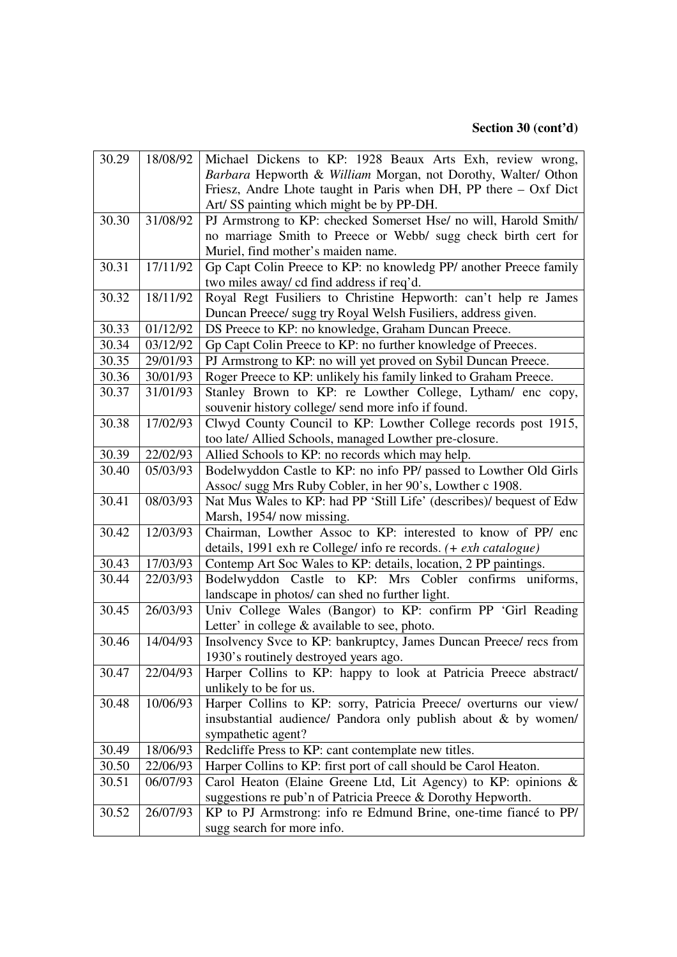| 30.29 | 18/08/92 | Michael Dickens to KP: 1928 Beaux Arts Exh, review wrong,            |
|-------|----------|----------------------------------------------------------------------|
|       |          | Barbara Hepworth & William Morgan, not Dorothy, Walter/ Othon        |
|       |          | Friesz, Andre Lhote taught in Paris when DH, PP there $-$ Oxf Dict   |
|       |          | Art/ SS painting which might be by PP-DH.                            |
| 30.30 | 31/08/92 | PJ Armstrong to KP: checked Somerset Hse/ no will, Harold Smith/     |
|       |          | no marriage Smith to Preece or Webb/ sugg check birth cert for       |
|       |          | Muriel, find mother's maiden name.                                   |
| 30.31 | 17/11/92 | Gp Capt Colin Preece to KP: no knowledg PP/ another Preece family    |
|       |          | two miles away/ cd find address if req'd.                            |
| 30.32 | 18/11/92 | Royal Regt Fusiliers to Christine Hepworth: can't help re James      |
|       |          | Duncan Preece/ sugg try Royal Welsh Fusiliers, address given.        |
| 30.33 | 01/12/92 | DS Preece to KP: no knowledge, Graham Duncan Preece.                 |
| 30.34 | 03/12/92 | Gp Capt Colin Preece to KP: no further knowledge of Preeces.         |
| 30.35 | 29/01/93 | PJ Armstrong to KP: no will yet proved on Sybil Duncan Preece.       |
| 30.36 | 30/01/93 | Roger Preece to KP: unlikely his family linked to Graham Preece.     |
| 30.37 | 31/01/93 | Stanley Brown to KP: re Lowther College, Lytham/ enc copy,           |
|       |          | souvenir history college/ send more info if found.                   |
| 30.38 | 17/02/93 | Clwyd County Council to KP: Lowther College records post 1915,       |
|       |          | too late/ Allied Schools, managed Lowther pre-closure.               |
| 30.39 | 22/02/93 | Allied Schools to KP: no records which may help.                     |
| 30.40 | 05/03/93 | Bodelwyddon Castle to KP: no info PP/ passed to Lowther Old Girls    |
|       |          | Assoc/ sugg Mrs Ruby Cobler, in her 90's, Lowther c 1908.            |
|       |          |                                                                      |
| 30.41 | 08/03/93 | Nat Mus Wales to KP: had PP 'Still Life' (describes)/ bequest of Edw |
|       |          | Marsh, 1954/now missing.                                             |
| 30.42 | 12/03/93 | Chairman, Lowther Assoc to KP: interested to know of PP/ enc         |
|       |          | details, 1991 exh re College/ info re records. (+ exh catalogue)     |
| 30.43 | 17/03/93 | Contemp Art Soc Wales to KP: details, location, 2 PP paintings.      |
| 30.44 | 22/03/93 | Bodelwyddon Castle to KP: Mrs Cobler confirms uniforms,              |
|       |          | landscape in photos/ can shed no further light.                      |
| 30.45 | 26/03/93 | Univ College Wales (Bangor) to KP: confirm PP 'Girl Reading          |
|       |          | Letter' in college & available to see, photo.                        |
| 30.46 | 14/04/93 | Insolvency Svce to KP: bankruptcy, James Duncan Preece/ recs from    |
|       |          | 1930's routinely destroyed years ago.                                |
| 30.47 | 22/04/93 | Harper Collins to KP: happy to look at Patricia Preece abstract/     |
|       |          | unlikely to be for us.                                               |
| 30.48 | 10/06/93 | Harper Collins to KP: sorry, Patricia Preece/ overturns our view/    |
|       |          | insubstantial audience/ Pandora only publish about & by women/       |
|       |          | sympathetic agent?                                                   |
| 30.49 | 18/06/93 | Redcliffe Press to KP: cant contemplate new titles.                  |
| 30.50 | 22/06/93 | Harper Collins to KP: first port of call should be Carol Heaton.     |
| 30.51 | 06/07/93 | Carol Heaton (Elaine Greene Ltd, Lit Agency) to KP: opinions &       |
|       |          | suggestions re pub'n of Patricia Preece & Dorothy Hepworth.          |
| 30.52 | 26/07/93 | KP to PJ Armstrong: info re Edmund Brine, one-time fiance to PP/     |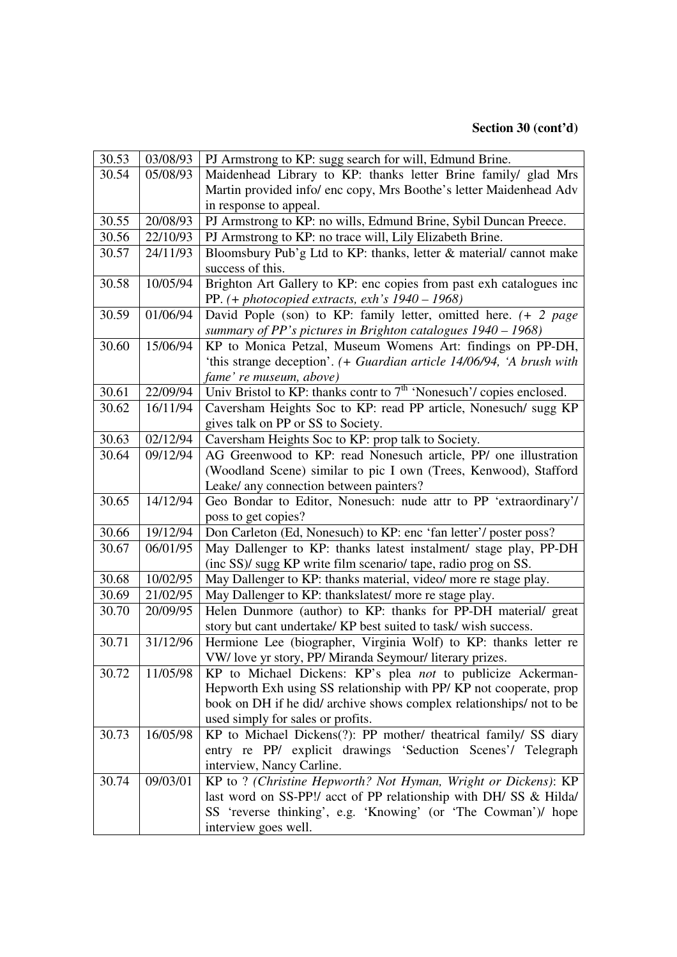| 30.53 | 03/08/93 | PJ Armstrong to KP: sugg search for will, Edmund Brine.                               |
|-------|----------|---------------------------------------------------------------------------------------|
| 30.54 | 05/08/93 | Maidenhead Library to KP: thanks letter Brine family/ glad Mrs                        |
|       |          | Martin provided info/ enc copy, Mrs Boothe's letter Maidenhead Adv                    |
|       |          | in response to appeal.                                                                |
| 30.55 | 20/08/93 | PJ Armstrong to KP: no wills, Edmund Brine, Sybil Duncan Preece.                      |
| 30.56 | 22/10/93 | PJ Armstrong to KP: no trace will, Lily Elizabeth Brine.                              |
| 30.57 | 24/11/93 | Bloomsbury Pub'g Ltd to KP: thanks, letter & material/cannot make                     |
|       |          | success of this.                                                                      |
| 30.58 | 10/05/94 | Brighton Art Gallery to KP: enc copies from past exh catalogues inc                   |
|       |          | PP. $(+$ photocopied extracts, exh's $1940 - 1968$ )                                  |
| 30.59 | 01/06/94 | David Pople (son) to KP: family letter, omitted here. $(+ 2 \text{ page})$            |
|       |          | summary of PP's pictures in Brighton catalogues $1940 - 1968$ )                       |
| 30.60 | 15/06/94 | KP to Monica Petzal, Museum Womens Art: findings on PP-DH,                            |
|       |          | 'this strange deception'. (+ Guardian article 14/06/94, 'A brush with                 |
|       |          | fame' re museum, above)                                                               |
| 30.61 | 22/09/94 | Univ Bristol to KP: thanks contr to $7th$ 'Nonesuch'/ copies enclosed.                |
| 30.62 | 16/11/94 | Caversham Heights Soc to KP: read PP article, Nonesuch/ sugg KP                       |
|       |          | gives talk on PP or SS to Society.                                                    |
| 30.63 | 02/12/94 | Caversham Heights Soc to KP: prop talk to Society.                                    |
| 30.64 | 09/12/94 | AG Greenwood to KP: read Nonesuch article, PP/ one illustration                       |
|       |          | (Woodland Scene) similar to pic I own (Trees, Kenwood), Stafford                      |
|       |          | Leake/ any connection between painters?                                               |
| 30.65 | 14/12/94 | Geo Bondar to Editor, Nonesuch: nude attr to PP 'extraordinary'/                      |
|       |          | poss to get copies?                                                                   |
| 30.66 | 19/12/94 | Don Carleton (Ed, Nonesuch) to KP: enc 'fan letter'/ poster poss?                     |
| 30.67 | 06/01/95 | May Dallenger to KP: thanks latest instalment/ stage play, PP-DH                      |
|       |          | (inc SS)/ sugg KP write film scenario/ tape, radio prog on SS.                        |
| 30.68 | 10/02/95 | May Dallenger to KP: thanks material, video/ more re stage play.                      |
| 30.69 | 21/02/95 | May Dallenger to KP: thankslatest/more re stage play.                                 |
| 30.70 | 20/09/95 | Helen Dunmore (author) to KP: thanks for PP-DH material/ great                        |
|       |          | story but cant undertake/ KP best suited to task/ wish success.                       |
| 30.71 | 31/12/96 | Hermione Lee (biographer, Virginia Wolf) to KP: thanks letter re                      |
|       |          | VW/ love yr story, PP/ Miranda Seymour/ literary prizes.                              |
| 30.72 | 11/05/98 | KP to Michael Dickens: KP's plea <i>not</i> to publicize Ackerman-                    |
|       |          | Hepworth Exh using SS relationship with PP/KP not cooperate, prop                     |
|       |          | book on DH if he did/archive shows complex relationships/not to be                    |
|       |          |                                                                                       |
|       |          | used simply for sales or profits.                                                     |
| 30.73 | 16/05/98 | KP to Michael Dickens(?): PP mother/ theatrical family/ SS diary                      |
|       |          | entry re PP/ explicit drawings 'Seduction Scenes'/ Telegraph                          |
|       |          | interview, Nancy Carline.                                                             |
| 30.74 | 09/03/01 | KP to ? (Christine Hepworth? Not Hyman, Wright or Dickens): KP                        |
|       |          | last word on SS-PP!/ acct of PP relationship with DH/ SS & Hilda/                     |
|       |          | SS 'reverse thinking', e.g. 'Knowing' (or 'The Cowman')/ hope<br>interview goes well. |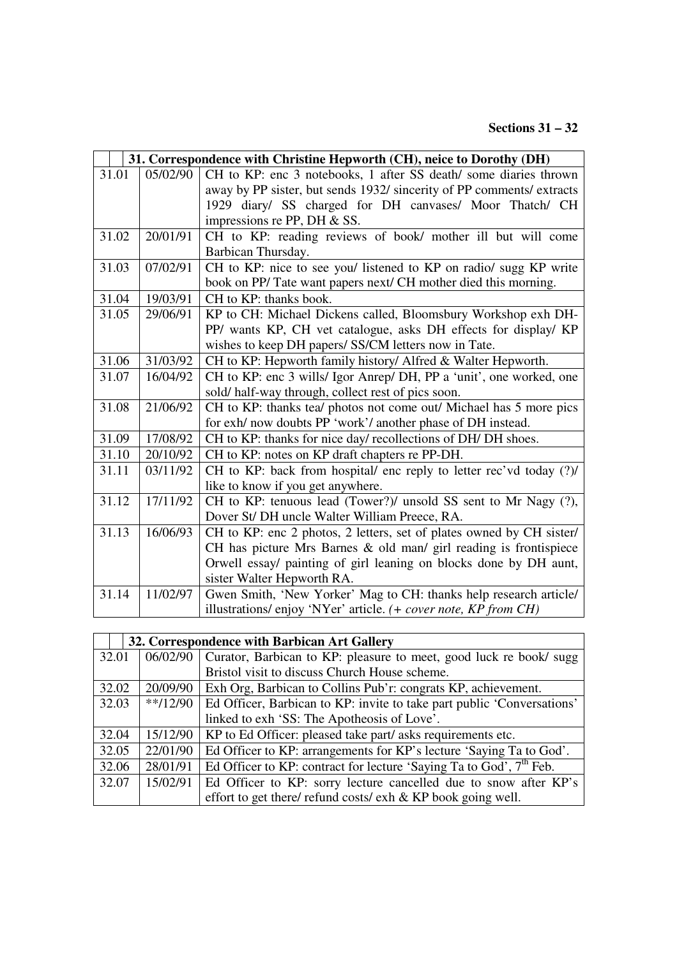# **Sections 31 – 32**

|       |          | 31. Correspondence with Christine Hepworth (CH), neice to Dorothy (DH) |
|-------|----------|------------------------------------------------------------------------|
| 31.01 | 05/02/90 | CH to KP: enc 3 notebooks, 1 after SS death/some diaries thrown        |
|       |          | away by PP sister, but sends 1932/ sincerity of PP comments/ extracts  |
|       |          | 1929 diary/ SS charged for DH canvases/ Moor Thatch/ CH                |
|       |          | impressions re PP, DH $&$ SS.                                          |
| 31.02 | 20/01/91 | CH to KP: reading reviews of book/ mother ill but will come            |
|       |          | Barbican Thursday.                                                     |
| 31.03 | 07/02/91 | CH to KP: nice to see you/ listened to KP on radio/ sugg KP write      |
|       |          | book on PP/ Tate want papers next/ CH mother died this morning.        |
| 31.04 | 19/03/91 | CH to KP: thanks book.                                                 |
| 31.05 | 29/06/91 | KP to CH: Michael Dickens called, Bloomsbury Workshop exh DH-          |
|       |          | PP/ wants KP, CH vet catalogue, asks DH effects for display/ KP        |
|       |          | wishes to keep DH papers/ SS/CM letters now in Tate.                   |
| 31.06 | 31/03/92 | CH to KP: Hepworth family history/ Alfred & Walter Hepworth.           |
| 31.07 | 16/04/92 | CH to KP: enc 3 wills/ Igor Anrep/ DH, PP a 'unit', one worked, one    |
|       |          | sold/half-way through, collect rest of pics soon.                      |
| 31.08 | 21/06/92 | CH to KP: thanks tea/ photos not come out/ Michael has 5 more pics     |
|       |          | for exh/ now doubts PP 'work'/ another phase of DH instead.            |
| 31.09 | 17/08/92 | CH to KP: thanks for nice day/ recollections of DH/ DH shoes.          |
| 31.10 | 20/10/92 | CH to KP: notes on KP draft chapters re PP-DH.                         |
| 31.11 | 03/11/92 | CH to KP: back from hospital/ enc reply to letter rec'vd today (?)/    |
|       |          | like to know if you get anywhere.                                      |
| 31.12 | 17/11/92 | CH to KP: tenuous lead (Tower?)/ unsold SS sent to Mr Nagy (?),        |
|       |          | Dover St/ DH uncle Walter William Preece, RA.                          |
| 31.13 | 16/06/93 | CH to KP: enc 2 photos, 2 letters, set of plates owned by CH sister/   |
|       |          | CH has picture Mrs Barnes & old man/ girl reading is frontispiece      |
|       |          | Orwell essay/ painting of girl leaning on blocks done by DH aunt,      |
|       |          | sister Walter Hepworth RA.                                             |
| 31.14 | 11/02/97 | Gwen Smith, 'New Yorker' Mag to CH: thanks help research article/      |
|       |          | illustrations/enjoy 'NYer' article. (+ cover note, KP from CH)         |

| 32. Correspondence with Barbican Art Gallery |            |                                                                                 |
|----------------------------------------------|------------|---------------------------------------------------------------------------------|
| 32.01                                        | 06/02/90   | Curator, Barbican to KP: pleasure to meet, good luck re book/sugg               |
|                                              |            | Bristol visit to discuss Church House scheme.                                   |
| 32.02                                        | 20/09/90   | Exh Org, Barbican to Collins Pub'r: congrats KP, achievement.                   |
| 32.03                                        | $**/12/90$ | Ed Officer, Barbican to KP: invite to take part public 'Conversations'          |
|                                              |            | linked to exh 'SS: The Apotheosis of Love'.                                     |
| 32.04                                        | 15/12/90   | KP to Ed Officer: pleased take part/ asks requirements etc.                     |
| 32.05                                        | 22/01/90   | Ed Officer to KP: arrangements for KP's lecture 'Saying Ta to God'.             |
| 32.06                                        | 28/01/91   | Ed Officer to KP: contract for lecture 'Saying Ta to God', 7 <sup>th</sup> Feb. |
| 32.07                                        | 15/02/91   | Ed Officer to KP: sorry lecture cancelled due to snow after KP's                |
|                                              |            | effort to get there/ refund costs/ $exh \& KP$ book going well.                 |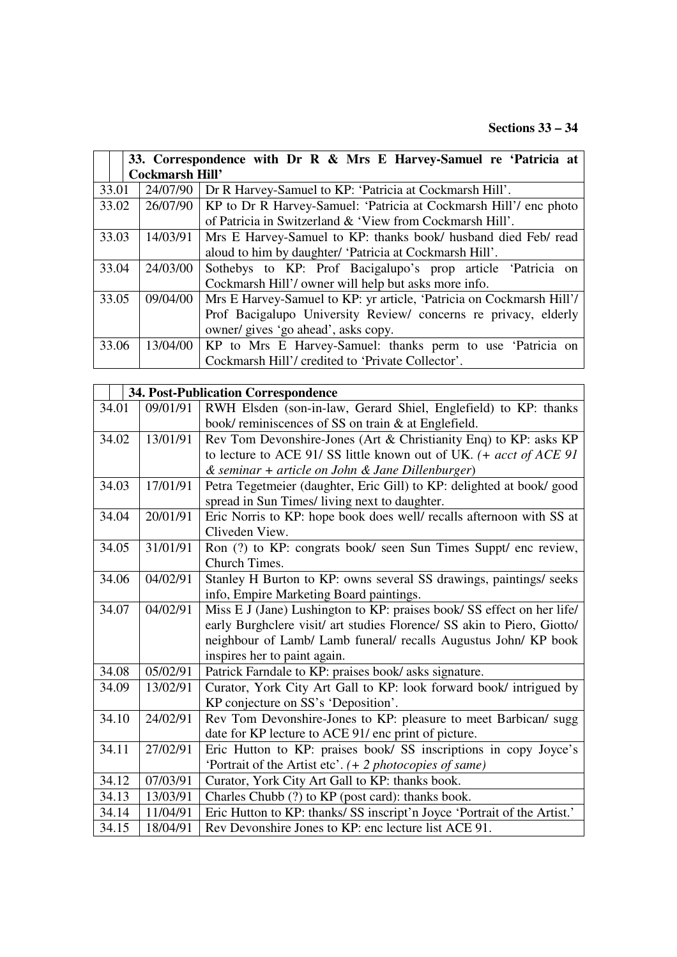|       | 33. Correspondence with Dr R & Mrs E Harvey-Samuel re 'Patricia at |                                                                      |  |  |
|-------|--------------------------------------------------------------------|----------------------------------------------------------------------|--|--|
|       | <b>Cockmarsh Hill'</b>                                             |                                                                      |  |  |
| 33.01 | 24/07/90                                                           | Dr R Harvey-Samuel to KP: 'Patricia at Cockmarsh Hill'.              |  |  |
| 33.02 | 26/07/90                                                           | KP to Dr R Harvey-Samuel: 'Patricia at Cockmarsh Hill'/ enc photo    |  |  |
|       |                                                                    | of Patricia in Switzerland & 'View from Cockmarsh Hill'.             |  |  |
| 33.03 | 14/03/91                                                           | Mrs E Harvey-Samuel to KP: thanks book/ husband died Feb/ read       |  |  |
|       |                                                                    | aloud to him by daughter/ 'Patricia at Cockmarsh Hill'.              |  |  |
| 33.04 | 24/03/00                                                           | Sothebys to KP: Prof Bacigalupo's prop article 'Patricia on          |  |  |
|       |                                                                    | Cockmarsh Hill'/ owner will help but asks more info.                 |  |  |
| 33.05 | 09/04/00                                                           | Mrs E Harvey-Samuel to KP: yr article, 'Patricia on Cockmarsh Hill'/ |  |  |
|       |                                                                    | Prof Bacigalupo University Review/ concerns re privacy, elderly      |  |  |
|       |                                                                    | owner/ gives 'go ahead', asks copy.                                  |  |  |
| 33.06 | 13/04/00                                                           | KP to Mrs E Harvey-Samuel: thanks perm to use 'Patricia on           |  |  |
|       |                                                                    | Cockmarsh Hill'/ credited to 'Private Collector'.                    |  |  |

|       | 34. Post-Publication Correspondence |                                                                          |  |
|-------|-------------------------------------|--------------------------------------------------------------------------|--|
| 34.01 | 09/01/91                            | RWH Elsden (son-in-law, Gerard Shiel, Englefield) to KP: thanks          |  |
|       |                                     | book/reminiscences of SS on train & at Englefield.                       |  |
| 34.02 | 13/01/91                            | Rev Tom Devonshire-Jones (Art & Christianity Enq) to KP: asks KP         |  |
|       |                                     | to lecture to ACE 91/SS little known out of UK. $(+$ acct of ACE 91      |  |
|       |                                     | & seminar + article on John & Jane Dillenburger)                         |  |
| 34.03 | 17/01/91                            | Petra Tegetmeier (daughter, Eric Gill) to KP: delighted at book/good     |  |
|       |                                     | spread in Sun Times/ living next to daughter.                            |  |
| 34.04 | 20/01/91                            | Eric Norris to KP: hope book does well/ recalls afternoon with SS at     |  |
|       |                                     | Cliveden View.                                                           |  |
| 34.05 | 31/01/91                            | Ron (?) to KP: congrats book/ seen Sun Times Suppt/ enc review,          |  |
|       |                                     | Church Times.                                                            |  |
| 34.06 | 04/02/91                            | Stanley H Burton to KP: owns several SS drawings, paintings/ seeks       |  |
|       |                                     | info, Empire Marketing Board paintings.                                  |  |
| 34.07 | 04/02/91                            | Miss E J (Jane) Lushington to KP: praises book/ SS effect on her life/   |  |
|       |                                     | early Burghclere visit/ art studies Florence/ SS akin to Piero, Giotto/  |  |
|       |                                     | neighbour of Lamb/ Lamb funeral/ recalls Augustus John/ KP book          |  |
|       |                                     | inspires her to paint again.                                             |  |
| 34.08 | 05/02/91                            | Patrick Farndale to KP: praises book/ asks signature.                    |  |
| 34.09 | 13/02/91                            | Curator, York City Art Gall to KP: look forward book/ intrigued by       |  |
|       |                                     | KP conjecture on SS's 'Deposition'.                                      |  |
| 34.10 | 24/02/91                            | Rev Tom Devonshire-Jones to KP: pleasure to meet Barbican/ sugg          |  |
|       |                                     | date for KP lecture to ACE 91/ enc print of picture.                     |  |
| 34.11 | 27/02/91                            | Eric Hutton to KP: praises book/ SS inscriptions in copy Joyce's         |  |
|       |                                     | 'Portrait of the Artist etc'. (+ 2 photocopies of same)                  |  |
| 34.12 | 07/03/91                            | Curator, York City Art Gall to KP: thanks book.                          |  |
| 34.13 | 13/03/91                            | Charles Chubb (?) to KP (post card): thanks book.                        |  |
| 34.14 | 11/04/91                            | Eric Hutton to KP: thanks/ SS inscript'n Joyce 'Portrait of the Artist.' |  |
| 34.15 | 18/04/91                            | Rev Devonshire Jones to KP: enc lecture list ACE 91.                     |  |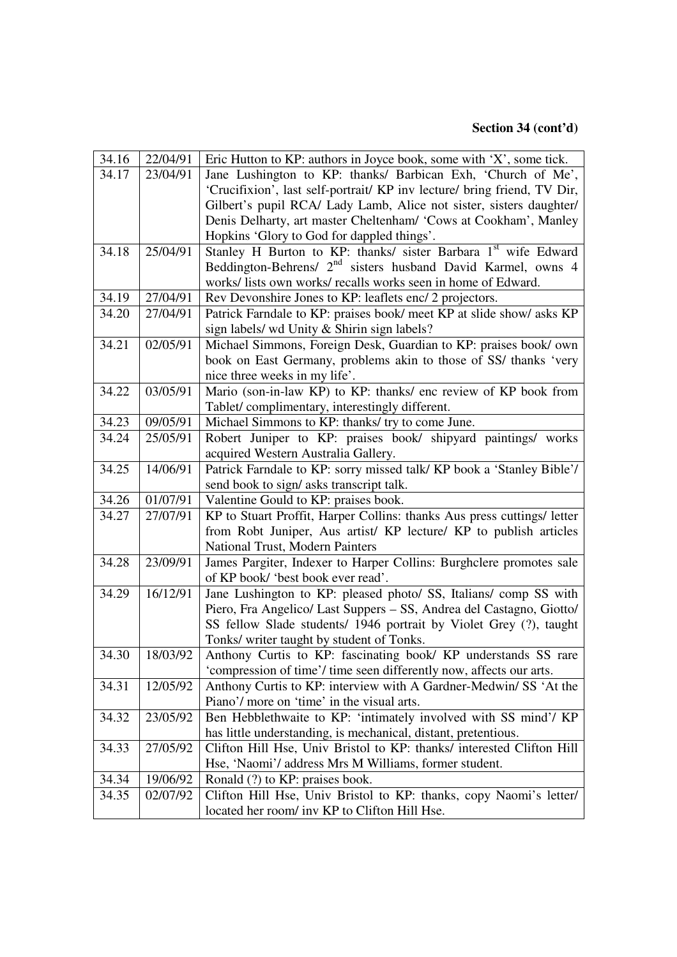| 34.16 | 22/04/91 | Eric Hutton to KP: authors in Joyce book, some with 'X', some tick.      |
|-------|----------|--------------------------------------------------------------------------|
| 34.17 | 23/04/91 | Jane Lushington to KP: thanks/ Barbican Exh, 'Church of Me',             |
|       |          | 'Crucifixion', last self-portrait/ KP inv lecture/ bring friend, TV Dir, |
|       |          | Gilbert's pupil RCA/ Lady Lamb, Alice not sister, sisters daughter/      |
|       |          | Denis Delharty, art master Cheltenham/ 'Cows at Cookham', Manley         |
|       |          | Hopkins 'Glory to God for dappled things'.                               |
| 34.18 | 25/04/91 | Stanley H Burton to KP: thanks/ sister Barbara 1st wife Edward           |
|       |          | Beddington-Behrens/ 2 <sup>nd</sup> sisters husband David Karmel, owns 4 |
|       |          | works/ lists own works/ recalls works seen in home of Edward.            |
| 34.19 | 27/04/91 | Rev Devonshire Jones to KP: leaflets enc/ 2 projectors.                  |
| 34.20 | 27/04/91 | Patrick Farndale to KP: praises book/ meet KP at slide show/ asks KP     |
|       |          | sign labels/ wd Unity & Shirin sign labels?                              |
| 34.21 | 02/05/91 | Michael Simmons, Foreign Desk, Guardian to KP: praises book/own          |
|       |          | book on East Germany, problems akin to those of SS/ thanks 'very         |
|       |          | nice three weeks in my life'.                                            |
| 34.22 | 03/05/91 | Mario (son-in-law KP) to KP: thanks/ enc review of KP book from          |
|       |          | Tablet/complimentary, interestingly different.                           |
| 34.23 | 09/05/91 | Michael Simmons to KP: thanks/ try to come June.                         |
| 34.24 | 25/05/91 | Robert Juniper to KP: praises book/ shipyard paintings/ works            |
|       |          | acquired Western Australia Gallery.                                      |
| 34.25 | 14/06/91 | Patrick Farndale to KP: sorry missed talk/ KP book a 'Stanley Bible'/    |
|       |          | send book to sign/ asks transcript talk.                                 |
| 34.26 | 01/07/91 | Valentine Gould to KP: praises book.                                     |
| 34.27 | 27/07/91 | KP to Stuart Proffit, Harper Collins: thanks Aus press cuttings/ letter  |
|       |          | from Robt Juniper, Aus artist/ KP lecture/ KP to publish articles        |
|       |          | National Trust, Modern Painters                                          |
| 34.28 | 23/09/91 | James Pargiter, Indexer to Harper Collins: Burghclere promotes sale      |
|       |          | of KP book/ 'best book ever read'.                                       |
| 34.29 | 16/12/91 | Jane Lushington to KP: pleased photo/ SS, Italians/comp SS with          |
|       |          | Piero, Fra Angelico/ Last Suppers – SS, Andrea del Castagno, Giotto/     |
|       |          | SS fellow Slade students/ 1946 portrait by Violet Grey (?), taught       |
|       |          | Tonks/ writer taught by student of Tonks.                                |
| 34.30 | 18/03/92 | Anthony Curtis to KP: fascinating book/ KP understands SS rare           |
|       |          | 'compression of time'/ time seen differently now, affects our arts.      |
| 34.31 | 12/05/92 | Anthony Curtis to KP: interview with A Gardner-Medwin/ SS 'At the        |
|       |          | Piano'/ more on 'time' in the visual arts.                               |
| 34.32 | 23/05/92 | Ben Hebblethwaite to KP: 'intimately involved with SS mind'/ KP          |
|       |          | has little understanding, is mechanical, distant, pretentious.           |
| 34.33 | 27/05/92 | Clifton Hill Hse, Univ Bristol to KP: thanks/ interested Clifton Hill    |
|       |          | Hse, 'Naomi'/ address Mrs M Williams, former student.                    |
| 34.34 | 19/06/92 | Ronald (?) to KP: praises book.                                          |
| 34.35 | 02/07/92 | Clifton Hill Hse, Univ Bristol to KP: thanks, copy Naomi's letter/       |
|       |          | located her room/ inv KP to Clifton Hill Hse.                            |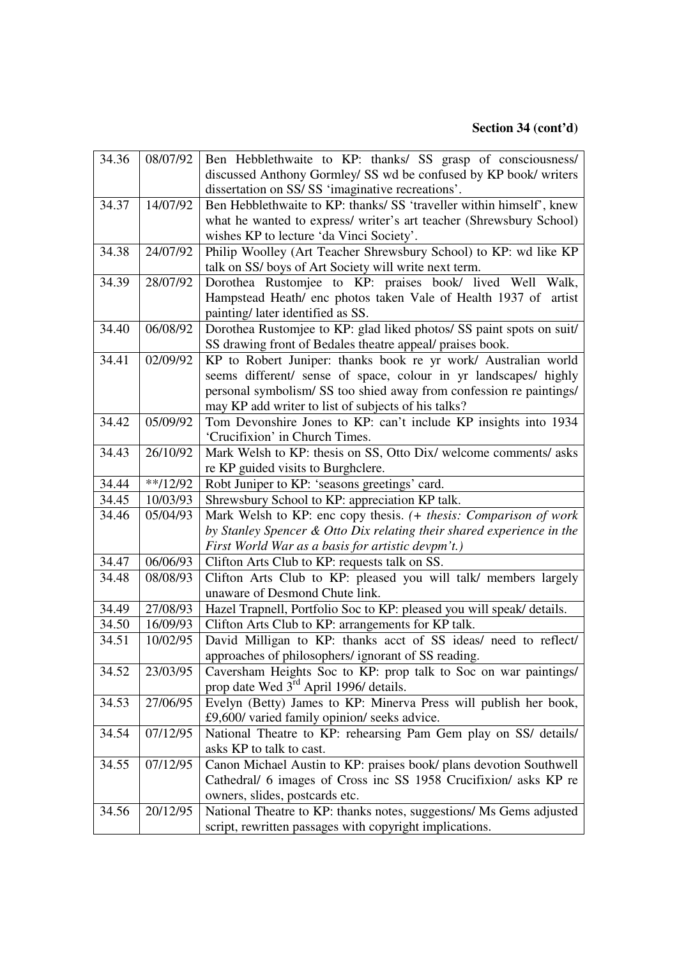| 34.36 | 08/07/92   | Ben Hebblethwaite to KP: thanks/ SS grasp of consciousness/           |
|-------|------------|-----------------------------------------------------------------------|
|       |            | discussed Anthony Gormley/ SS wd be confused by KP book/ writers      |
|       |            | dissertation on SS/SS 'imaginative recreations'.                      |
| 34.37 | 14/07/92   | Ben Hebblethwaite to KP: thanks/ SS 'traveller within himself', knew  |
|       |            | what he wanted to express/ writer's art teacher (Shrewsbury School)   |
|       |            | wishes KP to lecture 'da Vinci Society'.                              |
| 34.38 | 24/07/92   | Philip Woolley (Art Teacher Shrewsbury School) to KP: wd like KP      |
|       |            | talk on SS/ boys of Art Society will write next term.                 |
| 34.39 | 28/07/92   | Dorothea Rustomjee to KP: praises book/ lived Well<br>Walk,           |
|       |            | Hampstead Heath/ enc photos taken Vale of Health 1937 of artist       |
|       |            | painting/ later identified as SS.                                     |
| 34.40 | 06/08/92   | Dorothea Rustomjee to KP: glad liked photos/ SS paint spots on suit/  |
|       |            | SS drawing front of Bedales theatre appeal/ praises book.             |
| 34.41 | 02/09/92   | KP to Robert Juniper: thanks book re yr work/ Australian world        |
|       |            | seems different/ sense of space, colour in yr landscapes/ highly      |
|       |            | personal symbolism/SS too shied away from confession re paintings/    |
|       |            | may KP add writer to list of subjects of his talks?                   |
| 34.42 | 05/09/92   | Tom Devonshire Jones to KP: can't include KP insights into 1934       |
|       |            | 'Crucifixion' in Church Times.                                        |
| 34.43 | 26/10/92   | Mark Welsh to KP: thesis on SS, Otto Dix/ welcome comments/ asks      |
|       |            | re KP guided visits to Burghclere.                                    |
| 34.44 | $**/12/92$ | Robt Juniper to KP: 'seasons greetings' card.                         |
| 34.45 | 10/03/93   | Shrewsbury School to KP: appreciation KP talk.                        |
| 34.46 | 05/04/93   | Mark Welsh to KP: enc copy thesis. (+ thesis: Comparison of work      |
|       |            | by Stanley Spencer & Otto Dix relating their shared experience in the |
|       |            | First World War as a basis for artistic devpm't.)                     |
| 34.47 | 06/06/93   | Clifton Arts Club to KP: requests talk on SS.                         |
| 34.48 | 08/08/93   | Clifton Arts Club to KP: pleased you will talk/ members largely       |
|       |            | unaware of Desmond Chute link.                                        |
| 34.49 | 27/08/93   | Hazel Trapnell, Portfolio Soc to KP: pleased you will speak/ details. |
| 34.50 | 16/09/93   | Clifton Arts Club to KP: arrangements for KP talk.                    |
| 34.51 | 10/02/95   | David Milligan to KP: thanks acct of SS ideas/ need to reflect/       |
|       |            | approaches of philosophers/ignorant of SS reading.                    |
| 34.52 | 23/03/95   | Caversham Heights Soc to KP: prop talk to Soc on war paintings/       |
|       |            | prop date Wed 3 <sup>rd</sup> April 1996/ details.                    |
| 34.53 | 27/06/95   | Evelyn (Betty) James to KP: Minerva Press will publish her book,      |
|       |            | £9,600/ varied family opinion/ seeks advice.                          |
| 34.54 | 07/12/95   | National Theatre to KP: rehearsing Pam Gem play on SS/ details/       |
|       |            | asks KP to talk to cast.                                              |
| 34.55 | 07/12/95   | Canon Michael Austin to KP: praises book/ plans devotion Southwell    |
|       |            | Cathedral/ 6 images of Cross inc SS 1958 Crucifixion/ asks KP re      |
|       |            | owners, slides, postcards etc.                                        |
| 34.56 | 20/12/95   | National Theatre to KP: thanks notes, suggestions/ Ms Gems adjusted   |
|       |            | script, rewritten passages with copyright implications.               |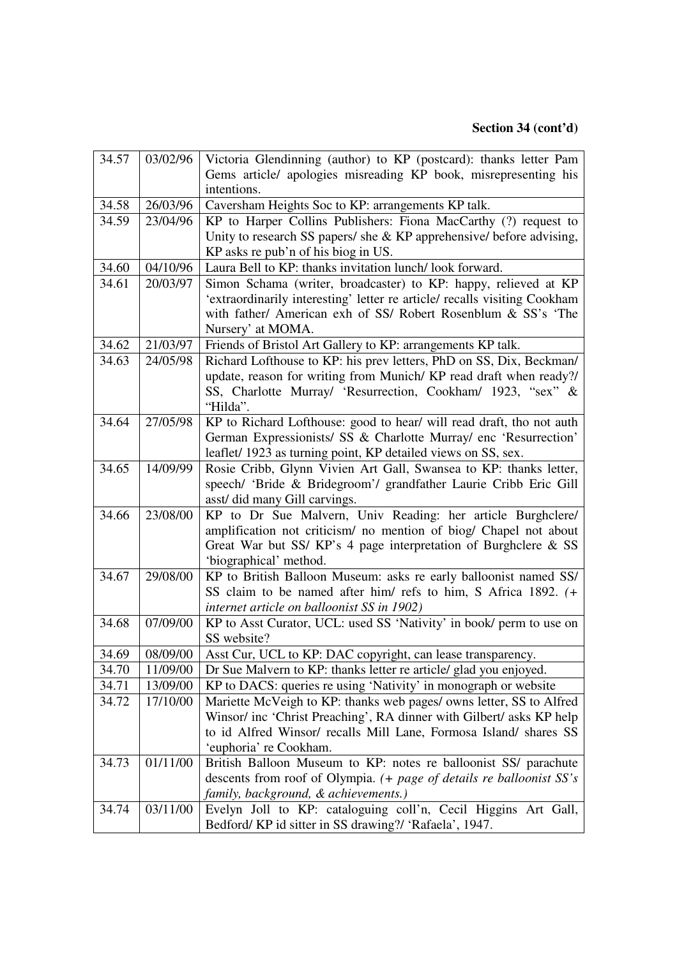| 34.57 | 03/02/96 | Victoria Glendinning (author) to KP (postcard): thanks letter Pam         |
|-------|----------|---------------------------------------------------------------------------|
|       |          | Gems article/ apologies misreading KP book, misrepresenting his           |
|       |          | intentions.                                                               |
| 34.58 | 26/03/96 | Caversham Heights Soc to KP: arrangements KP talk.                        |
| 34.59 | 23/04/96 | KP to Harper Collins Publishers: Fiona MacCarthy (?) request to           |
|       |          | Unity to research SS papers/ she & KP apprehensive/ before advising,      |
|       |          | KP asks re pub'n of his biog in US.                                       |
| 34.60 | 04/10/96 | Laura Bell to KP: thanks invitation lunch/look forward.                   |
| 34.61 | 20/03/97 | Simon Schama (writer, broadcaster) to KP: happy, relieved at KP           |
|       |          | 'extraordinarily interesting' letter re article/ recalls visiting Cookham |
|       |          | with father/ American exh of SS/ Robert Rosenblum & SS's 'The             |
|       |          | Nursery' at MOMA.                                                         |
| 34.62 | 21/03/97 | Friends of Bristol Art Gallery to KP: arrangements KP talk.               |
| 34.63 | 24/05/98 | Richard Lofthouse to KP: his prev letters, PhD on SS, Dix, Beckman/       |
|       |          | update, reason for writing from Munich/KP read draft when ready?/         |
|       |          | SS, Charlotte Murray/ 'Resurrection, Cookham/ 1923, "sex" &               |
|       |          | "Hilda".                                                                  |
| 34.64 | 27/05/98 | KP to Richard Lofthouse: good to hear/ will read draft, tho not auth      |
|       |          | German Expressionists/ SS & Charlotte Murray/ enc 'Resurrection'          |
|       |          | leaflet/ 1923 as turning point, KP detailed views on SS, sex.             |
| 34.65 | 14/09/99 | Rosie Cribb, Glynn Vivien Art Gall, Swansea to KP: thanks letter,         |
|       |          | speech/ 'Bride & Bridegroom'/ grandfather Laurie Cribb Eric Gill          |
|       |          | asst/ did many Gill carvings.                                             |
| 34.66 | 23/08/00 | KP to Dr Sue Malvern, Univ Reading: her article Burghclere/               |
|       |          | amplification not criticism/ no mention of biog/ Chapel not about         |
|       |          | Great War but SS/KP's 4 page interpretation of Burghclere & SS            |
|       |          | 'biographical' method.                                                    |
| 34.67 | 29/08/00 | KP to British Balloon Museum: asks re early balloonist named SS/          |
|       |          | SS claim to be named after him/ refs to him, S Africa 1892. (+            |
|       |          | internet article on balloonist SS in 1902)                                |
| 34.68 | 07/09/00 | KP to Asst Curator, UCL: used SS 'Nativity' in book/ perm to use on       |
|       |          | SS website?                                                               |
| 34.69 | 08/09/00 | Asst Cur, UCL to KP: DAC copyright, can lease transparency.               |
| 34.70 | 11/09/00 | Dr Sue Malvern to KP: thanks letter re article/ glad you enjoyed.         |
| 34.71 | 13/09/00 | KP to DACS: queries re using 'Nativity' in monograph or website           |
| 34.72 | 17/10/00 | Mariette McVeigh to KP: thanks web pages/ owns letter, SS to Alfred       |
|       |          | Winsor/ inc 'Christ Preaching', RA dinner with Gilbert/ asks KP help      |
|       |          | to id Alfred Winsor/ recalls Mill Lane, Formosa Island/ shares SS         |
|       |          | 'euphoria' re Cookham.                                                    |
| 34.73 | 01/11/00 | British Balloon Museum to KP: notes re balloonist SS/ parachute           |
|       |          | descents from roof of Olympia. (+ page of details re balloonist SS's      |
|       |          | family, background, & achievements.)                                      |
| 34.74 | 03/11/00 | Evelyn Joll to KP: cataloguing coll'n, Cecil Higgins Art Gall,            |
|       |          | Bedford/KP id sitter in SS drawing?/ 'Rafaela', 1947.                     |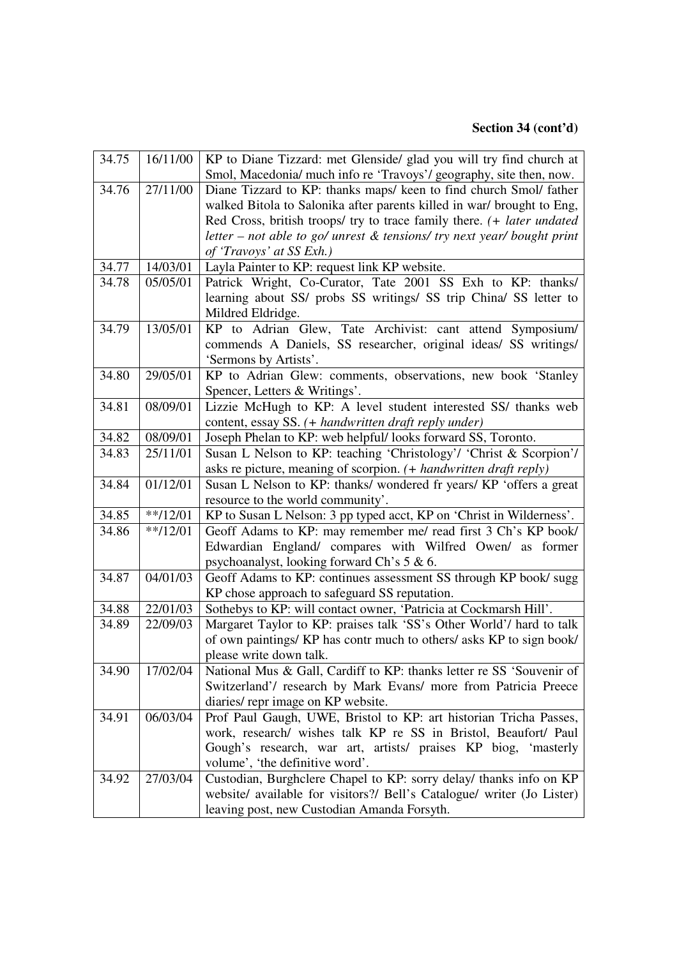| 34.75 | 16/11/00              | KP to Diane Tizzard: met Glenside/ glad you will try find church at        |
|-------|-----------------------|----------------------------------------------------------------------------|
|       |                       | Smol, Macedonia/ much info re 'Travoys'/ geography, site then, now.        |
| 34.76 | $\frac{1}{27}$ /11/00 | Diane Tizzard to KP: thanks maps/ keen to find church Smol/ father         |
|       |                       | walked Bitola to Salonika after parents killed in war/ brought to Eng,     |
|       |                       | Red Cross, british troops/ try to trace family there. (+ later undated     |
|       |                       | letter – not able to go/ unrest $\&$ tensions/ try next year/ bought print |
|       |                       | of 'Travoys' at SS Exh.)                                                   |
| 34.77 | 14/03/01              | Layla Painter to KP: request link KP website.                              |
| 34.78 | 05/05/01              | Patrick Wright, Co-Curator, Tate 2001 SS Exh to KP: thanks/                |
|       |                       | learning about SS/ probs SS writings/ SS trip China/ SS letter to          |
|       |                       | Mildred Eldridge.                                                          |
| 34.79 | 13/05/01              | KP to Adrian Glew, Tate Archivist: cant attend Symposium/                  |
|       |                       | commends A Daniels, SS researcher, original ideas/ SS writings/            |
|       |                       | 'Sermons by Artists'.                                                      |
| 34.80 | 29/05/01              | KP to Adrian Glew: comments, observations, new book 'Stanley               |
|       |                       | Spencer, Letters & Writings'.                                              |
| 34.81 | 08/09/01              | Lizzie McHugh to KP: A level student interested SS/ thanks web             |
|       |                       | content, essay SS. (+ handwritten draft reply under)                       |
| 34.82 | 08/09/01              | Joseph Phelan to KP: web helpful/looks forward SS, Toronto.                |
| 34.83 | 25/11/01              | Susan L Nelson to KP: teaching 'Christology'/ 'Christ & Scorpion'/         |
|       |                       | asks re picture, meaning of scorpion. (+ handwritten draft reply)          |
| 34.84 | 01/12/01              | Susan L Nelson to KP: thanks/ wondered fr years/ KP 'offers a great        |
|       |                       | resource to the world community'.                                          |
| 34.85 | $**/12/01$            | KP to Susan L Nelson: 3 pp typed acct, KP on 'Christ in Wilderness'.       |
| 34.86 | $**/12/01$            | Geoff Adams to KP: may remember me/ read first 3 Ch's KP book/             |
|       |                       | Edwardian England/ compares with Wilfred Owen/ as former                   |
|       |                       | psychoanalyst, looking forward Ch's 5 & 6.                                 |
| 34.87 | 04/01/03              | Geoff Adams to KP: continues assessment SS through KP book/sugg            |
|       |                       | KP chose approach to safeguard SS reputation.                              |
| 34.88 | 22/01/03              | Sothebys to KP: will contact owner, 'Patricia at Cockmarsh Hill'.          |
| 34.89 | 22/09/03              | Margaret Taylor to KP: praises talk 'SS's Other World'/ hard to talk       |
|       |                       | of own paintings/ KP has contr much to others/ asks KP to sign book/       |
|       |                       | please write down talk.                                                    |
| 34.90 | 17/02/04              | National Mus & Gall, Cardiff to KP: thanks letter re SS 'Souvenir of       |
|       |                       | Switzerland'/ research by Mark Evans/ more from Patricia Preece            |
|       |                       | diaries/repr image on KP website.                                          |
| 34.91 | 06/03/04              | Prof Paul Gaugh, UWE, Bristol to KP: art historian Tricha Passes,          |
|       |                       | work, research/ wishes talk KP re SS in Bristol, Beaufort/ Paul            |
|       |                       | Gough's research, war art, artists/ praises KP biog, 'masterly             |
|       |                       | volume', 'the definitive word'.                                            |
| 34.92 | 27/03/04              | Custodian, Burghclere Chapel to KP: sorry delay/ thanks info on KP         |
|       |                       | website/ available for visitors?/ Bell's Catalogue/ writer (Jo Lister)     |
|       |                       | leaving post, new Custodian Amanda Forsyth.                                |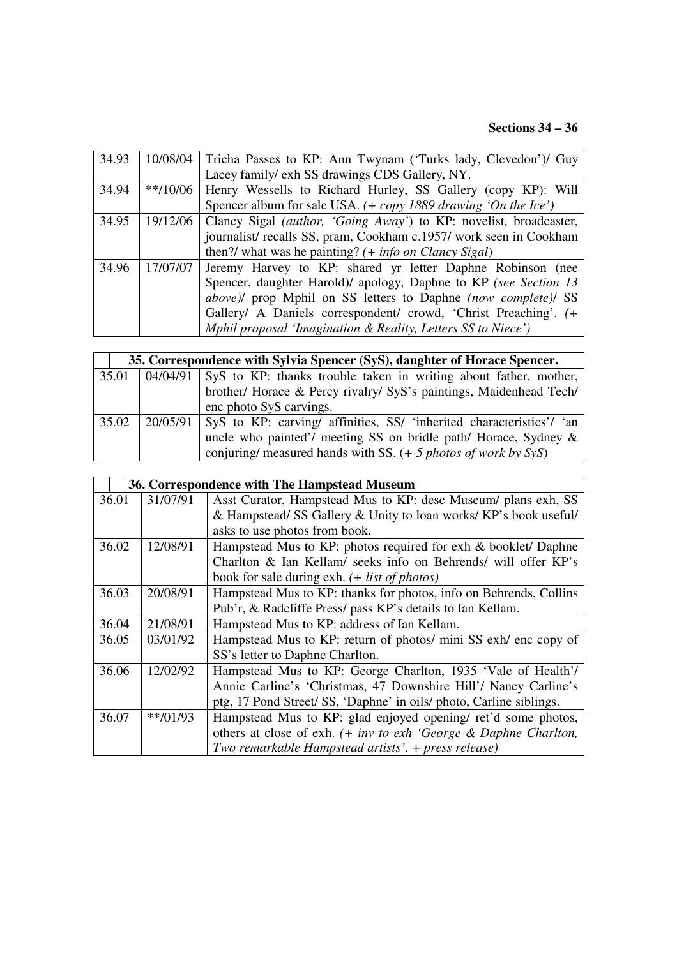# **Sections 34 – 36**

| 34.93 |            | 10/08/04   Tricha Passes to KP: Ann Twynam ('Turks lady, Clevedon')/ Guy |
|-------|------------|--------------------------------------------------------------------------|
|       |            | Lacey family/ exh SS drawings CDS Gallery, NY.                           |
| 34.94 | $**/10/06$ | Henry Wessells to Richard Hurley, SS Gallery (copy KP): Will             |
|       |            | Spencer album for sale USA. $(+$ copy 1889 drawing 'On the Ice')         |
| 34.95 | 19/12/06   | Clancy Sigal <i>(author, 'Going Away')</i> to KP: novelist, broadcaster, |
|       |            | journalist/recalls SS, pram, Cookham c.1957/work seen in Cookham         |
|       |            | then?/ what was he painting? $(+$ info on Clancy Sigal)                  |
| 34.96 | 17/07/07   | Jeremy Harvey to KP: shared yr letter Daphne Robinson (nee               |
|       |            | Spencer, daughter Harold)/ apology, Daphne to KP (see Section 13         |
|       |            | above)/ prop Mphil on SS letters to Daphne (now complete)/ SS            |
|       |            | Gallery/ A Daniels correspondent/ crowd, 'Christ Preaching'. (+          |
|       |            | Mphil proposal 'Imagination & Reality, Letters SS to Niece')             |

|       | 35. Correspondence with Sylvia Spencer (SyS), daughter of Horace Spencer.       |
|-------|---------------------------------------------------------------------------------|
| 35.01 | 04/04/91   SyS to KP: thanks trouble taken in writing about father, mother,     |
|       | brother/ Horace & Percy rivalry/ SyS's paintings, Maidenhead Tech/              |
|       | enc photo SyS carvings.                                                         |
| 35.02 | 20/05/91   SyS to KP: carving/ affinities, SS/ 'inherited characteristics'/ 'an |
|       | uncle who painted'/ meeting SS on bridle path/ Horace, Sydney &                 |
|       | conjuring/ measured hands with SS. $(+ 5$ photos of work by SyS)                |

|       | 36. Correspondence with The Hampstead Museum |                                                                      |  |
|-------|----------------------------------------------|----------------------------------------------------------------------|--|
| 36.01 | 31/07/91                                     | Asst Curator, Hampstead Mus to KP: desc Museum/ plans exh, SS        |  |
|       |                                              | & Hampstead/ SS Gallery & Unity to loan works/ KP's book useful/     |  |
|       |                                              | asks to use photos from book.                                        |  |
| 36.02 | 12/08/91                                     | Hampstead Mus to KP: photos required for exh & booklet/ Daphne       |  |
|       |                                              | Charlton & Ian Kellam/ seeks info on Behrends/ will offer KP's       |  |
|       |                                              | book for sale during exh. $(+$ <i>list of photos</i> )               |  |
| 36.03 | 20/08/91                                     | Hampstead Mus to KP: thanks for photos, info on Behrends, Collins    |  |
|       |                                              | Pub'r, & Radcliffe Press/ pass KP's details to Ian Kellam.           |  |
| 36.04 | 21/08/91                                     | Hampstead Mus to KP: address of Ian Kellam.                          |  |
| 36.05 | 03/01/92                                     | Hampstead Mus to KP: return of photos/ mini SS exh/ enc copy of      |  |
|       |                                              | SS's letter to Daphne Charlton.                                      |  |
| 36.06 | 12/02/92                                     | Hampstead Mus to KP: George Charlton, 1935 'Vale of Health'/         |  |
|       |                                              | Annie Carline's 'Christmas, 47 Downshire Hill'/ Nancy Carline's      |  |
|       |                                              | ptg, 17 Pond Street/SS, 'Daphne' in oils/ photo, Carline siblings.   |  |
| 36.07 | **/01/93                                     | Hampstead Mus to KP: glad enjoyed opening/ret'd some photos,         |  |
|       |                                              | others at close of exh. $(+ inv to e x h 'George & Daphne Charlton,$ |  |
|       |                                              | Two remarkable Hampstead artists', + press release)                  |  |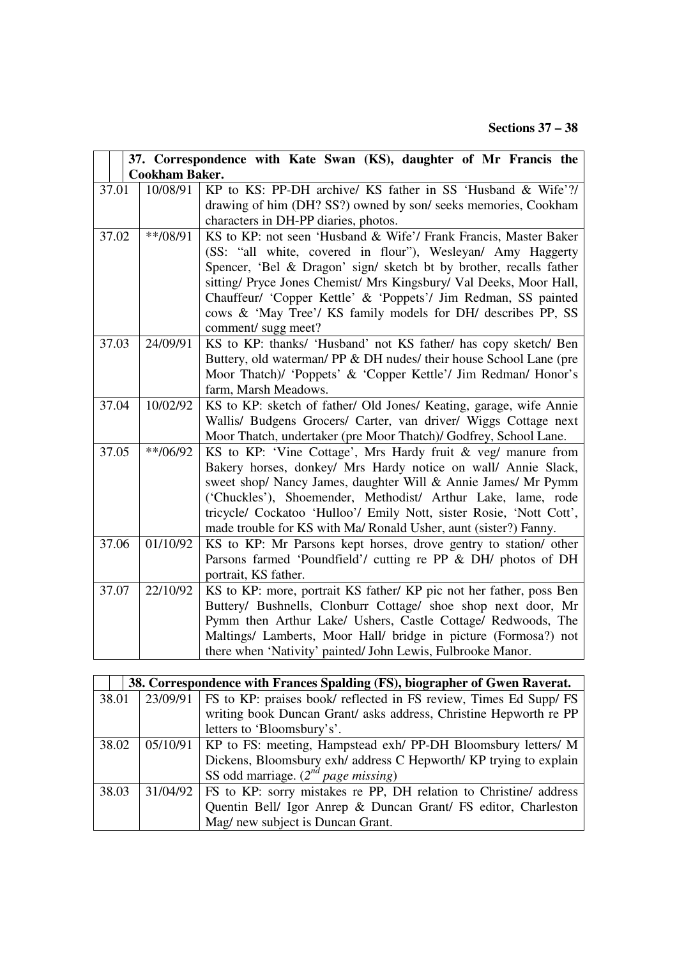|                                                                                          | 37. Correspondence with Kate Swan (KS), daughter of Mr Francis the |  |  |
|------------------------------------------------------------------------------------------|--------------------------------------------------------------------|--|--|
| <b>Cookham Baker.</b>                                                                    |                                                                    |  |  |
| KP to KS: PP-DH archive/ KS father in SS 'Husband & Wife'?/<br>37.01<br>10/08/91         |                                                                    |  |  |
| drawing of him (DH? SS?) owned by son/ seeks memories, Cookham                           |                                                                    |  |  |
| characters in DH-PP diaries, photos.                                                     |                                                                    |  |  |
| 37.02<br>$**/08/91$<br>KS to KP: not seen 'Husband & Wife'/ Frank Francis, Master Baker  |                                                                    |  |  |
| (SS: "all white, covered in flour"), Wesleyan/ Amy Haggerty                              |                                                                    |  |  |
| Spencer, 'Bel & Dragon' sign/ sketch bt by brother, recalls father                       |                                                                    |  |  |
| sitting/ Pryce Jones Chemist/ Mrs Kingsbury/ Val Deeks, Moor Hall,                       |                                                                    |  |  |
| Chauffeur/ 'Copper Kettle' & 'Poppets'/ Jim Redman, SS painted                           |                                                                    |  |  |
| cows & 'May Tree'/ KS family models for DH/ describes PP, SS                             |                                                                    |  |  |
| comment/ sugg meet?                                                                      |                                                                    |  |  |
| 37.03<br>24/09/91<br>KS to KP: thanks/ 'Husband' not KS father/ has copy sketch/ Ben     |                                                                    |  |  |
| Buttery, old waterman/ PP & DH nudes/ their house School Lane (pre                       |                                                                    |  |  |
| Moor Thatch)/ 'Poppets' & 'Copper Kettle'/ Jim Redman/ Honor's                           |                                                                    |  |  |
| farm, Marsh Meadows.                                                                     |                                                                    |  |  |
| 37.04<br>10/02/92<br>KS to KP: sketch of father/ Old Jones/ Keating, garage, wife Annie  |                                                                    |  |  |
| Wallis/ Budgens Grocers/ Carter, van driver/ Wiggs Cottage next                          |                                                                    |  |  |
| Moor Thatch, undertaker (pre Moor Thatch)/ Godfrey, School Lane.                         |                                                                    |  |  |
| 37.05<br>$**/06/92$<br>KS to KP: 'Vine Cottage', Mrs Hardy fruit & veg/ manure from      |                                                                    |  |  |
| Bakery horses, donkey/ Mrs Hardy notice on wall/ Annie Slack,                            |                                                                    |  |  |
| sweet shop/ Nancy James, daughter Will & Annie James/ Mr Pymm                            |                                                                    |  |  |
| ('Chuckles'), Shoemender, Methodist/ Arthur Lake, lame, rode                             |                                                                    |  |  |
| tricycle/ Cockatoo 'Hulloo'/ Emily Nott, sister Rosie, 'Nott Cott',                      |                                                                    |  |  |
| made trouble for KS with Ma/ Ronald Usher, aunt (sister?) Fanny.                         |                                                                    |  |  |
| 01/10/92<br>KS to KP: Mr Parsons kept horses, drove gentry to station/ other<br>37.06    |                                                                    |  |  |
| Parsons farmed 'Poundfield'/ cutting re PP & DH/ photos of DH                            |                                                                    |  |  |
| portrait, KS father.                                                                     |                                                                    |  |  |
| KS to KP: more, portrait KS father/ KP pic not her father, poss Ben<br>37.07<br>22/10/92 |                                                                    |  |  |
| Buttery/ Bushnells, Clonburr Cottage/ shoe shop next door, Mr                            |                                                                    |  |  |
| Pymm then Arthur Lake/ Ushers, Castle Cottage/ Redwoods, The                             |                                                                    |  |  |
| Maltings/ Lamberts, Moor Hall/ bridge in picture (Formosa?) not                          |                                                                    |  |  |
| there when 'Nativity' painted/ John Lewis, Fulbrooke Manor.                              |                                                                    |  |  |

|       |          | 38. Correspondence with Frances Spalding (FS), biographer of Gwen Raverat. |
|-------|----------|----------------------------------------------------------------------------|
| 38.01 | 23/09/91 | FS to KP: praises book/ reflected in FS review, Times Ed Supp/ FS          |
|       |          | writing book Duncan Grant/ asks address, Christine Hepworth re PP          |
|       |          | letters to 'Bloomsbury's'.                                                 |
| 38.02 |          | $05/10/91$   KP to FS: meeting, Hampstead exh/ PP-DH Bloomsbury letters/ M |
|       |          | Dickens, Bloomsbury exh/ address C Hepworth/ KP trying to explain          |
|       |          | SS odd marriage. $(2^{nd}$ page missing)                                   |
| 38.03 | 31/04/92 | FS to KP: sorry mistakes re PP, DH relation to Christine/ address          |
|       |          | Quentin Bell/ Igor Anrep & Duncan Grant/ FS editor, Charleston             |
|       |          | Mag/ new subject is Duncan Grant.                                          |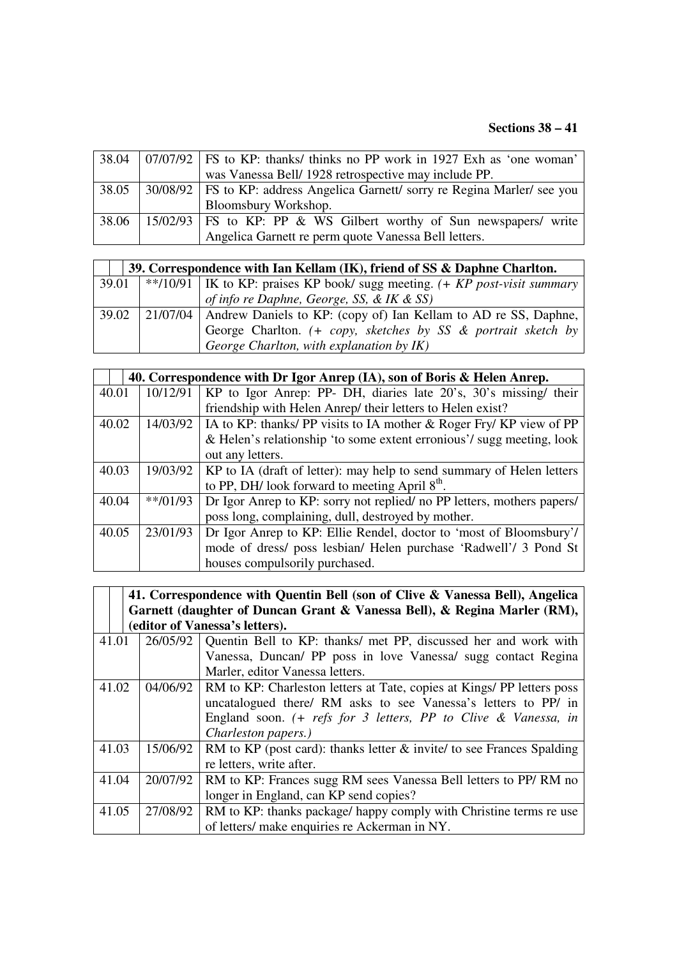|       | $38.04$   07/07/92   FS to KP: thanks/ thinks no PP work in 1927 Exh as 'one woman'    |
|-------|----------------------------------------------------------------------------------------|
|       | was Vanessa Bell/ 1928 retrospective may include PP.                                   |
|       | 38.05   30/08/92   FS to KP: address Angelica Garnett/ sorry re Regina Marler/ see you |
|       | Bloomsbury Workshop.                                                                   |
| 38.06 | 15/02/93   FS to KP: PP & WS Gilbert worthy of Sun newspapers/ write                   |
|       | Angelica Garnett re perm quote Vanessa Bell letters.                                   |

|       | 39. Correspondence with Ian Kellam (IK), friend of SS & Daphne Charlton. |                                                                                   |  |
|-------|--------------------------------------------------------------------------|-----------------------------------------------------------------------------------|--|
| 39.01 |                                                                          | **/10/91   IK to KP: praises KP book/ sugg meeting. $(+ KP \ post$ -visit summary |  |
|       |                                                                          | of info re Daphne, George, SS, & IK & SS)                                         |  |
| 39.02 |                                                                          | [21/07/04   Andrew Daniels to KP: (copy of) Ian Kellam to AD re SS, Daphne,       |  |
|       |                                                                          | George Charlton. (+ copy, sketches by SS & portrait sketch by                     |  |
|       |                                                                          | George Charlton, with explanation by IK)                                          |  |

|       |            | 40. Correspondence with Dr Igor Anrep (IA), son of Boris & Helen Anrep. |
|-------|------------|-------------------------------------------------------------------------|
| 40.01 | 10/12/91   | KP to Igor Anrep: PP- DH, diaries late 20's, 30's missing/ their        |
|       |            | friendship with Helen Anrep/ their letters to Helen exist?              |
| 40.02 | 14/03/92   | IA to KP: thanks/ PP visits to IA mother $\&$ Roger Fry/ KP view of PP  |
|       |            | & Helen's relationship 'to some extent erronious'/ sugg meeting, look   |
|       |            | out any letters.                                                        |
| 40.03 | 19/03/92   | KP to IA (draft of letter): may help to send summary of Helen letters   |
|       |            | to PP, DH/ look forward to meeting April $8th$ .                        |
| 40.04 | $**/01/93$ | Dr Igor Anrep to KP: sorry not replied/ no PP letters, mothers papers/  |
|       |            | poss long, complaining, dull, destroyed by mother.                      |
| 40.05 | 23/01/93   | Dr Igor Anrep to KP: Ellie Rendel, doctor to 'most of Bloomsbury'/      |
|       |            | mode of dress/ poss lesbian/ Helen purchase 'Radwell'/ 3 Pond St        |
|       |            | houses compulsorily purchased.                                          |

|       | 41. Correspondence with Quentin Bell (son of Clive & Vanessa Bell), Angelica<br>Garnett (daughter of Duncan Grant & Vanessa Bell), & Regina Marler (RM),<br>(editor of Vanessa's letters). |                                                                                                                                 |  |
|-------|--------------------------------------------------------------------------------------------------------------------------------------------------------------------------------------------|---------------------------------------------------------------------------------------------------------------------------------|--|
| 41.01 | 26/05/92                                                                                                                                                                                   | Quentin Bell to KP: thanks/ met PP, discussed her and work with                                                                 |  |
|       |                                                                                                                                                                                            | Vanessa, Duncan/ PP poss in love Vanessa/ sugg contact Regina                                                                   |  |
|       |                                                                                                                                                                                            | Marler, editor Vanessa letters.                                                                                                 |  |
| 41.02 | 04/06/92                                                                                                                                                                                   | RM to KP: Charleston letters at Tate, copies at Kings/ PP letters poss                                                          |  |
|       |                                                                                                                                                                                            | uncatalogued there/ RM asks to see Vanessa's letters to PP/ in                                                                  |  |
|       |                                                                                                                                                                                            | England soon. $( + \text{refs for } 3 \text{ letters}, \text{PP to Clive } \& \text{ Vanessa}, \text{ in } 3 \text{ vertices})$ |  |
|       |                                                                                                                                                                                            | Charleston papers.)                                                                                                             |  |
| 41.03 | 15/06/92                                                                                                                                                                                   | RM to KP (post card): thanks letter $\&$ invite/ to see Frances Spalding                                                        |  |
|       |                                                                                                                                                                                            | re letters, write after.                                                                                                        |  |
| 41.04 | 20/07/92                                                                                                                                                                                   | RM to KP: Frances sugg RM sees Vanessa Bell letters to PP/RM no                                                                 |  |
|       |                                                                                                                                                                                            | longer in England, can KP send copies?                                                                                          |  |
| 41.05 | 27/08/92                                                                                                                                                                                   | RM to KP: thanks package/ happy comply with Christine terms re use                                                              |  |
|       |                                                                                                                                                                                            | of letters/ make enquiries re Ackerman in NY.                                                                                   |  |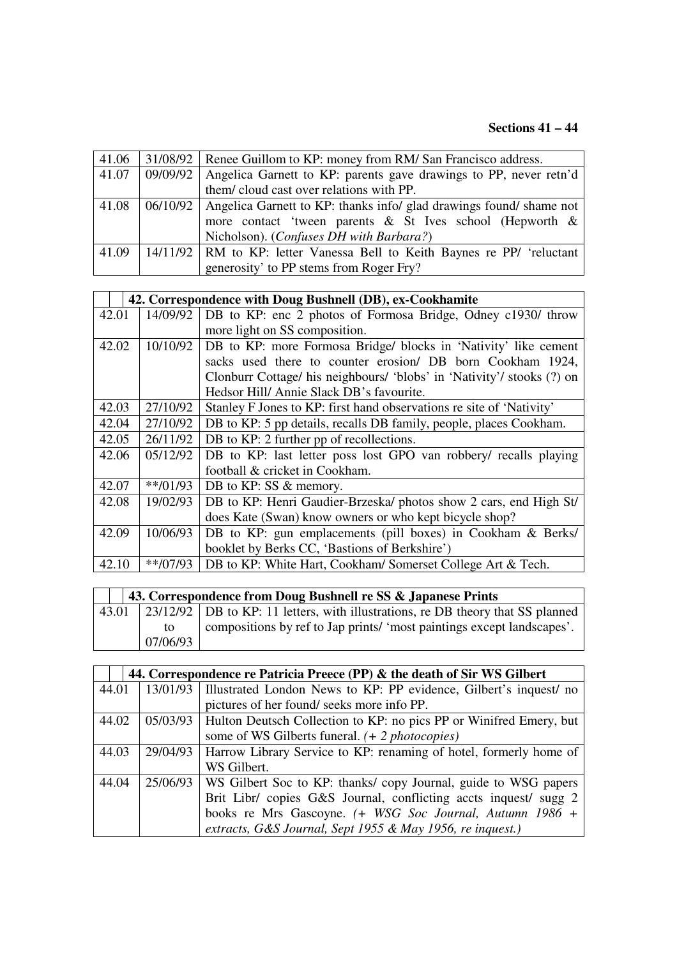# **Sections 41 – 44**

| 41.06 | 31/08/92   Renee Guillom to KP: money from RM/ San Francisco address.          |
|-------|--------------------------------------------------------------------------------|
| 41.07 | 09/09/92   Angelica Garnett to KP: parents gave drawings to PP, never retn'd   |
|       | them/cloud cast over relations with PP.                                        |
| 41.08 | 06/10/92   Angelica Garnett to KP: thanks info/ glad drawings found/ shame not |
|       | more contact 'tween parents & St Ives school (Hepworth &                       |
|       | Nicholson). (Confuses DH with Barbara?)                                        |
| 41.09 | 14/11/92   RM to KP: letter Vanessa Bell to Keith Baynes re PP/ 'reluctant     |
|       | generosity' to PP stems from Roger Fry?                                        |

|       |            | 42. Correspondence with Doug Bushnell (DB), ex-Cookhamite              |
|-------|------------|------------------------------------------------------------------------|
| 42.01 | 14/09/92   | DB to KP: enc 2 photos of Formosa Bridge, Odney c1930/ throw           |
|       |            | more light on SS composition.                                          |
| 42.02 | 10/10/92   | DB to KP: more Formosa Bridge/ blocks in 'Nativity' like cement        |
|       |            | sacks used there to counter erosion/ DB born Cookham 1924,             |
|       |            | Clonburr Cottage/ his neighbours/ 'blobs' in 'Nativity'/ stooks (?) on |
|       |            | Hedsor Hill/Annie Slack DB's favourite.                                |
| 42.03 | 27/10/92   | Stanley F Jones to KP: first hand observations re site of 'Nativity'   |
| 42.04 | 27/10/92   | DB to KP: 5 pp details, recalls DB family, people, places Cookham.     |
| 42.05 | 26/11/92   | DB to KP: 2 further pp of recollections.                               |
| 42.06 | 05/12/92   | DB to KP: last letter poss lost GPO van robbery/ recalls playing       |
|       |            | football & cricket in Cookham.                                         |
| 42.07 | $**/01/93$ | DB to KP: SS & memory.                                                 |
| 42.08 | 19/02/93   | DB to KP: Henri Gaudier-Brzeska/ photos show 2 cars, end High St/      |
|       |            | does Kate (Swan) know owners or who kept bicycle shop?                 |
| 42.09 | 10/06/93   | DB to KP: gun emplacements (pill boxes) in Cookham & Berks/            |
|       |            | booklet by Berks CC, 'Bastions of Berkshire')                          |
| 42.10 | $**/07/93$ | DB to KP: White Hart, Cookham/ Somerset College Art & Tech.            |

| 43. Correspondence from Doug Bushnell re SS & Japanese Prints |          |                                                                                       |  |
|---------------------------------------------------------------|----------|---------------------------------------------------------------------------------------|--|
|                                                               |          | 43.01 23/12/92 DB to KP: 11 letters, with illustrations, re DB theory that SS planned |  |
|                                                               | to       | compositions by ref to Jap prints/ 'most paintings except landscapes'.                |  |
|                                                               | 07/06/93 |                                                                                       |  |

|       | 44. Correspondence re Patricia Preece (PP) & the death of Sir WS Gilbert |                                                                    |  |
|-------|--------------------------------------------------------------------------|--------------------------------------------------------------------|--|
| 44.01 | 13/01/93                                                                 | Illustrated London News to KP: PP evidence, Gilbert's inquest/ no  |  |
|       |                                                                          | pictures of her found/seeks more info PP.                          |  |
| 44.02 | 05/03/93                                                                 | Hulton Deutsch Collection to KP: no pics PP or Winifred Emery, but |  |
|       |                                                                          | some of WS Gilberts funeral. (+ 2 <i>photocopies</i> )             |  |
| 44.03 | 29/04/93                                                                 | Harrow Library Service to KP: renaming of hotel, formerly home of  |  |
|       |                                                                          | WS Gilbert.                                                        |  |
| 44.04 | 25/06/93                                                                 | WS Gilbert Soc to KP: thanks/copy Journal, guide to WSG papers     |  |
|       |                                                                          | Brit Libr/ copies G&S Journal, conflicting accts inquest/ sugg 2   |  |
|       |                                                                          | books re Mrs Gascoyne. (+ WSG Soc Journal, Autumn 1986 +           |  |
|       |                                                                          | extracts, G&S Journal, Sept 1955 & May 1956, re inquest.)          |  |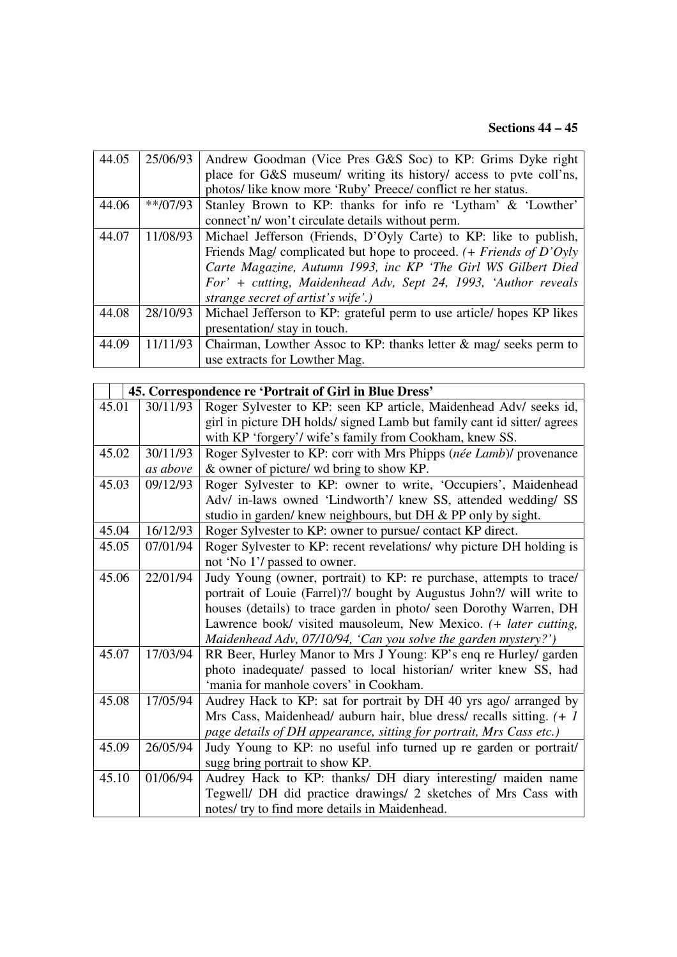# **Sections 44 – 45**

| 44.05 | 25/06/93   | Andrew Goodman (Vice Pres G&S Soc) to KP: Grims Dyke right            |
|-------|------------|-----------------------------------------------------------------------|
|       |            | place for G&S museum/ writing its history/ access to pvte coll'ns,    |
|       |            | photos/like know more 'Ruby' Preece/conflict re her status.           |
| 44.06 | $**/07/93$ | Stanley Brown to KP: thanks for info re 'Lytham' & 'Lowther'          |
|       |            | connect'n/won't circulate details without perm.                       |
| 44.07 | 11/08/93   | Michael Jefferson (Friends, D'Oyly Carte) to KP: like to publish,     |
|       |            | Friends Mag/ complicated but hope to proceed. $( +$ Friends of D'Oyly |
|       |            | Carte Magazine, Autumn 1993, inc KP 'The Girl WS Gilbert Died         |
|       |            | For' + cutting, Maidenhead Adv, Sept 24, 1993, 'Author reveals        |
|       |            | strange secret of artist's wife'.)                                    |
| 44.08 | 28/10/93   | Michael Jefferson to KP: grateful perm to use article/hopes KP likes  |
|       |            | presentation/ stay in touch.                                          |
| 44.09 | 11/11/93   | Chairman, Lowther Assoc to KP: thanks letter $\&$ mag/ seeks perm to  |
|       |            | use extracts for Lowther Mag.                                         |

|       |          | 45. Correspondence re 'Portrait of Girl in Blue Dress'                  |
|-------|----------|-------------------------------------------------------------------------|
| 45.01 | 30/11/93 | Roger Sylvester to KP: seen KP article, Maidenhead Adv/ seeks id,       |
|       |          | girl in picture DH holds/ signed Lamb but family cant id sitter/ agrees |
|       |          | with KP 'forgery'/ wife's family from Cookham, knew SS.                 |
| 45.02 | 30/11/93 | Roger Sylvester to KP: corr with Mrs Phipps (née Lamb)/ provenance      |
|       | as above | & owner of picture/ wd bring to show KP.                                |
| 45.03 | 09/12/93 | Roger Sylvester to KP: owner to write, 'Occupiers', Maidenhead          |
|       |          | Adv/ in-laws owned 'Lindworth'/ knew SS, attended wedding/ SS           |
|       |          | studio in garden/ knew neighbours, but DH & PP only by sight.           |
| 45.04 | 16/12/93 | Roger Sylvester to KP: owner to pursue/ contact KP direct.              |
| 45.05 | 07/01/94 | Roger Sylvester to KP: recent revelations/ why picture DH holding is    |
|       |          | not 'No 1'/ passed to owner.                                            |
| 45.06 | 22/01/94 | Judy Young (owner, portrait) to KP: re purchase, attempts to trace/     |
|       |          | portrait of Louie (Farrel)?/ bought by Augustus John?/ will write to    |
|       |          | houses (details) to trace garden in photo/ seen Dorothy Warren, DH      |
|       |          | Lawrence book/ visited mausoleum, New Mexico. (+ later cutting,         |
|       |          | Maidenhead Adv, 07/10/94, 'Can you solve the garden mystery?')          |
| 45.07 | 17/03/94 | RR Beer, Hurley Manor to Mrs J Young: KP's enq re Hurley/ garden        |
|       |          | photo inadequate/ passed to local historian/ writer knew SS, had        |
|       |          | 'mania for manhole covers' in Cookham.                                  |
| 45.08 | 17/05/94 | Audrey Hack to KP: sat for portrait by DH 40 yrs ago/ arranged by       |
|       |          | Mrs Cass, Maidenhead/ auburn hair, blue dress/ recalls sitting. $(+ 1)$ |
|       |          | page details of DH appearance, sitting for portrait, Mrs Cass etc.)     |
| 45.09 | 26/05/94 | Judy Young to KP: no useful info turned up re garden or portrait/       |
|       |          | sugg bring portrait to show KP.                                         |
| 45.10 | 01/06/94 | Audrey Hack to KP: thanks/ DH diary interesting/ maiden name            |
|       |          | Tegwell/ DH did practice drawings/ 2 sketches of Mrs Cass with          |
|       |          | notes/ try to find more details in Maidenhead.                          |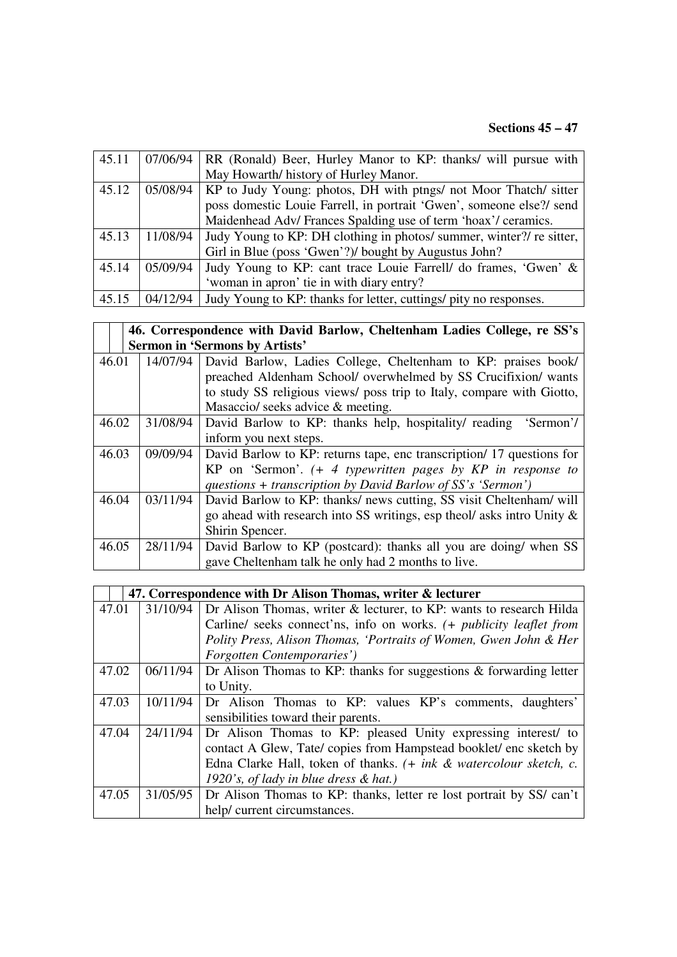# **Sections 45 – 47**

| 45.11 | 07/06/94 | RR (Ronald) Beer, Hurley Manor to KP: thanks/ will pursue with       |
|-------|----------|----------------------------------------------------------------------|
|       |          | May Howarth/ history of Hurley Manor.                                |
| 45.12 | 05/08/94 | KP to Judy Young: photos, DH with ptngs/ not Moor Thatch/ sitter     |
|       |          | poss domestic Louie Farrell, in portrait 'Gwen', someone else?/ send |
|       |          | Maidenhead Adv/Frances Spalding use of term 'hoax'/ceramics.         |
|       |          |                                                                      |
| 45.13 | 11/08/94 | Judy Young to KP: DH clothing in photos/ summer, winter?/ re sitter, |
|       |          | Girl in Blue (poss 'Gwen'?)/ bought by Augustus John?                |
| 45.14 | 05/09/94 | Judy Young to KP: cant trace Louie Farrell/ do frames, 'Gwen' &      |
|       |          | 'woman in apron' tie in with diary entry?                            |

|       | 46. Correspondence with David Barlow, Cheltenham Ladies College, re SS's |                                                                        |  |
|-------|--------------------------------------------------------------------------|------------------------------------------------------------------------|--|
|       | <b>Sermon in 'Sermons by Artists'</b>                                    |                                                                        |  |
| 46.01 | 14/07/94                                                                 | David Barlow, Ladies College, Cheltenham to KP: praises book/          |  |
|       |                                                                          | preached Aldenham School/ overwhelmed by SS Crucifixion/ wants         |  |
|       |                                                                          | to study SS religious views/ poss trip to Italy, compare with Giotto,  |  |
|       |                                                                          | Masaccio/ seeks advice & meeting.                                      |  |
| 46.02 | 31/08/94                                                                 | David Barlow to KP: thanks help, hospitality/ reading 'Sermon'/        |  |
|       |                                                                          | inform you next steps.                                                 |  |
| 46.03 | 09/09/94                                                                 | David Barlow to KP: returns tape, enc transcription/17 questions for   |  |
|       |                                                                          | KP on 'Sermon'. $(+)$ typewritten pages by KP in response to           |  |
|       |                                                                          | questions + transcription by David Barlow of $SS's 'Sermon'$ )         |  |
| 46.04 | 03/11/94                                                                 | David Barlow to KP: thanks/ news cutting, SS visit Cheltenham/ will    |  |
|       |                                                                          | go ahead with research into SS writings, esp theol/ asks intro Unity & |  |
|       |                                                                          | Shirin Spencer.                                                        |  |
| 46.05 | 28/11/94                                                                 | David Barlow to KP (postcard): thanks all you are doing/ when SS       |  |
|       |                                                                          | gave Cheltenham talk he only had 2 months to live.                     |  |

|       |          | 47. Correspondence with Dr Alison Thomas, writer & lecturer                |
|-------|----------|----------------------------------------------------------------------------|
| 47.01 | 31/10/94 | Dr Alison Thomas, writer & lecturer, to KP: wants to research Hilda        |
|       |          | Carline/ seeks connect'ns, info on works. (+ <i>publicity leaflet from</i> |
|       |          | Polity Press, Alison Thomas, 'Portraits of Women, Gwen John & Her          |
|       |          | Forgotten Contemporaries')                                                 |
| 47.02 | 06/11/94 | Dr Alison Thomas to KP: thanks for suggestions $\&$ forwarding letter      |
|       |          | to Unity.                                                                  |
| 47.03 | 10/11/94 | Dr Alison Thomas to KP: values KP's comments, daughters'                   |
|       |          | sensibilities toward their parents.                                        |
| 47.04 | 24/11/94 | Dr Alison Thomas to KP: pleased Unity expressing interest/ to              |
|       |          | contact A Glew, Tate/copies from Hampstead booklet/enc sketch by           |
|       |          | Edna Clarke Hall, token of thanks. $(+ink \& watercolour sketch, c.$       |
|       |          | 1920's, of lady in blue dress $\&$ hat.)                                   |
| 47.05 | 31/05/95 | Dr Alison Thomas to KP: thanks, letter re lost portrait by SS/can't        |
|       |          | help/ current circumstances.                                               |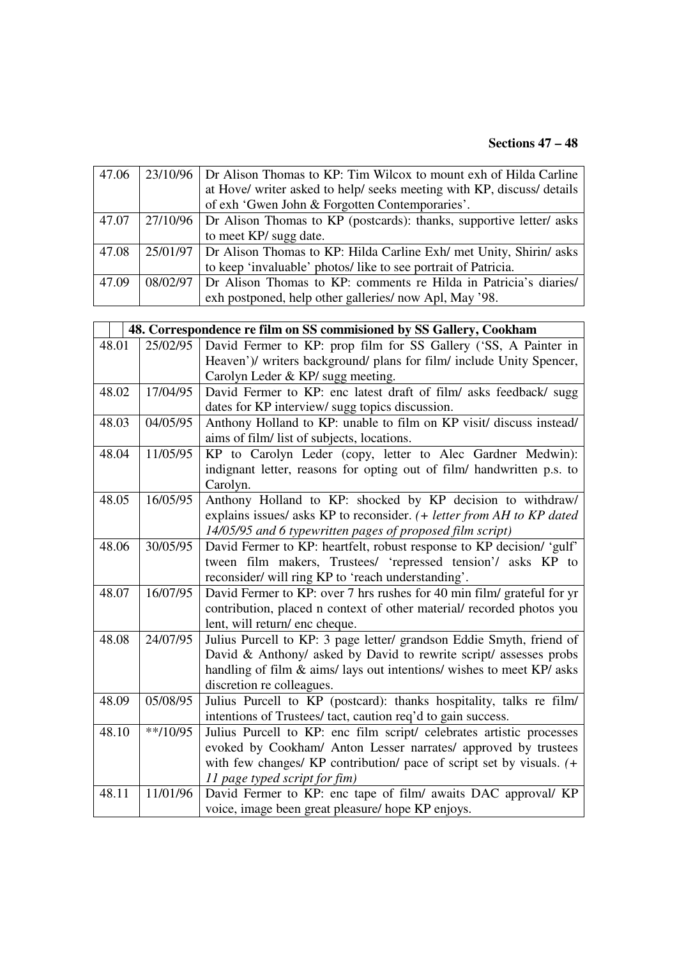#### **Sections 47 – 48**

| 47.06 | 23/10/96 | Dr Alison Thomas to KP: Tim Wilcox to mount exh of Hilda Carline               |
|-------|----------|--------------------------------------------------------------------------------|
|       |          | at Hove/ writer asked to help/ seeks meeting with KP, discuss/ details         |
|       |          | of exh 'Gwen John & Forgotten Contemporaries'.                                 |
| 47.07 |          | 27/10/96   Dr Alison Thomas to KP (postcards): thanks, supportive letter/ asks |
|       |          | to meet KP/ sugg date.                                                         |
| 47.08 |          | 25/01/97   Dr Alison Thomas to KP: Hilda Carline Exh/ met Unity, Shirin/ asks  |
|       |          | to keep 'invaluable' photos/like to see portrait of Patricia.                  |
| 47.09 |          | 08/02/97 Dr Alison Thomas to KP: comments re Hilda in Patricia's diaries/      |
|       |          | exh postponed, help other galleries/now Apl, May '98.                          |

|       |            | 48. Correspondence re film on SS commisioned by SS Gallery, Cookham    |
|-------|------------|------------------------------------------------------------------------|
| 48.01 | 25/02/95   | David Fermer to KP: prop film for SS Gallery ('SS, A Painter in        |
|       |            | Heaven')/ writers background/ plans for film/ include Unity Spencer,   |
|       |            | Carolyn Leder & KP/ sugg meeting.                                      |
| 48.02 | 17/04/95   | David Fermer to KP: enc latest draft of film/ asks feedback/ sugg      |
|       |            | dates for KP interview/ sugg topics discussion.                        |
| 48.03 | 04/05/95   | Anthony Holland to KP: unable to film on KP visit/ discuss instead/    |
|       |            | aims of film/ list of subjects, locations.                             |
| 48.04 | 11/05/95   | KP to Carolyn Leder (copy, letter to Alec Gardner Medwin):             |
|       |            | indignant letter, reasons for opting out of film/ handwritten p.s. to  |
|       |            | Carolyn.                                                               |
| 48.05 | 16/05/95   | Anthony Holland to KP: shocked by KP decision to withdraw/             |
|       |            | explains issues/ asks KP to reconsider. (+ letter from AH to KP dated  |
|       |            | 14/05/95 and 6 typewritten pages of proposed film script)              |
| 48.06 | 30/05/95   | David Fermer to KP: heartfelt, robust response to KP decision/ 'gulf'  |
|       |            | tween film makers, Trustees/ 'repressed tension'/ asks KP to           |
|       |            | reconsider/ will ring KP to 'reach understanding'.                     |
| 48.07 | 16/07/95   | David Fermer to KP: over 7 hrs rushes for 40 min film/ grateful for yr |
|       |            | contribution, placed n context of other material/ recorded photos you  |
|       |            | lent, will return/ enc cheque.                                         |
| 48.08 | 24/07/95   | Julius Purcell to KP: 3 page letter/ grandson Eddie Smyth, friend of   |
|       |            | David & Anthony/ asked by David to rewrite script/ assesses probs      |
|       |            | handling of film & aims/ lays out intentions/ wishes to meet KP/ asks  |
|       |            | discretion re colleagues.                                              |
| 48.09 | 05/08/95   | Julius Purcell to KP (postcard): thanks hospitality, talks re film/    |
|       |            | intentions of Trustees/ tact, caution req'd to gain success.           |
| 48.10 | $**/10/95$ | Julius Purcell to KP: enc film script/ celebrates artistic processes   |
|       |            | evoked by Cookham/ Anton Lesser narrates/ approved by trustees         |
|       |            | with few changes/ KP contribution/ pace of script set by visuals. (+   |
|       |            | 11 page typed script for fim)                                          |
| 48.11 | 11/01/96   | David Fermer to KP: enc tape of film/ awaits DAC approval/ KP          |
|       |            | voice, image been great pleasure/ hope KP enjoys.                      |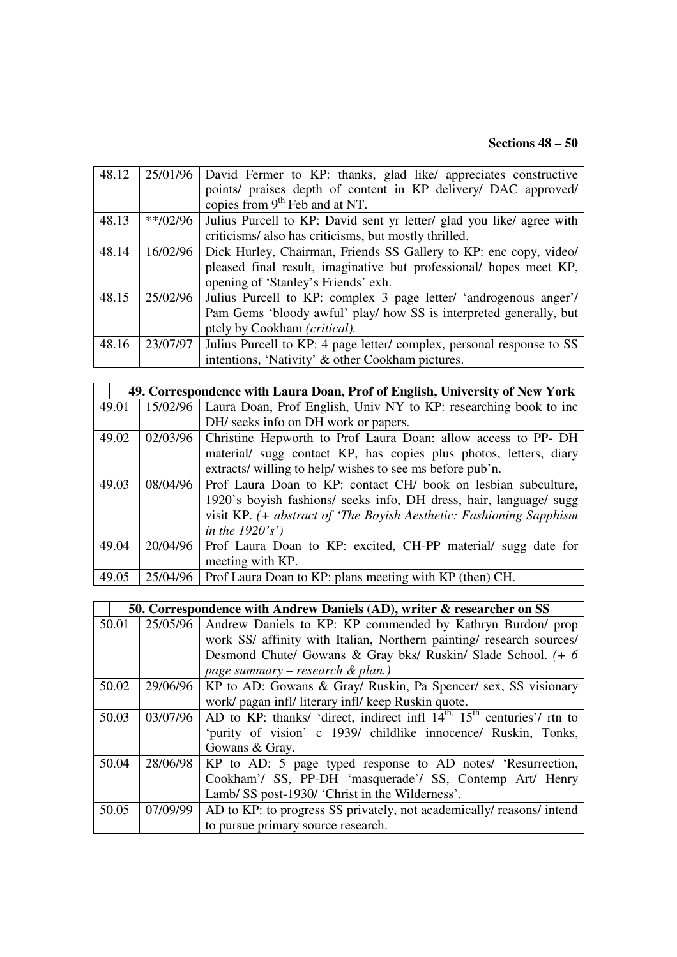#### **Sections 48 – 50**

| 48.12 | 25/01/96   | David Fermer to KP: thanks, glad like/ appreciates constructive       |
|-------|------------|-----------------------------------------------------------------------|
|       |            | points/ praises depth of content in KP delivery/ DAC approved/        |
|       |            | copies from $9th$ Feb and at NT.                                      |
| 48.13 | $**/02/96$ | Julius Purcell to KP: David sent yr letter/ glad you like/ agree with |
|       |            | criticisms/ also has criticisms, but mostly thrilled.                 |
| 48.14 | 16/02/96   | Dick Hurley, Chairman, Friends SS Gallery to KP: enc copy, video/     |
|       |            | pleased final result, imaginative but professional/ hopes meet KP,    |
|       |            | opening of 'Stanley's Friends' exh.                                   |
| 48.15 | 25/02/96   | Julius Purcell to KP: complex 3 page letter/ 'androgenous anger'/     |
|       |            | Pam Gems 'bloody awful' play/ how SS is interpreted generally, but    |
|       |            | ptcly by Cookham (critical).                                          |
| 48.16 | 23/07/97   | Julius Purcell to KP: 4 page letter/complex, personal response to SS  |
|       |            | intentions, 'Nativity' & other Cookham pictures.                      |

|       | 49. Correspondence with Laura Doan, Prof of English, University of New York |                                                                     |  |
|-------|-----------------------------------------------------------------------------|---------------------------------------------------------------------|--|
| 49.01 | 15/02/96                                                                    | Laura Doan, Prof English, Univ NY to KP: researching book to inc    |  |
|       |                                                                             | DH/ seeks info on DH work or papers.                                |  |
| 49.02 | 02/03/96                                                                    | Christine Hepworth to Prof Laura Doan: allow access to PP-DH        |  |
|       |                                                                             | material/ sugg contact KP, has copies plus photos, letters, diary   |  |
|       |                                                                             | extracts/ willing to help/ wishes to see ms before pub'n.           |  |
| 49.03 | 08/04/96                                                                    | Prof Laura Doan to KP: contact CH/ book on lesbian subculture,      |  |
|       |                                                                             | 1920's boyish fashions/ seeks info, DH dress, hair, language/ sugg  |  |
|       |                                                                             | visit KP. (+ abstract of 'The Boyish Aesthetic: Fashioning Sapphism |  |
|       |                                                                             | in the $1920's'$                                                    |  |
| 49.04 | 20/04/96                                                                    | Prof Laura Doan to KP: excited, CH-PP material/ sugg date for       |  |
|       |                                                                             | meeting with KP.                                                    |  |
| 49.05 | 25/04/96                                                                    | Prof Laura Doan to KP: plans meeting with KP (then) CH.             |  |

|       | 50. Correspondence with Andrew Daniels (AD), writer & researcher on SS |                                                                                                 |  |
|-------|------------------------------------------------------------------------|-------------------------------------------------------------------------------------------------|--|
| 50.01 | 25/05/96                                                               | Andrew Daniels to KP: KP commended by Kathryn Burdon/ prop                                      |  |
|       |                                                                        | work SS/ affinity with Italian, Northern painting/ research sources/                            |  |
|       |                                                                        | Desmond Chute/ Gowans & Gray bks/ Ruskin/ Slade School. (+ 6                                    |  |
|       |                                                                        | page summary – research & plan.)                                                                |  |
| 50.02 | 29/06/96                                                               | KP to AD: Gowans & Gray/ Ruskin, Pa Spencer/ sex, SS visionary                                  |  |
|       |                                                                        | work/ pagan infl/ literary infl/ keep Ruskin quote.                                             |  |
| 50.03 | 03/07/96                                                               | AD to KP: thanks/ 'direct, indirect infl $14^{\text{th}}$ , $15^{\text{th}}$ centuries'/ rtn to |  |
|       |                                                                        | 'purity of vision' c 1939/ childlike innocence/ Ruskin, Tonks,                                  |  |
|       |                                                                        | Gowans & Gray.                                                                                  |  |
| 50.04 | 28/06/98                                                               | KP to AD: 5 page typed response to AD notes/ 'Resurrection,                                     |  |
|       |                                                                        | Cookham'/ SS, PP-DH 'masquerade'/ SS, Contemp Art/ Henry                                        |  |
|       |                                                                        | Lamb/ SS post-1930/ 'Christ in the Wilderness'.                                                 |  |
| 50.05 | 07/09/99                                                               | AD to KP: to progress SS privately, not academically/ reasons/ intend                           |  |
|       |                                                                        | to pursue primary source research.                                                              |  |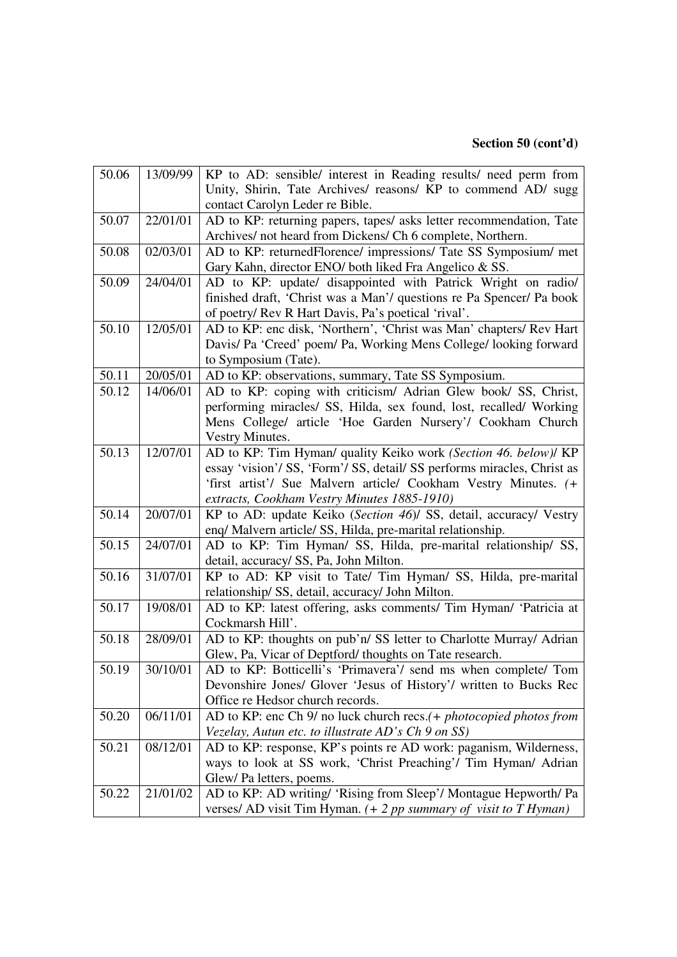#### **Section 50 (cont'd)**

| 50.06 | 13/09/99 | KP to AD: sensible/ interest in Reading results/ need perm from         |
|-------|----------|-------------------------------------------------------------------------|
|       |          | Unity, Shirin, Tate Archives/ reasons/ KP to commend AD/ sugg           |
|       |          | contact Carolyn Leder re Bible.                                         |
| 50.07 | 22/01/01 | AD to KP: returning papers, tapes/ asks letter recommendation, Tate     |
|       |          | Archives/ not heard from Dickens/ Ch 6 complete, Northern.              |
| 50.08 | 02/03/01 | AD to KP: returnedFlorence/ impressions/ Tate SS Symposium/ met         |
|       |          | Gary Kahn, director ENO/ both liked Fra Angelico & SS.                  |
| 50.09 | 24/04/01 | AD to KP: update/ disappointed with Patrick Wright on radio/            |
|       |          | finished draft, 'Christ was a Man'/ questions re Pa Spencer/ Pa book    |
|       |          | of poetry/ Rev R Hart Davis, Pa's poetical 'rival'.                     |
| 50.10 | 12/05/01 | AD to KP: enc disk, 'Northern', 'Christ was Man' chapters/ Rev Hart     |
|       |          | Davis/ Pa 'Creed' poem/ Pa, Working Mens College/ looking forward       |
|       |          | to Symposium (Tate).                                                    |
| 50.11 | 20/05/01 | AD to KP: observations, summary, Tate SS Symposium.                     |
| 50.12 | 14/06/01 | AD to KP: coping with criticism/ Adrian Glew book/ SS, Christ,          |
|       |          | performing miracles/ SS, Hilda, sex found, lost, recalled/ Working      |
|       |          | Mens College/ article 'Hoe Garden Nursery'/ Cookham Church              |
|       |          | Vestry Minutes.                                                         |
| 50.13 | 12/07/01 | AD to KP: Tim Hyman/ quality Keiko work (Section 46. below)/ KP         |
|       |          | essay 'vision'/ SS, 'Form'/ SS, detail/ SS performs miracles, Christ as |
|       |          | 'first artist'/ Sue Malvern article/ Cookham Vestry Minutes. (+         |
|       |          | extracts, Cookham Vestry Minutes 1885-1910)                             |
| 50.14 | 20/07/01 | KP to AD: update Keiko (Section 46)/ SS, detail, accuracy/ Vestry       |
|       |          | enq/ Malvern article/ SS, Hilda, pre-marital relationship.              |
| 50.15 | 24/07/01 | AD to KP: Tim Hyman/ SS, Hilda, pre-marital relationship/ SS,           |
|       |          | detail, accuracy/ SS, Pa, John Milton.                                  |
| 50.16 | 31/07/01 | KP to AD: KP visit to Tate/ Tim Hyman/ SS, Hilda, pre-marital           |
|       |          | relationship/ SS, detail, accuracy/ John Milton.                        |
| 50.17 | 19/08/01 | AD to KP: latest offering, asks comments/ Tim Hyman/ 'Patricia at       |
|       |          | Cockmarsh Hill'.                                                        |
| 50.18 | 28/09/01 | AD to KP: thoughts on pub'n/ SS letter to Charlotte Murray/ Adrian      |
|       |          | Glew, Pa, Vicar of Deptford/ thoughts on Tate research.                 |
| 50.19 | 30/10/01 | AD to KP: Botticelli's 'Primavera'/ send ms when complete/ Tom          |
|       |          | Devonshire Jones/ Glover 'Jesus of History'/ written to Bucks Rec       |
|       |          | Office re Hedsor church records.                                        |
| 50.20 | 06/11/01 | AD to KP: enc Ch 9/ no luck church recs.(+ photocopied photos from      |
|       |          | Vezelay, Autun etc. to illustrate AD's Ch 9 on SS)                      |
| 50.21 | 08/12/01 | AD to KP: response, KP's points re AD work: paganism, Wilderness,       |
|       |          | ways to look at SS work, 'Christ Preaching'/ Tim Hyman/ Adrian          |
|       |          | Glew/Pa letters, poems.                                                 |
| 50.22 | 21/01/02 | AD to KP: AD writing/ 'Rising from Sleep'/ Montague Hepworth/ Pa        |
|       |          | verses/ AD visit Tim Hyman. $(+ 2 pp$ summary of visit to T Hyman)      |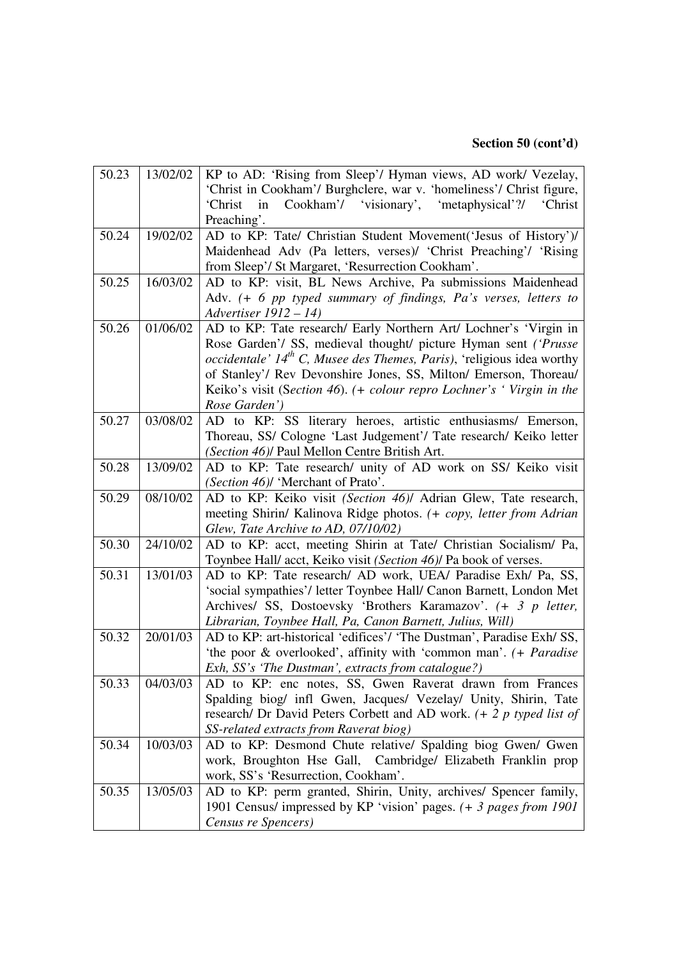#### **Section 50 (cont'd)**

| 50.23 | 13/02/02 | KP to AD: 'Rising from Sleep'/ Hyman views, AD work/ Vezelay,                             |
|-------|----------|-------------------------------------------------------------------------------------------|
|       |          | 'Christ in Cookham'/ Burghclere, war v. 'homeliness'/ Christ figure,                      |
|       |          | Cookham'/ 'visionary', 'metaphysical'?/<br>'Christ<br>in<br>'Christ                       |
|       |          | Preaching'.                                                                               |
| 50.24 | 19/02/02 | AD to KP: Tate/ Christian Student Movement('Jesus of History')/                           |
|       |          | Maidenhead Adv (Pa letters, verses)/ 'Christ Preaching'/ 'Rising                          |
|       |          | from Sleep'/ St Margaret, 'Resurrection Cookham'.                                         |
| 50.25 | 16/03/02 | AD to KP: visit, BL News Archive, Pa submissions Maidenhead                               |
|       |          | Adv. (+ 6 pp typed summary of findings, Pa's verses, letters to                           |
|       |          | Advertiser 1912 - 14)                                                                     |
| 50.26 | 01/06/02 | AD to KP: Tate research/ Early Northern Art/ Lochner's 'Virgin in                         |
|       |          | Rose Garden'/ SS, medieval thought/ picture Hyman sent ('Prusse                           |
|       |          | <i>occidentale' <math>14th</math> C, Musee des Themes, Paris), 'religious idea worthy</i> |
|       |          | of Stanley'/ Rev Devonshire Jones, SS, Milton/ Emerson, Thoreau/                          |
|       |          | Keiko's visit (Section 46). (+ colour repro Lochner's 'Virgin in the                      |
|       |          | Rose Garden')                                                                             |
| 50.27 | 03/08/02 | AD to KP: SS literary heroes, artistic enthusiasms/ Emerson,                              |
|       |          | Thoreau, SS/ Cologne 'Last Judgement'/ Tate research/ Keiko letter                        |
|       |          | (Section 46)/ Paul Mellon Centre British Art.                                             |
| 50.28 | 13/09/02 | AD to KP: Tate research/ unity of AD work on SS/ Keiko visit                              |
|       |          | (Section 46)/ 'Merchant of Prato'.                                                        |
| 50.29 | 08/10/02 | AD to KP: Keiko visit (Section 46)/ Adrian Glew, Tate research,                           |
|       |          | meeting Shirin/ Kalinova Ridge photos. (+ copy, letter from Adrian                        |
|       |          | Glew, Tate Archive to AD, 07/10/02)                                                       |
| 50.30 | 24/10/02 | AD to KP: acct, meeting Shirin at Tate/ Christian Socialism/ Pa,                          |
|       |          | Toynbee Hall/ acct, Keiko visit (Section 46)/ Pa book of verses.                          |
| 50.31 | 13/01/03 | AD to KP: Tate research/ AD work, UEA/ Paradise Exh/ Pa, SS,                              |
|       |          | 'social sympathies'/ letter Toynbee Hall/ Canon Barnett, London Met                       |
|       |          | Archives/ SS, Dostoevsky 'Brothers Karamazov'. (+ 3 p letter,                             |
|       |          | Librarian, Toynbee Hall, Pa, Canon Barnett, Julius, Will)                                 |
| 50.32 | 20/01/03 | AD to KP: art-historical 'edifices'/ 'The Dustman', Paradise Exh/ SS,                     |
|       |          | 'the poor & overlooked', affinity with 'common man'. (+ Paradise                          |
|       |          | Exh, SS's 'The Dustman', extracts from catalogue?)                                        |
| 50.33 | 04/03/03 | AD to KP: enc notes, SS, Gwen Raverat drawn from Frances                                  |
|       |          | Spalding biog/ infl Gwen, Jacques/ Vezelay/ Unity, Shirin, Tate                           |
|       |          | research/ Dr David Peters Corbett and AD work. $(1 + 2 p)$ typed list of                  |
|       |          | SS-related extracts from Raverat biog)                                                    |
| 50.34 | 10/03/03 | AD to KP: Desmond Chute relative/ Spalding biog Gwen/ Gwen                                |
|       |          | work, Broughton Hse Gall, Cambridge/ Elizabeth Franklin prop                              |
|       |          | work, SS's 'Resurrection, Cookham'.                                                       |
| 50.35 | 13/05/03 | AD to KP: perm granted, Shirin, Unity, archives/ Spencer family,                          |
|       |          | 1901 Census/ impressed by KP 'vision' pages. (+ 3 pages from 1901                         |
|       |          | Census re Spencers)                                                                       |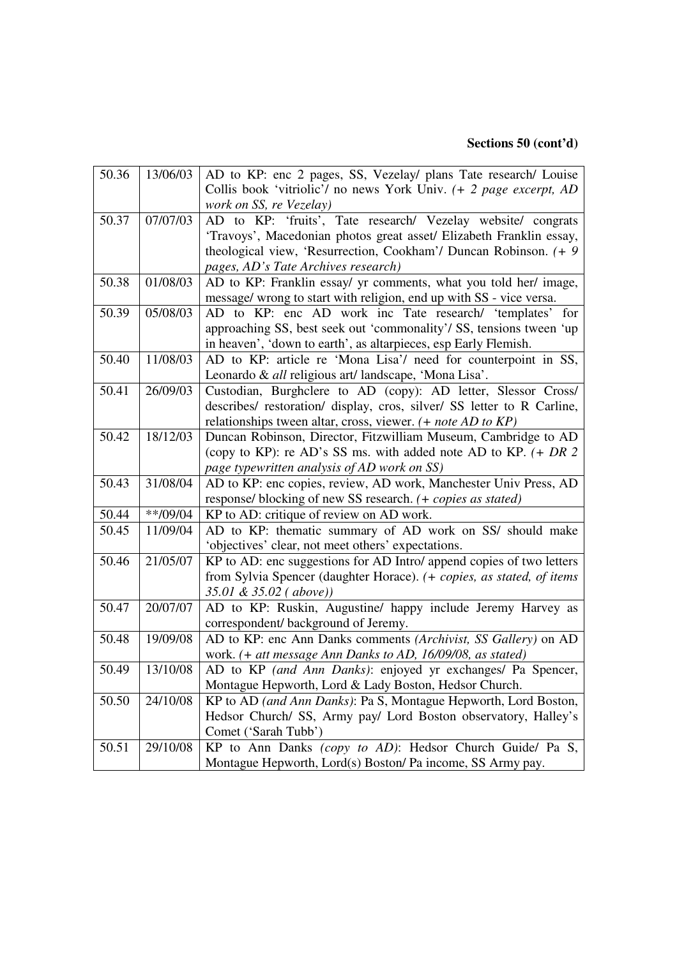#### **Sections 50 (cont'd)**

| 50.36 | 13/06/03   | AD to KP: enc 2 pages, SS, Vezelay/ plans Tate research/ Louise        |
|-------|------------|------------------------------------------------------------------------|
|       |            | Collis book 'vitriolic'/ no news York Univ. $(+ 2$ page excerpt, AD    |
|       |            | work on SS, re Vezelay)                                                |
| 50.37 | 07/07/03   | AD to KP: 'fruits', Tate research/ Vezelay website/ congrats           |
|       |            | 'Travoys', Macedonian photos great asset/ Elizabeth Franklin essay,    |
|       |            | theological view, 'Resurrection, Cookham'/ Duncan Robinson. (+ 9)      |
|       |            | pages, AD's Tate Archives research)                                    |
| 50.38 | 01/08/03   | AD to KP: Franklin essay/ yr comments, what you told her/ image,       |
|       |            | message/ wrong to start with religion, end up with SS - vice versa.    |
| 50.39 | 05/08/03   | AD to KP: enc AD work inc Tate research/ 'templates' for               |
|       |            | approaching SS, best seek out 'commonality'/ SS, tensions tween 'up    |
|       |            | in heaven', 'down to earth', as altarpieces, esp Early Flemish.        |
| 50.40 | 11/08/03   | AD to KP: article re 'Mona Lisa'/ need for counterpoint in SS,         |
|       |            | Leonardo & all religious art/landscape, 'Mona Lisa'.                   |
| 50.41 | 26/09/03   | Custodian, Burghclere to AD (copy): AD letter, Slessor Cross/          |
|       |            | describes/ restoration/ display, cros, silver/ SS letter to R Carline, |
|       |            | relationships tween altar, cross, viewer. (+ note AD to KP)            |
| 50.42 | 18/12/03   | Duncan Robinson, Director, Fitzwilliam Museum, Cambridge to AD         |
|       |            | (copy to KP): re AD's SS ms. with added note AD to KP. $(+ DR 2$       |
|       |            | page typewritten analysis of AD work on SS)                            |
| 50.43 | 31/08/04   | AD to KP: enc copies, review, AD work, Manchester Univ Press, AD       |
|       |            | response/blocking of new SS research. (+ copies as stated)             |
| 50.44 | $**/09/04$ | KP to AD: critique of review on AD work.                               |
| 50.45 | 11/09/04   | AD to KP: thematic summary of AD work on SS/ should make               |
|       |            | 'objectives' clear, not meet others' expectations.                     |
| 50.46 | 21/05/07   | KP to AD: enc suggestions for AD Intro/ append copies of two letters   |
|       |            | from Sylvia Spencer (daughter Horace). (+ copies, as stated, of items  |
|       |            | 35.01 & 35.02 (above))                                                 |
| 50.47 | 20/07/07   | AD to KP: Ruskin, Augustine/ happy include Jeremy Harvey as            |
|       |            | correspondent/ background of Jeremy.                                   |
| 50.48 | 19/09/08   | AD to KP: enc Ann Danks comments (Archivist, SS Gallery) on AD         |
|       |            | work. (+ att message Ann Danks to AD, 16/09/08, as stated)             |
| 50.49 | 13/10/08   | AD to KP (and Ann Danks): enjoyed yr exchanges/ Pa Spencer,            |
|       |            | Montague Hepworth, Lord & Lady Boston, Hedsor Church.                  |
| 50.50 | 24/10/08   | KP to AD (and Ann Danks): Pa S, Montague Hepworth, Lord Boston,        |
|       |            | Hedsor Church/ SS, Army pay/ Lord Boston observatory, Halley's         |
|       |            | Comet ('Sarah Tubb')                                                   |
| 50.51 | 29/10/08   | KP to Ann Danks (copy to AD): Hedsor Church Guide/ Pa S,               |
|       |            | Montague Hepworth, Lord(s) Boston/ Pa income, SS Army pay.             |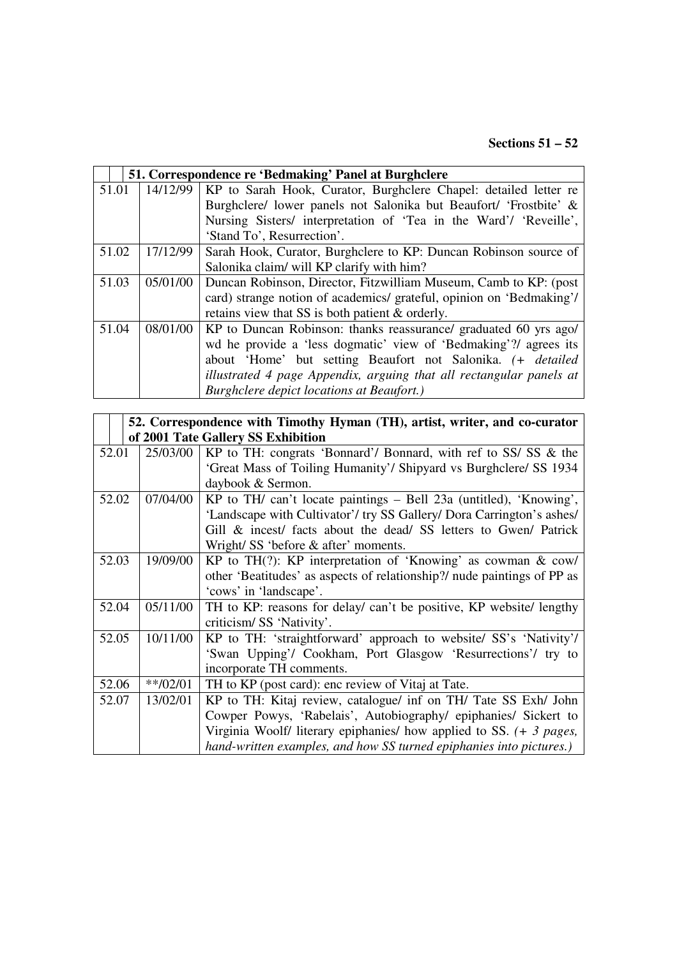| 51. Correspondence re 'Bedmaking' Panel at Burghclere |          |                                                                      |
|-------------------------------------------------------|----------|----------------------------------------------------------------------|
| 51.01                                                 | 14/12/99 | KP to Sarah Hook, Curator, Burghclere Chapel: detailed letter re     |
|                                                       |          | Burghclere/ lower panels not Salonika but Beaufort/ 'Frostbite' &    |
|                                                       |          | Nursing Sisters/ interpretation of 'Tea in the Ward'/ 'Reveille',    |
|                                                       |          | 'Stand To', Resurrection'.                                           |
| 51.02                                                 | 17/12/99 | Sarah Hook, Curator, Burghclere to KP: Duncan Robinson source of     |
|                                                       |          | Salonika claim/ will KP clarify with him?                            |
| 51.03                                                 | 05/01/00 | Duncan Robinson, Director, Fitzwilliam Museum, Camb to KP: (post     |
|                                                       |          | card) strange notion of academics/ grateful, opinion on 'Bedmaking'/ |
|                                                       |          | retains view that SS is both patient & orderly.                      |
| 51.04                                                 | 08/01/00 | KP to Duncan Robinson: thanks reassurance/ graduated 60 yrs ago/     |
|                                                       |          | wd he provide a 'less dogmatic' view of 'Bedmaking'?/ agrees its     |
|                                                       |          | about 'Home' but setting Beaufort not Salonika. (+ <i>detailed</i>   |
|                                                       |          | illustrated 4 page Appendix, arguing that all rectangular panels at  |
|                                                       |          | <b>Burghclere depict locations at Beaufort.)</b>                     |

| 52. Correspondence with Timothy Hyman (TH), artist, writer, and co-curator |                                    |                                                                               |  |
|----------------------------------------------------------------------------|------------------------------------|-------------------------------------------------------------------------------|--|
|                                                                            | of 2001 Tate Gallery SS Exhibition |                                                                               |  |
| 52.01                                                                      | 25/03/00                           | KP to TH: congrats 'Bonnard'/ Bonnard, with ref to SS/ SS & the               |  |
|                                                                            |                                    | 'Great Mass of Toiling Humanity'/ Shipyard vs Burghclere/ SS 1934             |  |
|                                                                            |                                    | daybook & Sermon.                                                             |  |
| 52.02                                                                      | 07/04/00                           | KP to TH/ can't locate paintings - Bell 23a (untitled), 'Knowing',            |  |
|                                                                            |                                    | 'Landscape with Cultivator'/ try SS Gallery/ Dora Carrington's ashes/         |  |
|                                                                            |                                    | Gill & incest/ facts about the dead/ SS letters to Gwen/ Patrick              |  |
|                                                                            |                                    | Wright/ SS 'before & after' moments.                                          |  |
| 52.03                                                                      | 19/09/00                           | KP to TH $(?)$ : KP interpretation of 'Knowing' as cowman & cow/              |  |
|                                                                            |                                    | other 'Beatitudes' as aspects of relationship?/ nude paintings of PP as       |  |
|                                                                            |                                    | 'cows' in 'landscape'.                                                        |  |
| 52.04                                                                      | 05/11/00                           | TH to KP: reasons for delay/ can't be positive, KP website/ lengthy           |  |
|                                                                            |                                    | criticism/SS 'Nativity'.                                                      |  |
| 52.05                                                                      | 10/11/00                           | KP to TH: 'straightforward' approach to website/ SS's 'Nativity'/             |  |
|                                                                            |                                    | 'Swan Upping'/ Cookham, Port Glasgow 'Resurrections'/ try to                  |  |
|                                                                            |                                    | incorporate TH comments.                                                      |  |
| 52.06                                                                      | $**/02/01$                         | TH to KP (post card): enc review of Vitaj at Tate.                            |  |
| 52.07                                                                      | 13/02/01                           | KP to TH: Kitaj review, catalogue/ inf on TH/ Tate SS Exh/ John               |  |
|                                                                            |                                    | Cowper Powys, 'Rabelais', Autobiography/ epiphanies/ Sickert to               |  |
|                                                                            |                                    | Virginia Woolf/ literary epiphanies/ how applied to SS. $(+ 3 \text{ pages},$ |  |
|                                                                            |                                    | hand-written examples, and how SS turned epiphanies into pictures.)           |  |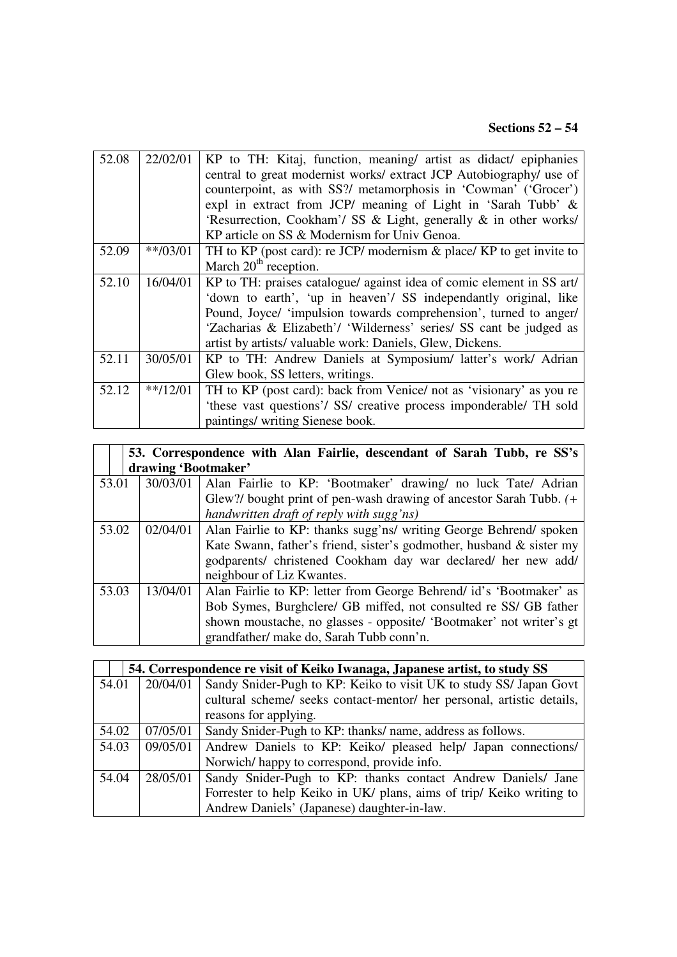# **Sections 52 – 54**

| 52.08 | 22/02/01   | KP to TH: Kitaj, function, meaning/ artist as didact/ epiphanies        |
|-------|------------|-------------------------------------------------------------------------|
|       |            | central to great modernist works/ extract JCP Autobiography/ use of     |
|       |            | counterpoint, as with SS?/ metamorphosis in 'Cowman' ('Grocer')         |
|       |            | expl in extract from JCP/ meaning of Light in 'Sarah Tubb' &            |
|       |            | 'Resurrection, Cookham'/ SS & Light, generally & in other works/        |
|       |            | KP article on SS & Modernism for Univ Genoa.                            |
| 52.09 | $**/03/01$ | TH to KP (post card): re JCP/ modernism $\&$ place/ KP to get invite to |
|       |            | March $20th$ reception.                                                 |
| 52.10 | 16/04/01   | KP to TH: praises catalogue/ against idea of comic element in SS art/   |
|       |            | 'down to earth', 'up in heaven'/ SS independantly original, like        |
|       |            | Pound, Joyce/ 'impulsion towards comprehension', turned to anger/       |
|       |            | 'Zacharias & Elizabeth'/ 'Wilderness' series/ SS cant be judged as      |
|       |            | artist by artists/valuable work: Daniels, Glew, Dickens.                |
| 52.11 | 30/05/01   | KP to TH: Andrew Daniels at Symposium/ latter's work/ Adrian            |
|       |            | Glew book, SS letters, writings.                                        |
| 52.12 | $**/12/01$ | TH to KP (post card): back from Venice/ not as 'visionary' as you re    |
|       |            | 'these vast questions'/ SS/ creative process imponderable/ TH sold      |
|       |            | paintings/ writing Sienese book.                                        |

|       |                     | 53. Correspondence with Alan Fairlie, descendant of Sarah Tubb, re SS's |  |  |
|-------|---------------------|-------------------------------------------------------------------------|--|--|
|       | drawing 'Bootmaker' |                                                                         |  |  |
| 53.01 | 30/03/01            | Alan Fairlie to KP: 'Bootmaker' drawing/ no luck Tate/ Adrian           |  |  |
|       |                     | Glew?/ bought print of pen-wash drawing of ancestor Sarah Tubb. (+      |  |  |
|       |                     | handwritten draft of reply with sugg'ns)                                |  |  |
| 53.02 | 02/04/01            | Alan Fairlie to KP: thanks sugg'ns/ writing George Behrend/ spoken      |  |  |
|       |                     | Kate Swann, father's friend, sister's godmother, husband & sister my    |  |  |
|       |                     | godparents/ christened Cookham day war declared/ her new add/           |  |  |
|       |                     | neighbour of Liz Kwantes.                                               |  |  |
| 53.03 | 13/04/01            | Alan Fairlie to KP: letter from George Behrend/ id's 'Bootmaker' as     |  |  |
|       |                     | Bob Symes, Burghclere/ GB miffed, not consulted re SS/ GB father        |  |  |
|       |                     | shown moustache, no glasses - opposite/ 'Bootmaker' not writer's gt     |  |  |
|       |                     | grandfather/ make do, Sarah Tubb conn'n.                                |  |  |

| 54. Correspondence re visit of Keiko Iwanaga, Japanese artist, to study SS |          |                                                                        |  |
|----------------------------------------------------------------------------|----------|------------------------------------------------------------------------|--|
| 54.01                                                                      | 20/04/01 | Sandy Snider-Pugh to KP: Keiko to visit UK to study SS/ Japan Govt     |  |
|                                                                            |          | cultural scheme/ seeks contact-mentor/ her personal, artistic details, |  |
|                                                                            |          | reasons for applying.                                                  |  |
| 54.02                                                                      | 07/05/01 | Sandy Snider-Pugh to KP: thanks/ name, address as follows.             |  |
| 54.03                                                                      | 09/05/01 | Andrew Daniels to KP: Keiko/ pleased help/ Japan connections/          |  |
|                                                                            |          | Norwich/happy to correspond, provide info.                             |  |
| 54.04                                                                      | 28/05/01 | Sandy Snider-Pugh to KP: thanks contact Andrew Daniels/ Jane           |  |
|                                                                            |          | Forrester to help Keiko in UK/ plans, aims of trip/ Keiko writing to   |  |
|                                                                            |          | Andrew Daniels' (Japanese) daughter-in-law.                            |  |